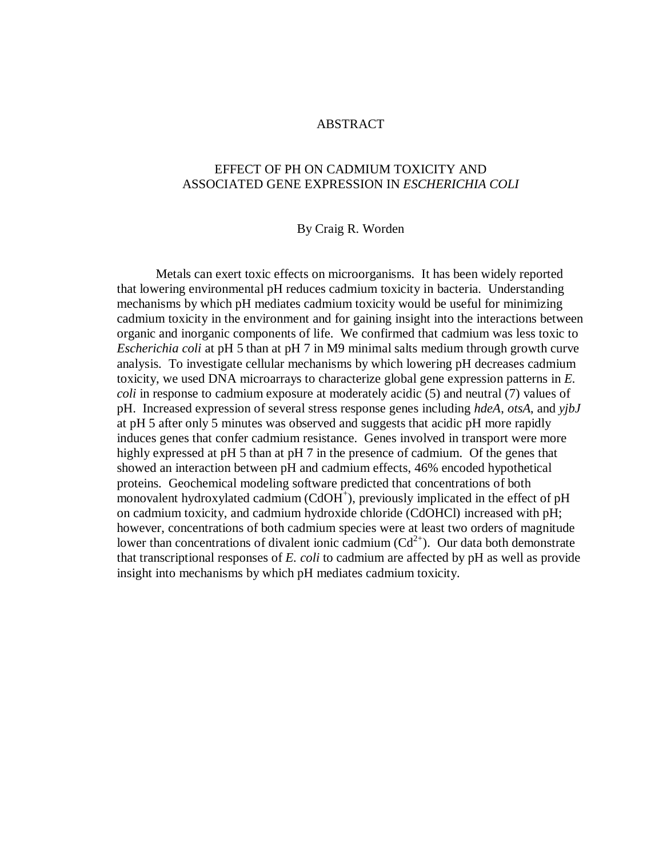#### ABSTRACT

## EFFECT OF PH ON CADMIUM TOXICITY AND ASSOCIATED GENE EXPRESSION IN *ESCHERICHIA COLI*

#### By Craig R. Worden

Metals can exert toxic effects on microorganisms. It has been widely reported that lowering environmental pH reduces cadmium toxicity in bacteria. Understanding mechanisms by which pH mediates cadmium toxicity would be useful for minimizing cadmium toxicity in the environment and for gaining insight into the interactions between organic and inorganic components of life. We confirmed that cadmium was less toxic to *Escherichia coli* at pH 5 than at pH 7 in M9 minimal salts medium through growth curve analysis. To investigate cellular mechanisms by which lowering pH decreases cadmium toxicity, we used DNA microarrays to characterize global gene expression patterns in *E. coli* in response to cadmium exposure at moderately acidic (5) and neutral (7) values of pH. Increased expression of several stress response genes including *hdeA*, *otsA*, and *yjbJ* at pH 5 after only 5 minutes was observed and suggests that acidic pH more rapidly induces genes that confer cadmium resistance. Genes involved in transport were more highly expressed at pH 5 than at pH 7 in the presence of cadmium. Of the genes that showed an interaction between pH and cadmium effects, 46% encoded hypothetical proteins. Geochemical modeling software predicted that concentrations of both monovalent hydroxylated cadmium (CdOH<sup>+</sup>), previously implicated in the effect of pH on cadmium toxicity, and cadmium hydroxide chloride (CdOHCl) increased with pH; however, concentrations of both cadmium species were at least two orders of magnitude lower than concentrations of divalent ionic cadmium  $(Cd^{2+})$ . Our data both demonstrate that transcriptional responses of *E. coli* to cadmium are affected by pH as well as provide insight into mechanisms by which pH mediates cadmium toxicity.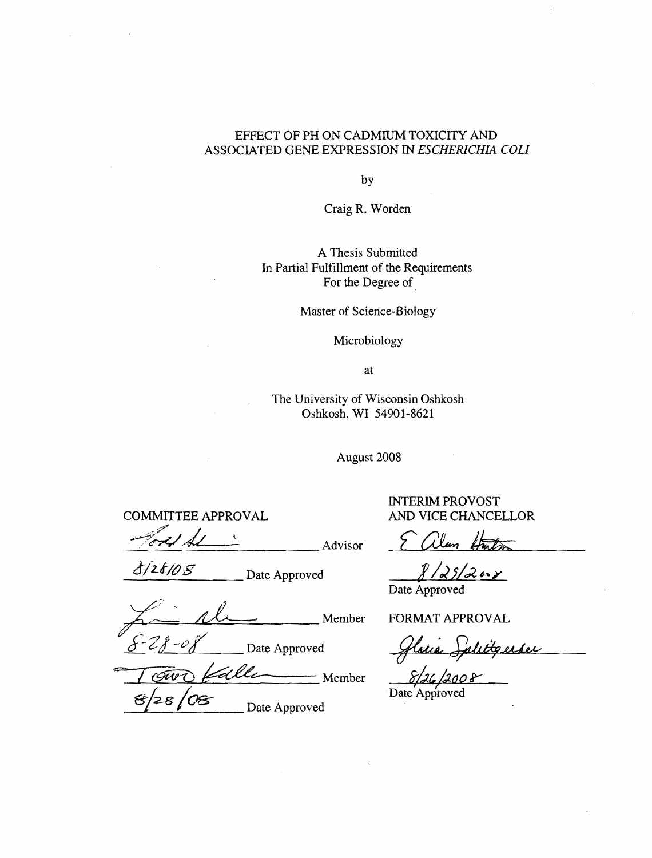### EFFECT OF PH ON CADMIUM TOXICITY AND ASSOCIATED GENE EXPRESSION IN *ESCHERICHIA COll*

by

Craig R. Worden

## A Thesis Submitted In Partial Fulfillment of the Requirements For the Degree of

Master of Science-Biology

## Microbiology

at

The University of Wisconsin Oshkosh Oshkosh, WI 54901-8621

August 2008

COMMITTEE APPROVAL AND VICE CHANCELLOR

;7" Ford de : Advisor E alem Huts

 $\frac{\partial}{\partial z}$  Date Approved  $\frac{\partial}{\partial z}$ 

 $\mu$  Date Approved<br>Date Approved<br> $\mu$  Member FORMAT APPROVAL  $S-2f-\theta g'$  Date Approved *Glasie Splittgerber* 

<u>S-28-08</u><br>Date Approved Glatie Sale 28 / OS Date Approved *Date Approved* 

INTERIM PROVOST

Date Approved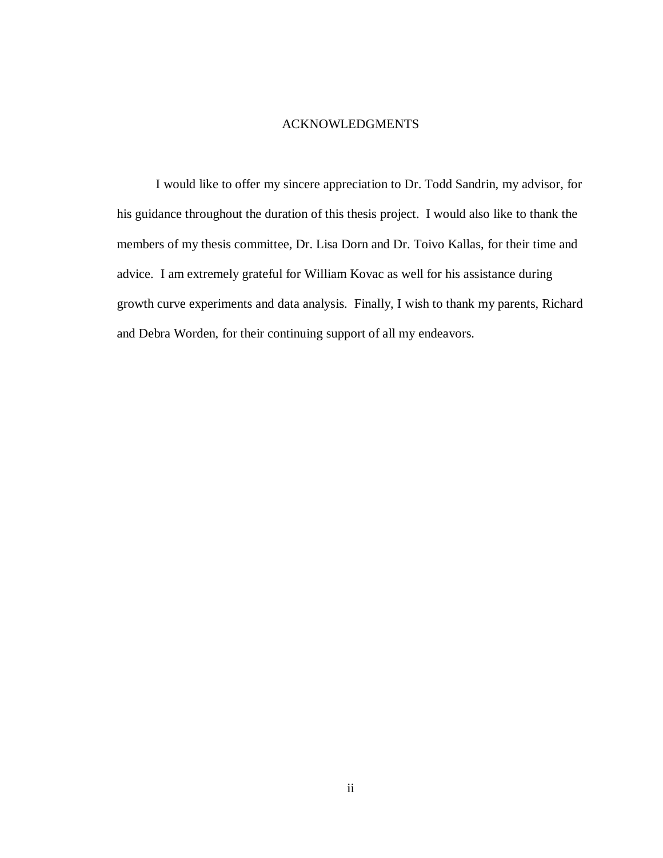#### ACKNOWLEDGMENTS

I would like to offer my sincere appreciation to Dr. Todd Sandrin, my advisor, for his guidance throughout the duration of this thesis project. I would also like to thank the members of my thesis committee, Dr. Lisa Dorn and Dr. Toivo Kallas, for their time and advice. I am extremely grateful for William Kovac as well for his assistance during growth curve experiments and data analysis. Finally, I wish to thank my parents, Richard and Debra Worden, for their continuing support of all my endeavors.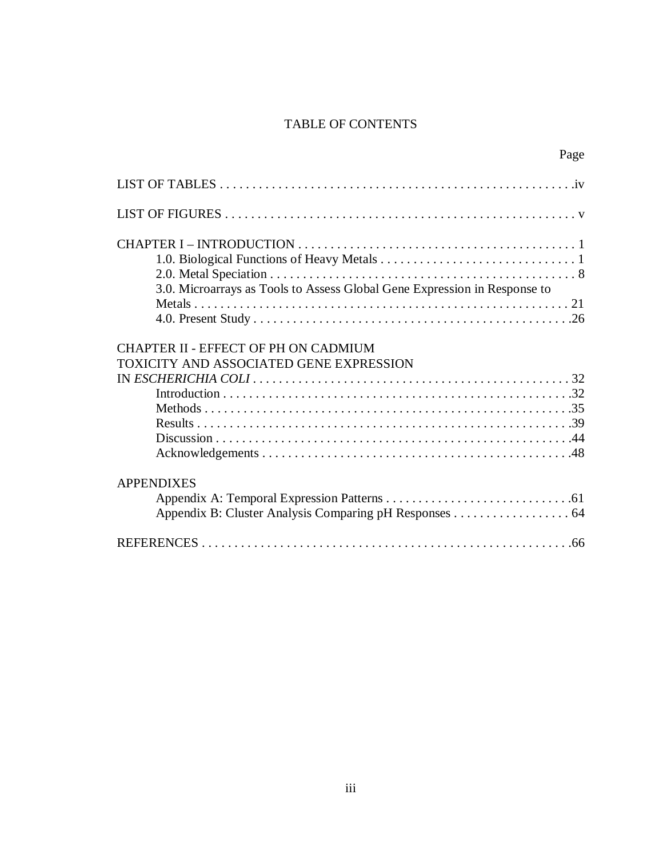## TABLE OF CONTENTS

| 3.0. Microarrays as Tools to Assess Global Gene Expression in Response to       |
|---------------------------------------------------------------------------------|
| CHAPTER II - EFFECT OF PH ON CADMIUM<br>TOXICITY AND ASSOCIATED GENE EXPRESSION |
|                                                                                 |
|                                                                                 |
|                                                                                 |
|                                                                                 |
|                                                                                 |
|                                                                                 |
| <b>APPENDIXES</b>                                                               |
|                                                                                 |
|                                                                                 |
|                                                                                 |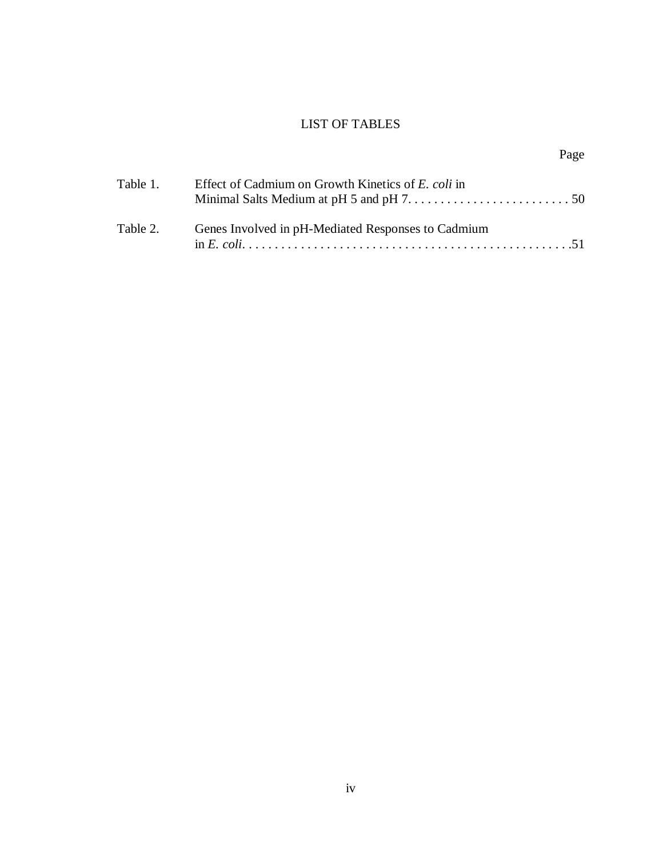# LIST OF TABLES

# Page

| Table 1. | Effect of Cadmium on Growth Kinetics of E. coli in |
|----------|----------------------------------------------------|
| Table 2. | Genes Involved in pH-Mediated Responses to Cadmium |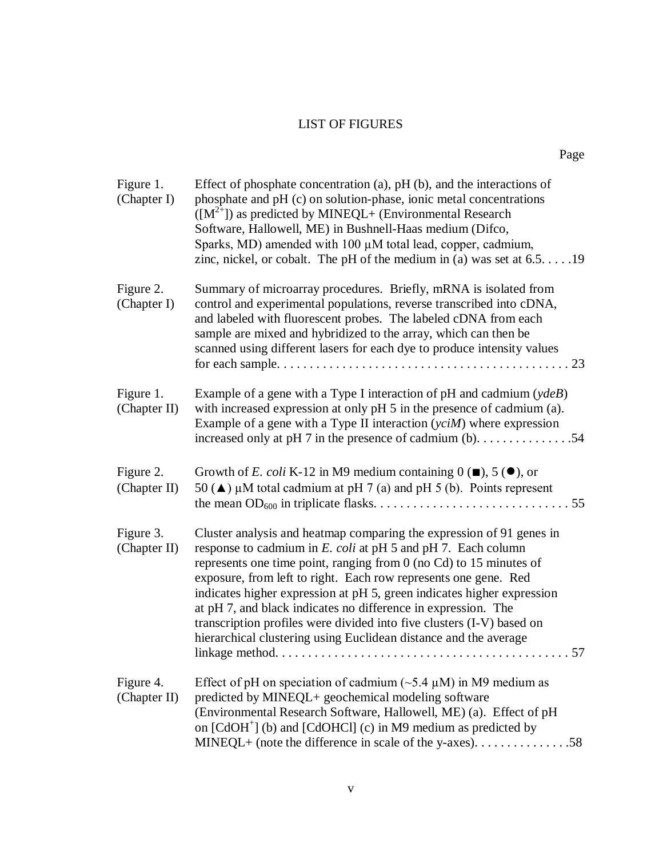# LIST OF FIGURES

| Figure 1.<br>(Chapter I)  | Effect of phosphate concentration $(a)$ , pH $(b)$ , and the interactions of<br>phosphate and pH (c) on solution-phase, ionic metal concentrations<br>$([M^{2+}])$ as predicted by MINEQL+ (Environmental Research<br>Software, Hallowell, ME) in Bushnell-Haas medium (Difco,<br>Sparks, MD) amended with $100 \mu$ M total lead, copper, cadmium,<br>zinc, nickel, or cobalt. The pH of the medium in (a) was set at $6.5. \ldots .19$                                                                                                                                |
|---------------------------|-------------------------------------------------------------------------------------------------------------------------------------------------------------------------------------------------------------------------------------------------------------------------------------------------------------------------------------------------------------------------------------------------------------------------------------------------------------------------------------------------------------------------------------------------------------------------|
| Figure 2.<br>(Chapter I)  | Summary of microarray procedures. Briefly, mRNA is isolated from<br>control and experimental populations, reverse transcribed into cDNA,<br>and labeled with fluorescent probes. The labeled cDNA from each<br>sample are mixed and hybridized to the array, which can then be<br>scanned using different lasers for each dye to produce intensity values<br>23                                                                                                                                                                                                         |
| Figure 1.<br>(Chapter II) | Example of a gene with a Type I interaction of $pH$ and cadmium ( $ydeB$ )<br>with increased expression at only pH 5 in the presence of cadmium (a).<br>Example of a gene with a Type II interaction $(yciM)$ where expression<br>increased only at pH 7 in the presence of cadmium $(b)$ 54                                                                                                                                                                                                                                                                            |
| Figure 2.<br>(Chapter II) | Growth of E. coli K-12 in M9 medium containing $0(\blacksquare)$ , 5 ( $\blacksquare$ ), or<br>50 ( $\triangle$ ) µM total cadmium at pH 7 (a) and pH 5 (b). Points represent<br>55                                                                                                                                                                                                                                                                                                                                                                                     |
| Figure 3.<br>(Chapter II) | Cluster analysis and heatmap comparing the expression of 91 genes in<br>response to cadmium in E. coli at pH 5 and pH 7. Each column<br>represents one time point, ranging from $0$ (no Cd) to 15 minutes of<br>exposure, from left to right. Each row represents one gene. Red<br>indicates higher expression at pH 5, green indicates higher expression<br>at pH 7, and black indicates no difference in expression. The<br>transcription profiles were divided into five clusters (I-V) based on<br>hierarchical clustering using Euclidean distance and the average |
| Figure 4.<br>(Chapter II) | Effect of pH on speciation of cadmium ( $\sim$ 5.4 µM) in M9 medium as<br>predicted by MINEQL+ geochemical modeling software<br>(Environmental Research Software, Hallowell, ME) (a). Effect of pH<br>on $[CdOH+]$ (b) and $[CdOHCl]$ (c) in M9 medium as predicted by                                                                                                                                                                                                                                                                                                  |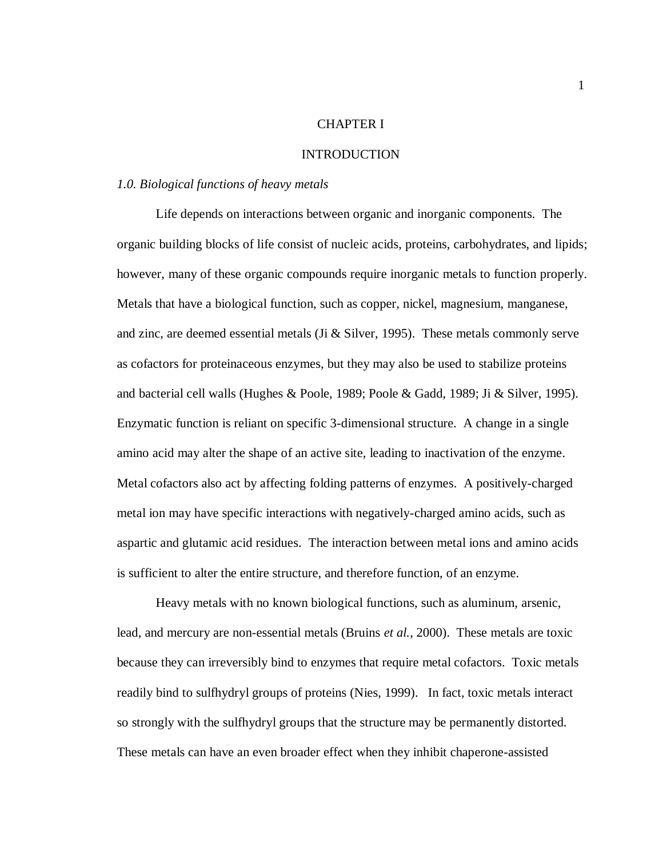#### CHAPTER I

#### INTRODUCTION

#### *1.0. Biological functions of heavy metals*

Life depends on interactions between organic and inorganic components. The organic building blocks of life consist of nucleic acids, proteins, carbohydrates, and lipids; however, many of these organic compounds require inorganic metals to function properly. Metals that have a biological function, such as copper, nickel, magnesium, manganese, and zinc, are deemed essential metals (Ji & Silver, 1995). These metals commonly serve as cofactors for proteinaceous enzymes, but they may also be used to stabilize proteins and bacterial cell walls (Hughes & Poole, 1989; Poole & Gadd, 1989; Ji & Silver, 1995). Enzymatic function is reliant on specific 3-dimensional structure. A change in a single amino acid may alter the shape of an active site, leading to inactivation of the enzyme. Metal cofactors also act by affecting folding patterns of enzymes. A positively-charged metal ion may have specific interactions with negatively-charged amino acids, such as aspartic and glutamic acid residues. The interaction between metal ions and amino acids is sufficient to alter the entire structure, and therefore function, of an enzyme.

Heavy metals with no known biological functions, such as aluminum, arsenic, lead, and mercury are non-essential metals (Bruins *et al.*, 2000). These metals are toxic because they can irreversibly bind to enzymes that require metal cofactors. Toxic metals readily bind to sulfhydryl groups of proteins (Nies, 1999). In fact, toxic metals interact so strongly with the sulfhydryl groups that the structure may be permanently distorted. These metals can have an even broader effect when they inhibit chaperone-assisted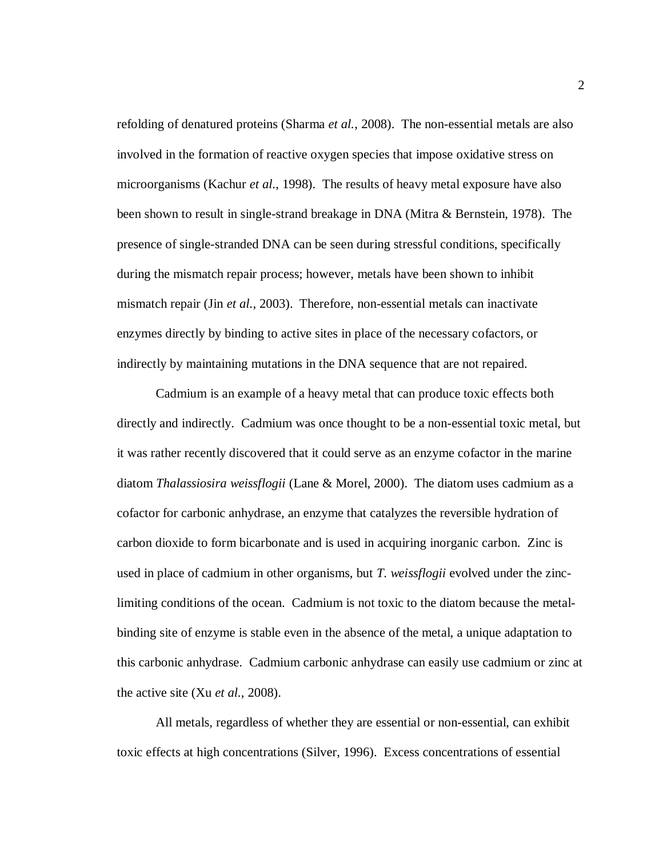refolding of denatured proteins (Sharma *et al.*, 2008). The non-essential metals are also involved in the formation of reactive oxygen species that impose oxidative stress on microorganisms (Kachur *et al.*, 1998). The results of heavy metal exposure have also been shown to result in single-strand breakage in DNA (Mitra & Bernstein, 1978). The presence of single-stranded DNA can be seen during stressful conditions, specifically during the mismatch repair process; however, metals have been shown to inhibit mismatch repair (Jin *et al.*, 2003). Therefore, non-essential metals can inactivate enzymes directly by binding to active sites in place of the necessary cofactors, or indirectly by maintaining mutations in the DNA sequence that are not repaired.

Cadmium is an example of a heavy metal that can produce toxic effects both directly and indirectly. Cadmium was once thought to be a non-essential toxic metal, but it was rather recently discovered that it could serve as an enzyme cofactor in the marine diatom *Thalassiosira weissflogii* (Lane & Morel, 2000). The diatom uses cadmium as a cofactor for carbonic anhydrase, an enzyme that catalyzes the reversible hydration of carbon dioxide to form bicarbonate and is used in acquiring inorganic carbon. Zinc is used in place of cadmium in other organisms, but *T. weissflogii* evolved under the zinclimiting conditions of the ocean. Cadmium is not toxic to the diatom because the metalbinding site of enzyme is stable even in the absence of the metal, a unique adaptation to this carbonic anhydrase. Cadmium carbonic anhydrase can easily use cadmium or zinc at the active site (Xu *et al.*, 2008).

All metals, regardless of whether they are essential or non-essential, can exhibit toxic effects at high concentrations (Silver, 1996). Excess concentrations of essential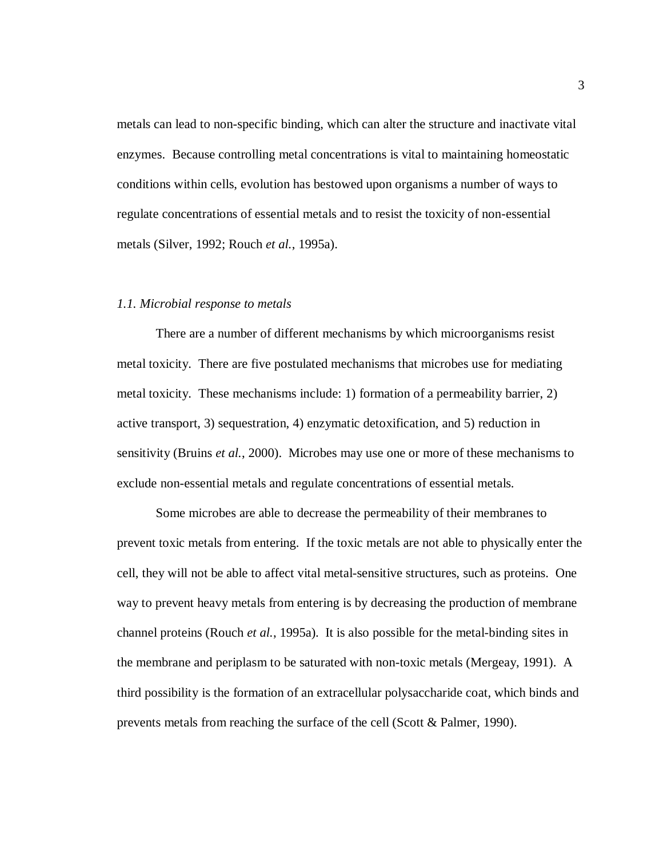metals can lead to non-specific binding, which can alter the structure and inactivate vital enzymes. Because controlling metal concentrations is vital to maintaining homeostatic conditions within cells, evolution has bestowed upon organisms a number of ways to regulate concentrations of essential metals and to resist the toxicity of non-essential metals (Silver, 1992; Rouch *et al.*, 1995a).

#### *1.1. Microbial response to metals*

There are a number of different mechanisms by which microorganisms resist metal toxicity. There are five postulated mechanisms that microbes use for mediating metal toxicity. These mechanisms include: 1) formation of a permeability barrier, 2) active transport, 3) sequestration, 4) enzymatic detoxification, and 5) reduction in sensitivity (Bruins *et al.*, 2000). Microbes may use one or more of these mechanisms to exclude non-essential metals and regulate concentrations of essential metals.

Some microbes are able to decrease the permeability of their membranes to prevent toxic metals from entering. If the toxic metals are not able to physically enter the cell, they will not be able to affect vital metal-sensitive structures, such as proteins. One way to prevent heavy metals from entering is by decreasing the production of membrane channel proteins (Rouch *et al.*, 1995a). It is also possible for the metal-binding sites in the membrane and periplasm to be saturated with non-toxic metals (Mergeay, 1991). A third possibility is the formation of an extracellular polysaccharide coat, which binds and prevents metals from reaching the surface of the cell (Scott & Palmer, 1990).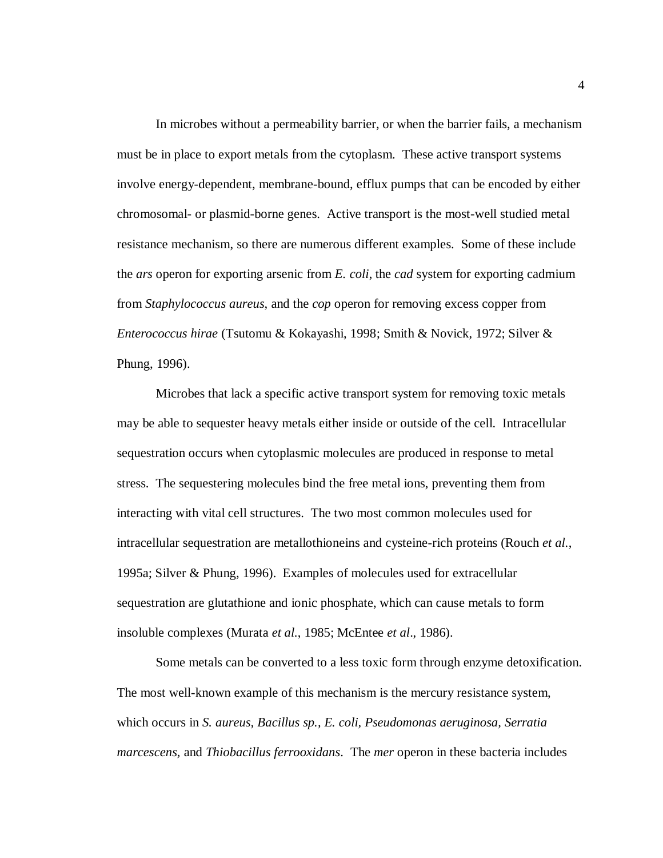In microbes without a permeability barrier, or when the barrier fails, a mechanism must be in place to export metals from the cytoplasm. These active transport systems involve energy-dependent, membrane-bound, efflux pumps that can be encoded by either chromosomal- or plasmid-borne genes. Active transport is the most-well studied metal resistance mechanism, so there are numerous different examples. Some of these include the *ars* operon for exporting arsenic from *E. coli*, the *cad* system for exporting cadmium from *Staphylococcus aureus*, and the *cop* operon for removing excess copper from *Enterococcus hirae* (Tsutomu & Kokayashi, 1998; Smith & Novick, 1972; Silver & Phung, 1996).

Microbes that lack a specific active transport system for removing toxic metals may be able to sequester heavy metals either inside or outside of the cell. Intracellular sequestration occurs when cytoplasmic molecules are produced in response to metal stress. The sequestering molecules bind the free metal ions, preventing them from interacting with vital cell structures. The two most common molecules used for intracellular sequestration are metallothioneins and cysteine-rich proteins (Rouch *et al.*, 1995a; Silver & Phung, 1996). Examples of molecules used for extracellular sequestration are glutathione and ionic phosphate, which can cause metals to form insoluble complexes (Murata *et al.*, 1985; McEntee *et al*., 1986).

Some metals can be converted to a less toxic form through enzyme detoxification. The most well-known example of this mechanism is the mercury resistance system, which occurs in *S. aureus, Bacillus sp., E. coli, Pseudomonas aeruginosa, Serratia marcescens,* and *Thiobacillus ferrooxidans*. The *mer* operon in these bacteria includes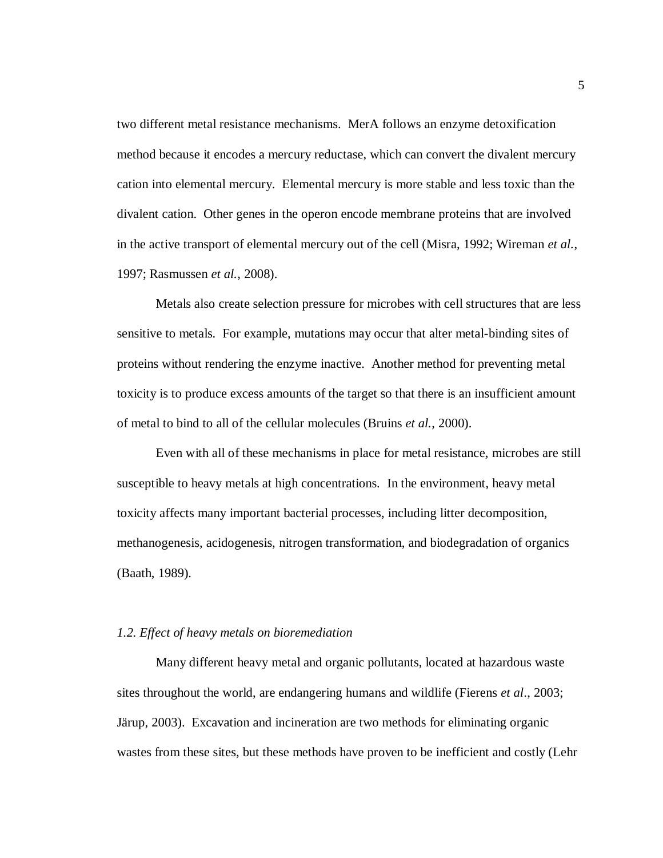two different metal resistance mechanisms. MerA follows an enzyme detoxification method because it encodes a mercury reductase, which can convert the divalent mercury cation into elemental mercury. Elemental mercury is more stable and less toxic than the divalent cation. Other genes in the operon encode membrane proteins that are involved in the active transport of elemental mercury out of the cell (Misra, 1992; Wireman *et al.*, 1997; Rasmussen *et al.*, 2008).

Metals also create selection pressure for microbes with cell structures that are less sensitive to metals. For example, mutations may occur that alter metal-binding sites of proteins without rendering the enzyme inactive. Another method for preventing metal toxicity is to produce excess amounts of the target so that there is an insufficient amount of metal to bind to all of the cellular molecules (Bruins *et al.*, 2000).

Even with all of these mechanisms in place for metal resistance, microbes are still susceptible to heavy metals at high concentrations. In the environment, heavy metal toxicity affects many important bacterial processes, including litter decomposition, methanogenesis, acidogenesis, nitrogen transformation, and biodegradation of organics (Baath, 1989).

#### *1.2. Effect of heavy metals on bioremediation*

Many different heavy metal and organic pollutants, located at hazardous waste sites throughout the world, are endangering humans and wildlife (Fierens *et al*., 2003; Järup, 2003). Excavation and incineration are two methods for eliminating organic wastes from these sites, but these methods have proven to be inefficient and costly (Lehr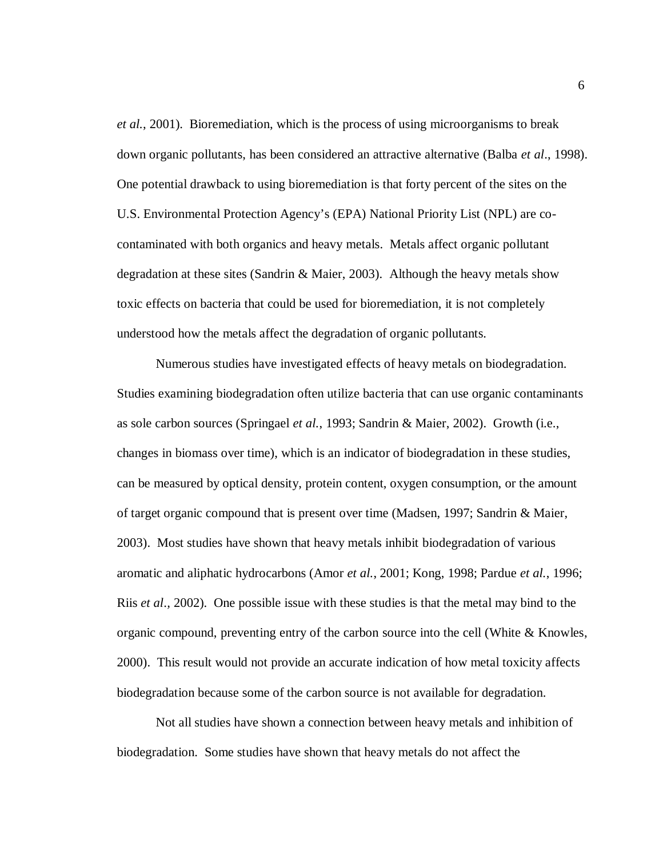*et al.*, 2001). Bioremediation, which is the process of using microorganisms to break down organic pollutants, has been considered an attractive alternative (Balba *et al*., 1998). One potential drawback to using bioremediation is that forty percent of the sites on the U.S. Environmental Protection Agency's (EPA) National Priority List (NPL) are cocontaminated with both organics and heavy metals. Metals affect organic pollutant degradation at these sites (Sandrin & Maier, 2003). Although the heavy metals show toxic effects on bacteria that could be used for bioremediation, it is not completely understood how the metals affect the degradation of organic pollutants.

Numerous studies have investigated effects of heavy metals on biodegradation. Studies examining biodegradation often utilize bacteria that can use organic contaminants as sole carbon sources (Springael *et al.*, 1993; Sandrin & Maier, 2002). Growth (i.e., changes in biomass over time), which is an indicator of biodegradation in these studies, can be measured by optical density, protein content, oxygen consumption, or the amount of target organic compound that is present over time (Madsen, 1997; Sandrin & Maier, 2003). Most studies have shown that heavy metals inhibit biodegradation of various aromatic and aliphatic hydrocarbons (Amor *et al.*, 2001; Kong, 1998; Pardue *et al.*, 1996; Riis *et al*.*,* 2002). One possible issue with these studies is that the metal may bind to the organic compound, preventing entry of the carbon source into the cell (White & Knowles, 2000). This result would not provide an accurate indication of how metal toxicity affects biodegradation because some of the carbon source is not available for degradation.

Not all studies have shown a connection between heavy metals and inhibition of biodegradation. Some studies have shown that heavy metals do not affect the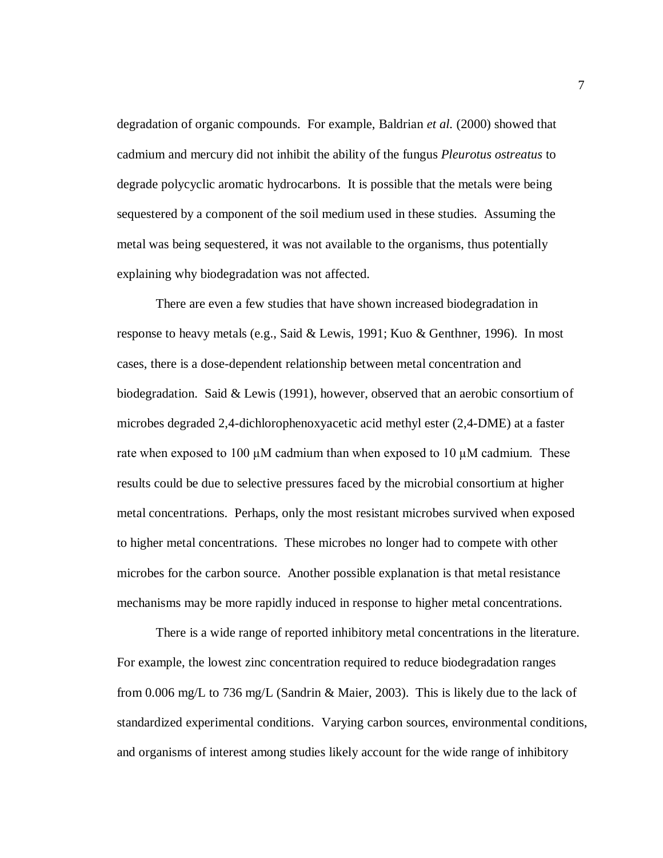degradation of organic compounds. For example, Baldrian *et al.* (2000) showed that cadmium and mercury did not inhibit the ability of the fungus *Pleurotus ostreatus* to degrade polycyclic aromatic hydrocarbons. It is possible that the metals were being sequestered by a component of the soil medium used in these studies. Assuming the metal was being sequestered, it was not available to the organisms, thus potentially explaining why biodegradation was not affected.

There are even a few studies that have shown increased biodegradation in response to heavy metals (e.g., Said & Lewis, 1991; Kuo & Genthner, 1996). In most cases, there is a dose-dependent relationship between metal concentration and biodegradation. Said & Lewis (1991), however, observed that an aerobic consortium of microbes degraded 2,4-dichlorophenoxyacetic acid methyl ester (2,4-DME) at a faster rate when exposed to 100  $\mu$ M cadmium than when exposed to 10  $\mu$ M cadmium. These results could be due to selective pressures faced by the microbial consortium at higher metal concentrations. Perhaps, only the most resistant microbes survived when exposed to higher metal concentrations. These microbes no longer had to compete with other microbes for the carbon source. Another possible explanation is that metal resistance mechanisms may be more rapidly induced in response to higher metal concentrations.

There is a wide range of reported inhibitory metal concentrations in the literature. For example, the lowest zinc concentration required to reduce biodegradation ranges from 0.006 mg/L to 736 mg/L (Sandrin & Maier, 2003). This is likely due to the lack of standardized experimental conditions. Varying carbon sources, environmental conditions, and organisms of interest among studies likely account for the wide range of inhibitory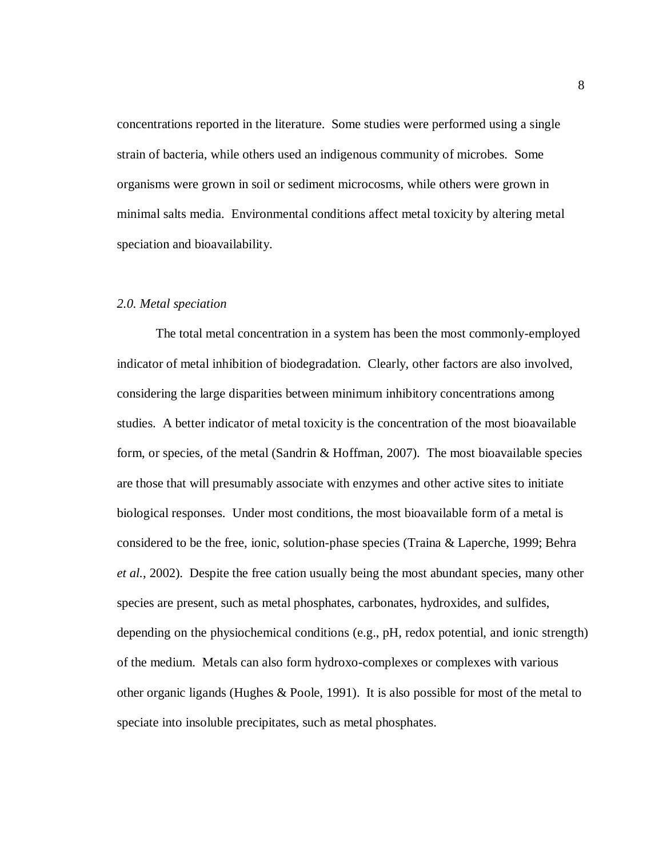concentrations reported in the literature. Some studies were performed using a single strain of bacteria, while others used an indigenous community of microbes. Some organisms were grown in soil or sediment microcosms, while others were grown in minimal salts media. Environmental conditions affect metal toxicity by altering metal speciation and bioavailability.

#### *2.0. Metal speciation*

The total metal concentration in a system has been the most commonly-employed indicator of metal inhibition of biodegradation. Clearly, other factors are also involved, considering the large disparities between minimum inhibitory concentrations among studies. A better indicator of metal toxicity is the concentration of the most bioavailable form, or species, of the metal (Sandrin  $\&$  Hoffman, 2007). The most bioavailable species are those that will presumably associate with enzymes and other active sites to initiate biological responses. Under most conditions, the most bioavailable form of a metal is considered to be the free, ionic, solution-phase species (Traina & Laperche, 1999; Behra *et al.*, 2002). Despite the free cation usually being the most abundant species, many other species are present, such as metal phosphates, carbonates, hydroxides, and sulfides, depending on the physiochemical conditions (e.g., pH, redox potential, and ionic strength) of the medium. Metals can also form hydroxo-complexes or complexes with various other organic ligands (Hughes & Poole, 1991). It is also possible for most of the metal to speciate into insoluble precipitates, such as metal phosphates.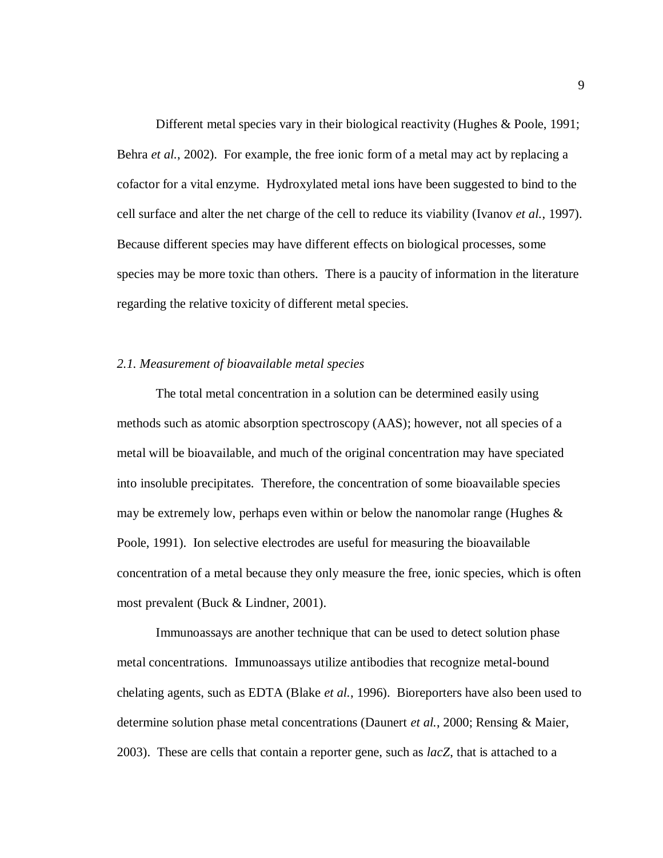Different metal species vary in their biological reactivity (Hughes & Poole, 1991; Behra *et al.*, 2002). For example, the free ionic form of a metal may act by replacing a cofactor for a vital enzyme. Hydroxylated metal ions have been suggested to bind to the cell surface and alter the net charge of the cell to reduce its viability (Ivanov *et al.*, 1997). Because different species may have different effects on biological processes, some species may be more toxic than others. There is a paucity of information in the literature regarding the relative toxicity of different metal species.

#### *2.1. Measurement of bioavailable metal species*

The total metal concentration in a solution can be determined easily using methods such as atomic absorption spectroscopy (AAS); however, not all species of a metal will be bioavailable, and much of the original concentration may have speciated into insoluble precipitates. Therefore, the concentration of some bioavailable species may be extremely low, perhaps even within or below the nanomolar range (Hughes  $\&$ Poole, 1991). Ion selective electrodes are useful for measuring the bioavailable concentration of a metal because they only measure the free, ionic species, which is often most prevalent (Buck & Lindner, 2001).

Immunoassays are another technique that can be used to detect solution phase metal concentrations. Immunoassays utilize antibodies that recognize metal-bound chelating agents, such as EDTA (Blake *et al.*, 1996). Bioreporters have also been used to determine solution phase metal concentrations (Daunert *et al.*, 2000; Rensing & Maier, 2003). These are cells that contain a reporter gene, such as *lacZ*, that is attached to a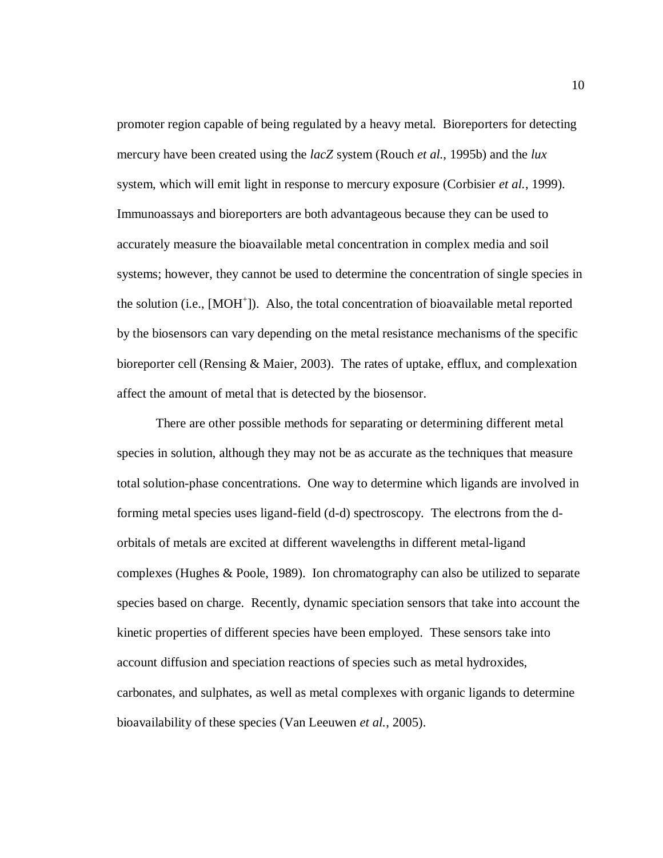promoter region capable of being regulated by a heavy metal. Bioreporters for detecting mercury have been created using the *lacZ* system (Rouch *et al.*, 1995b) and the *lux*  system, which will emit light in response to mercury exposure (Corbisier *et al.*, 1999). Immunoassays and bioreporters are both advantageous because they can be used to accurately measure the bioavailable metal concentration in complex media and soil systems; however, they cannot be used to determine the concentration of single species in the solution (i.e., [MOH<sup>+</sup>]). Also, the total concentration of bioavailable metal reported by the biosensors can vary depending on the metal resistance mechanisms of the specific bioreporter cell (Rensing & Maier, 2003). The rates of uptake, efflux, and complexation affect the amount of metal that is detected by the biosensor.

There are other possible methods for separating or determining different metal species in solution, although they may not be as accurate as the techniques that measure total solution-phase concentrations. One way to determine which ligands are involved in forming metal species uses ligand-field (d-d) spectroscopy. The electrons from the dorbitals of metals are excited at different wavelengths in different metal-ligand complexes (Hughes & Poole, 1989). Ion chromatography can also be utilized to separate species based on charge. Recently, dynamic speciation sensors that take into account the kinetic properties of different species have been employed. These sensors take into account diffusion and speciation reactions of species such as metal hydroxides, carbonates, and sulphates, as well as metal complexes with organic ligands to determine bioavailability of these species (Van Leeuwen *et al.*, 2005).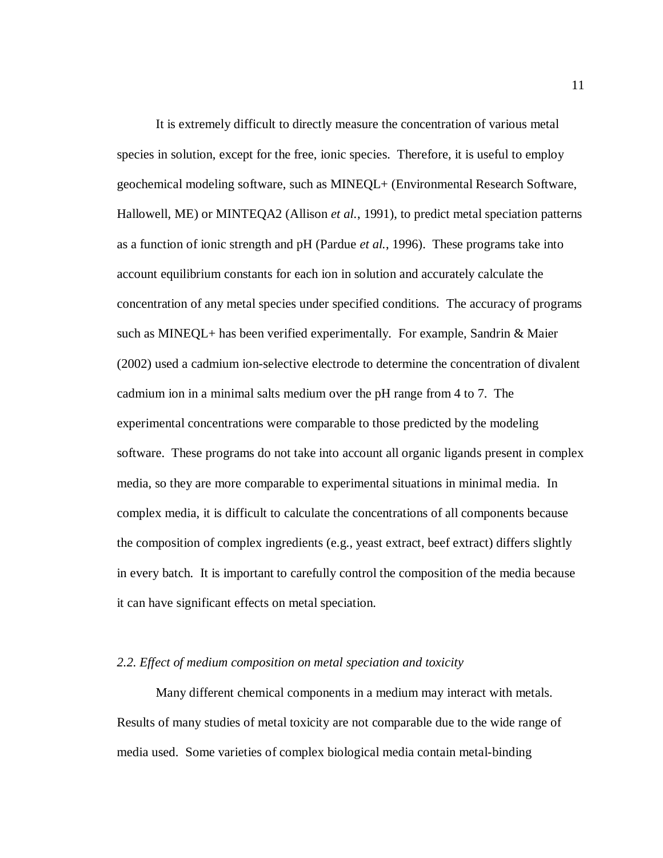It is extremely difficult to directly measure the concentration of various metal species in solution, except for the free, ionic species. Therefore, it is useful to employ geochemical modeling software, such as MINEQL+ (Environmental Research Software, Hallowell, ME) or MINTEQA2 (Allison *et al.*, 1991), to predict metal speciation patterns as a function of ionic strength and pH (Pardue *et al.*, 1996). These programs take into account equilibrium constants for each ion in solution and accurately calculate the concentration of any metal species under specified conditions. The accuracy of programs such as MINEQL+ has been verified experimentally. For example, Sandrin & Maier (2002) used a cadmium ion-selective electrode to determine the concentration of divalent cadmium ion in a minimal salts medium over the pH range from 4 to 7. The experimental concentrations were comparable to those predicted by the modeling software. These programs do not take into account all organic ligands present in complex media, so they are more comparable to experimental situations in minimal media. In complex media, it is difficult to calculate the concentrations of all components because the composition of complex ingredients (e.g., yeast extract, beef extract) differs slightly in every batch. It is important to carefully control the composition of the media because it can have significant effects on metal speciation.

#### *2.2. Effect of medium composition on metal speciation and toxicity*

Many different chemical components in a medium may interact with metals. Results of many studies of metal toxicity are not comparable due to the wide range of media used. Some varieties of complex biological media contain metal-binding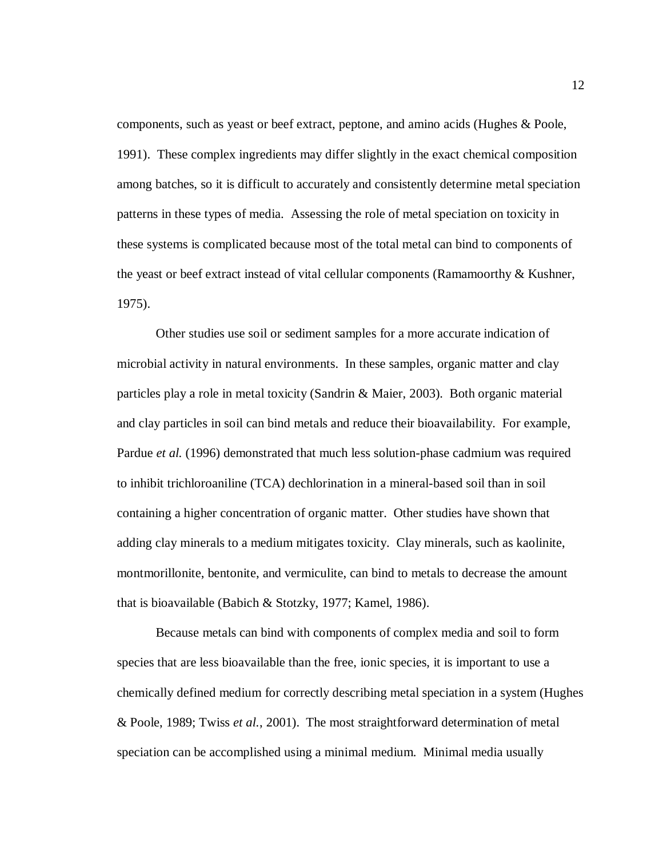components, such as yeast or beef extract, peptone, and amino acids (Hughes & Poole, 1991). These complex ingredients may differ slightly in the exact chemical composition among batches, so it is difficult to accurately and consistently determine metal speciation patterns in these types of media. Assessing the role of metal speciation on toxicity in these systems is complicated because most of the total metal can bind to components of the yeast or beef extract instead of vital cellular components (Ramamoorthy & Kushner, 1975).

Other studies use soil or sediment samples for a more accurate indication of microbial activity in natural environments. In these samples, organic matter and clay particles play a role in metal toxicity (Sandrin & Maier, 2003). Both organic material and clay particles in soil can bind metals and reduce their bioavailability. For example, Pardue *et al.* (1996) demonstrated that much less solution-phase cadmium was required to inhibit trichloroaniline (TCA) dechlorination in a mineral-based soil than in soil containing a higher concentration of organic matter. Other studies have shown that adding clay minerals to a medium mitigates toxicity. Clay minerals, such as kaolinite, montmorillonite, bentonite, and vermiculite, can bind to metals to decrease the amount that is bioavailable (Babich & Stotzky, 1977; Kamel, 1986).

Because metals can bind with components of complex media and soil to form species that are less bioavailable than the free, ionic species, it is important to use a chemically defined medium for correctly describing metal speciation in a system (Hughes & Poole, 1989; Twiss *et al.*, 2001). The most straightforward determination of metal speciation can be accomplished using a minimal medium. Minimal media usually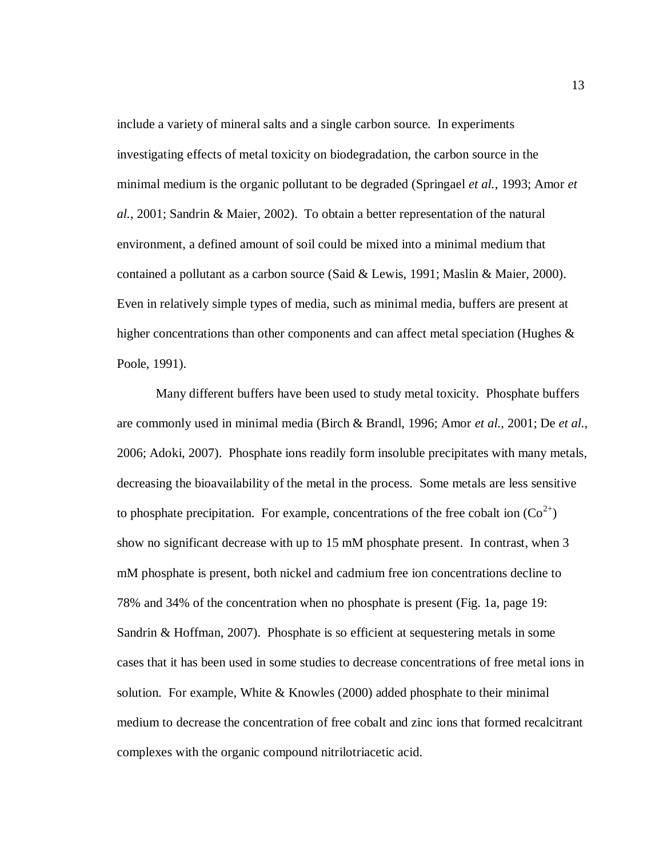include a variety of mineral salts and a single carbon source. In experiments investigating effects of metal toxicity on biodegradation, the carbon source in the minimal medium is the organic pollutant to be degraded (Springael *et al.*, 1993; Amor *et al.*, 2001; Sandrin & Maier, 2002). To obtain a better representation of the natural environment, a defined amount of soil could be mixed into a minimal medium that contained a pollutant as a carbon source (Said & Lewis, 1991; Maslin & Maier, 2000). Even in relatively simple types of media, such as minimal media, buffers are present at higher concentrations than other components and can affect metal speciation (Hughes & Poole, 1991).

Many different buffers have been used to study metal toxicity. Phosphate buffers are commonly used in minimal media (Birch & Brandl, 1996; Amor *et al.*, 2001; De *et al.*, 2006; Adoki, 2007). Phosphate ions readily form insoluble precipitates with many metals, decreasing the bioavailability of the metal in the process. Some metals are less sensitive to phosphate precipitation. For example, concentrations of the free cobalt ion  $(Co^{2+})$ show no significant decrease with up to 15 mM phosphate present. In contrast, when 3 mM phosphate is present, both nickel and cadmium free ion concentrations decline to 78% and 34% of the concentration when no phosphate is present (Fig. 1a, page 19: Sandrin & Hoffman, 2007). Phosphate is so efficient at sequestering metals in some cases that it has been used in some studies to decrease concentrations of free metal ions in solution. For example, White  $&$  Knowles (2000) added phosphate to their minimal medium to decrease the concentration of free cobalt and zinc ions that formed recalcitrant complexes with the organic compound nitrilotriacetic acid.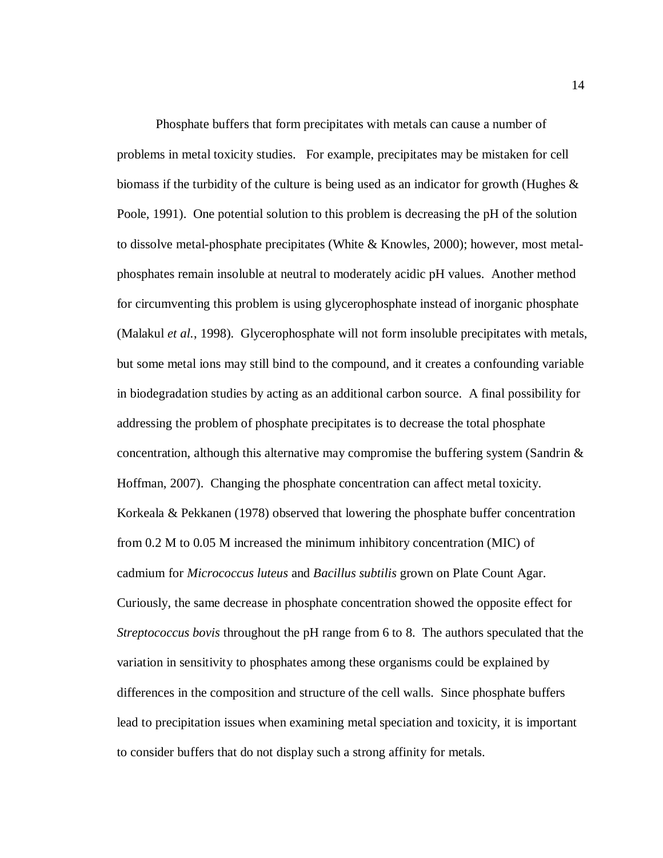Phosphate buffers that form precipitates with metals can cause a number of problems in metal toxicity studies. For example, precipitates may be mistaken for cell biomass if the turbidity of the culture is being used as an indicator for growth (Hughes & Poole, 1991). One potential solution to this problem is decreasing the pH of the solution to dissolve metal-phosphate precipitates (White & Knowles, 2000); however, most metalphosphates remain insoluble at neutral to moderately acidic pH values. Another method for circumventing this problem is using glycerophosphate instead of inorganic phosphate (Malakul *et al.*, 1998). Glycerophosphate will not form insoluble precipitates with metals, but some metal ions may still bind to the compound, and it creates a confounding variable in biodegradation studies by acting as an additional carbon source. A final possibility for addressing the problem of phosphate precipitates is to decrease the total phosphate concentration, although this alternative may compromise the buffering system (Sandrin  $\&$ Hoffman, 2007). Changing the phosphate concentration can affect metal toxicity. Korkeala & Pekkanen (1978) observed that lowering the phosphate buffer concentration from 0.2 M to 0.05 M increased the minimum inhibitory concentration (MIC) of cadmium for *Micrococcus luteus* and *Bacillus subtilis* grown on Plate Count Agar. Curiously, the same decrease in phosphate concentration showed the opposite effect for *Streptococcus bovis* throughout the pH range from 6 to 8. The authors speculated that the variation in sensitivity to phosphates among these organisms could be explained by differences in the composition and structure of the cell walls. Since phosphate buffers lead to precipitation issues when examining metal speciation and toxicity, it is important to consider buffers that do not display such a strong affinity for metals.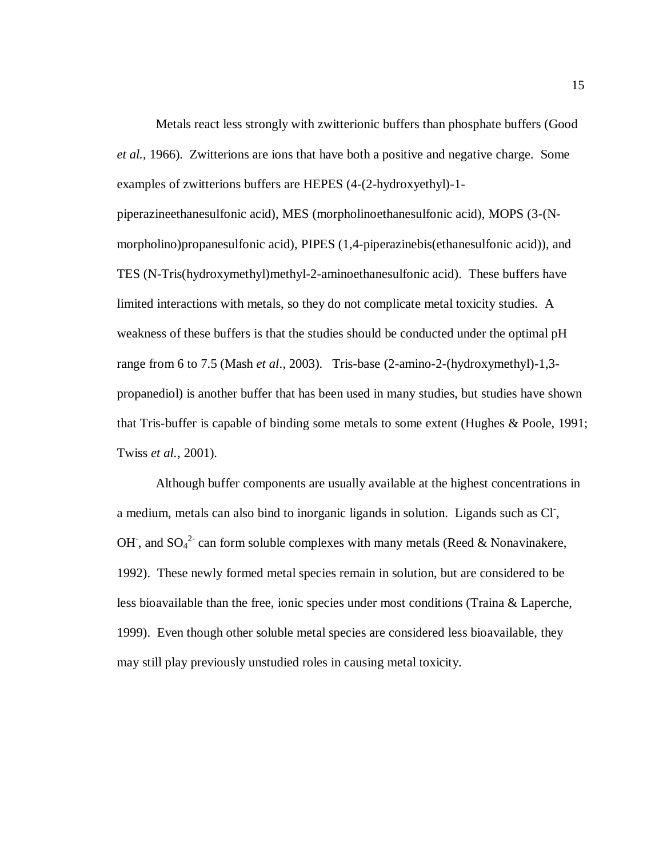Metals react less strongly with zwitterionic buffers than phosphate buffers (Good *et al.*, 1966). Zwitterions are ions that have both a positive and negative charge. Some examples of zwitterions buffers are HEPES (4-(2-hydroxyethyl)-1-

piperazineethanesulfonic acid), MES (morpholinoethanesulfonic acid), MOPS (3-(Nmorpholino)propanesulfonic acid), PIPES (1,4-piperazinebis(ethanesulfonic acid)), and TES (N-Tris(hydroxymethyl)methyl-2-aminoethanesulfonic acid). These buffers have limited interactions with metals, so they do not complicate metal toxicity studies. A weakness of these buffers is that the studies should be conducted under the optimal pH range from 6 to 7.5 (Mash *et al*., 2003). Tris-base (2-amino-2-(hydroxymethyl)-1,3 propanediol) is another buffer that has been used in many studies, but studies have shown that Tris-buffer is capable of binding some metals to some extent (Hughes & Poole, 1991; Twiss *et al.*, 2001).

Although buffer components are usually available at the highest concentrations in a medium, metals can also bind to inorganic ligands in solution. Ligands such as Cl, OH, and  $SO_4^2$  can form soluble complexes with many metals (Reed & Nonavinakere, 1992). These newly formed metal species remain in solution, but are considered to be less bioavailable than the free, ionic species under most conditions (Traina & Laperche, 1999). Even though other soluble metal species are considered less bioavailable, they may still play previously unstudied roles in causing metal toxicity.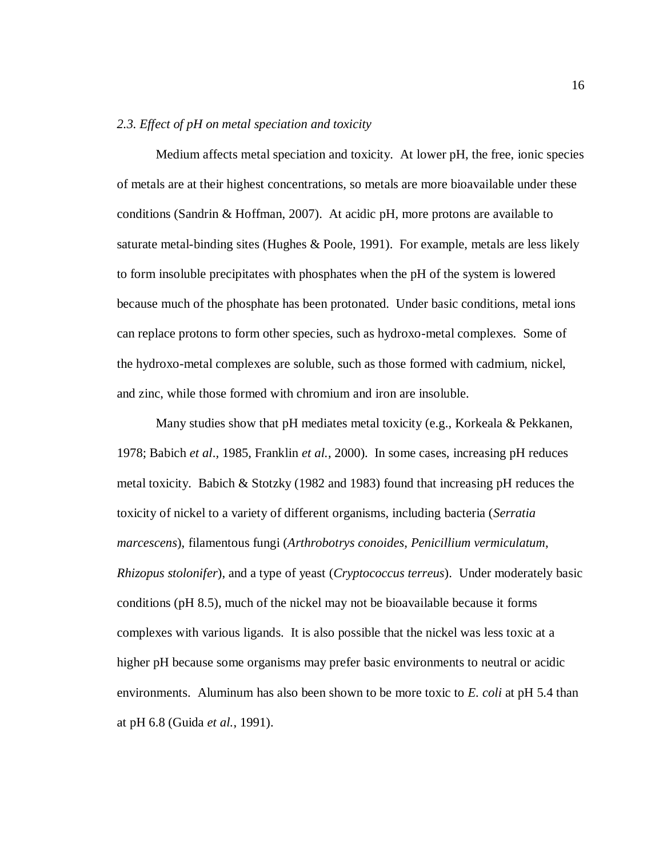#### *2.3. Effect of pH on metal speciation and toxicity*

Medium affects metal speciation and toxicity. At lower pH, the free, ionic species of metals are at their highest concentrations, so metals are more bioavailable under these conditions (Sandrin & Hoffman, 2007). At acidic pH, more protons are available to saturate metal-binding sites (Hughes & Poole, 1991). For example, metals are less likely to form insoluble precipitates with phosphates when the pH of the system is lowered because much of the phosphate has been protonated. Under basic conditions, metal ions can replace protons to form other species, such as hydroxo-metal complexes. Some of the hydroxo-metal complexes are soluble, such as those formed with cadmium, nickel, and zinc, while those formed with chromium and iron are insoluble.

Many studies show that pH mediates metal toxicity (e.g., Korkeala & Pekkanen, 1978; Babich *et al*.*,* 1985, Franklin *et al.*, 2000). In some cases, increasing pH reduces metal toxicity. Babich  $&$  Stotzky (1982 and 1983) found that increasing pH reduces the toxicity of nickel to a variety of different organisms, including bacteria (*Serratia marcescens*), filamentous fungi (*Arthrobotrys conoides*, *Penicillium vermiculatum*, *Rhizopus stolonifer*), and a type of yeast (*Cryptococcus terreus*). Under moderately basic conditions (pH 8.5), much of the nickel may not be bioavailable because it forms complexes with various ligands. It is also possible that the nickel was less toxic at a higher pH because some organisms may prefer basic environments to neutral or acidic environments. Aluminum has also been shown to be more toxic to *E. coli* at pH 5.4 than at pH 6.8 (Guida *et al.*, 1991).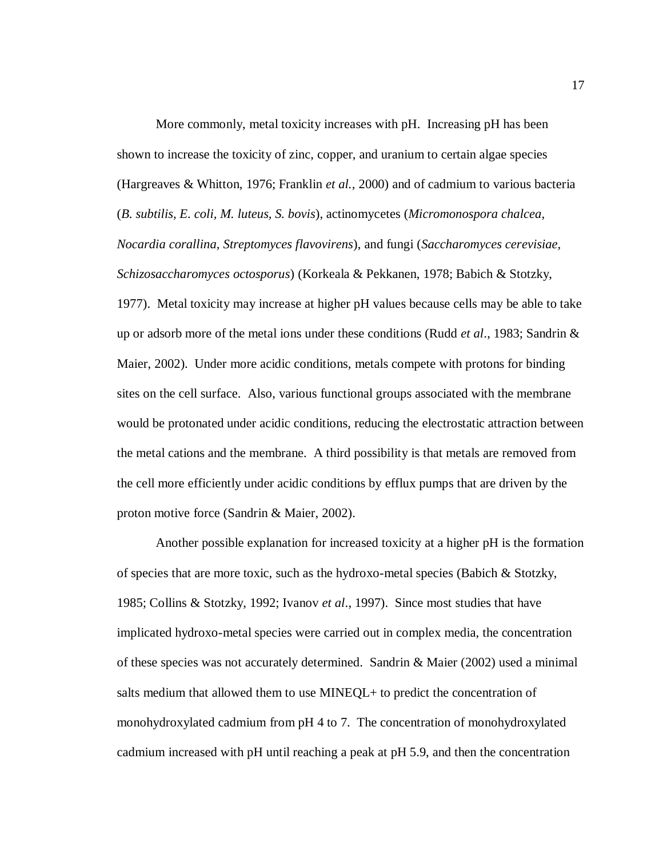More commonly, metal toxicity increases with pH. Increasing pH has been shown to increase the toxicity of zinc, copper, and uranium to certain algae species (Hargreaves & Whitton, 1976; Franklin *et al.*, 2000) and of cadmium to various bacteria (*B. subtilis, E. coli, M. luteus, S. bovis*), actinomycetes (*Micromonospora chalcea, Nocardia corallina, Streptomyces flavovirens*), and fungi (*Saccharomyces cerevisiae, Schizosaccharomyces octosporus*) (Korkeala & Pekkanen, 1978; Babich & Stotzky, 1977). Metal toxicity may increase at higher pH values because cells may be able to take up or adsorb more of the metal ions under these conditions (Rudd *et al*., 1983; Sandrin & Maier, 2002). Under more acidic conditions, metals compete with protons for binding sites on the cell surface. Also, various functional groups associated with the membrane would be protonated under acidic conditions, reducing the electrostatic attraction between the metal cations and the membrane. A third possibility is that metals are removed from the cell more efficiently under acidic conditions by efflux pumps that are driven by the proton motive force (Sandrin & Maier, 2002).

Another possible explanation for increased toxicity at a higher pH is the formation of species that are more toxic, such as the hydroxo-metal species (Babich & Stotzky, 1985; Collins & Stotzky, 1992; Ivanov *et al*., 1997). Since most studies that have implicated hydroxo-metal species were carried out in complex media, the concentration of these species was not accurately determined. Sandrin  $\&$  Maier (2002) used a minimal salts medium that allowed them to use MINEQL+ to predict the concentration of monohydroxylated cadmium from pH 4 to 7. The concentration of monohydroxylated cadmium increased with pH until reaching a peak at pH 5.9, and then the concentration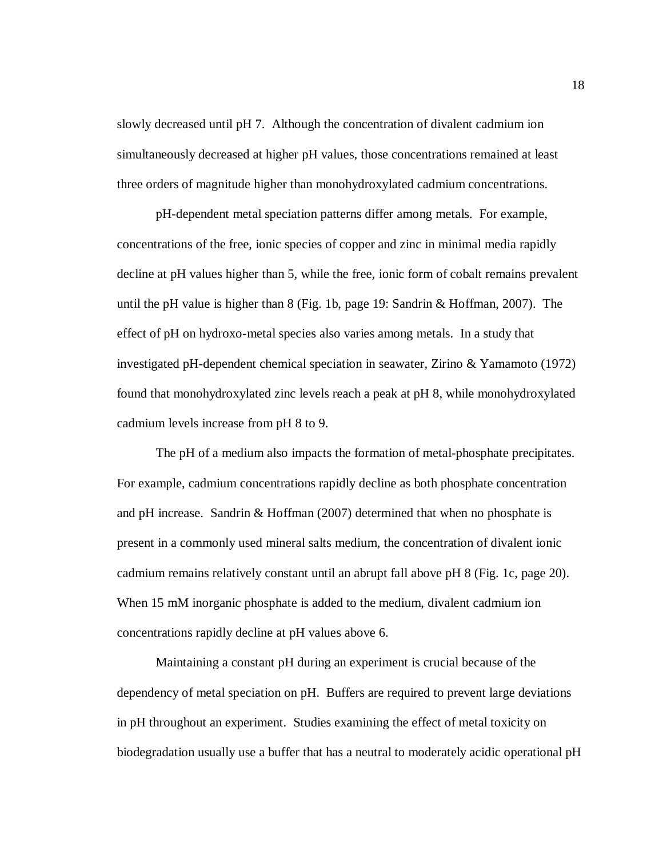slowly decreased until pH 7. Although the concentration of divalent cadmium ion simultaneously decreased at higher pH values, those concentrations remained at least three orders of magnitude higher than monohydroxylated cadmium concentrations.

pH-dependent metal speciation patterns differ among metals. For example, concentrations of the free, ionic species of copper and zinc in minimal media rapidly decline at pH values higher than 5, while the free, ionic form of cobalt remains prevalent until the pH value is higher than 8 (Fig. 1b, page 19: Sandrin & Hoffman, 2007). The effect of pH on hydroxo-metal species also varies among metals. In a study that investigated pH-dependent chemical speciation in seawater, Zirino & Yamamoto (1972) found that monohydroxylated zinc levels reach a peak at pH 8, while monohydroxylated cadmium levels increase from pH 8 to 9.

The pH of a medium also impacts the formation of metal-phosphate precipitates. For example, cadmium concentrations rapidly decline as both phosphate concentration and pH increase. Sandrin & Hoffman (2007) determined that when no phosphate is present in a commonly used mineral salts medium, the concentration of divalent ionic cadmium remains relatively constant until an abrupt fall above pH 8 (Fig. 1c, page 20). When 15 mM inorganic phosphate is added to the medium, divalent cadmium ion concentrations rapidly decline at pH values above 6.

Maintaining a constant pH during an experiment is crucial because of the dependency of metal speciation on pH. Buffers are required to prevent large deviations in pH throughout an experiment. Studies examining the effect of metal toxicity on biodegradation usually use a buffer that has a neutral to moderately acidic operational pH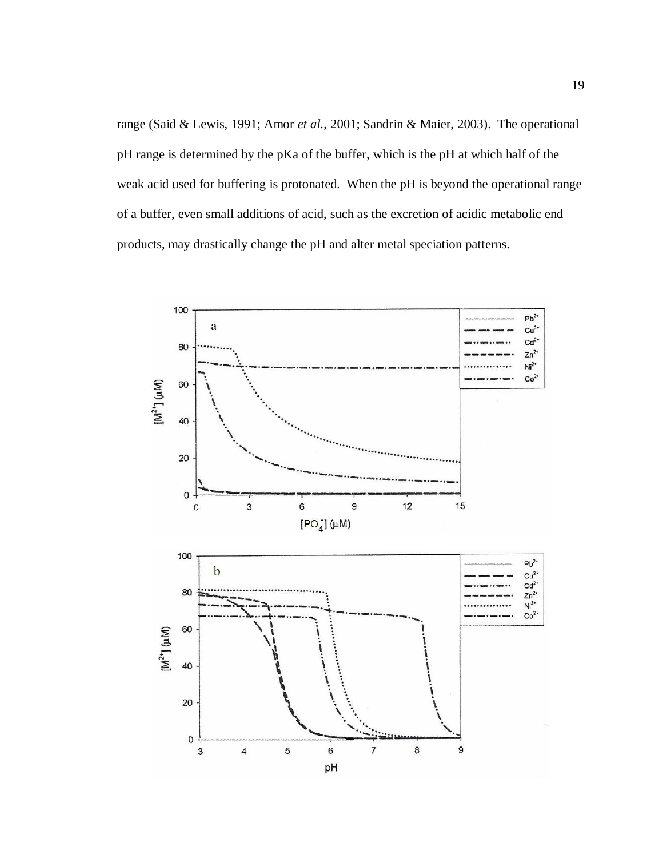range (Said & Lewis, 1991; Amor *et al.*, 2001; Sandrin & Maier, 2003). The operational pH range is determined by the pKa of the buffer, which is the pH at which half of the weak acid used for buffering is protonated. When the pH is beyond the operational range of a buffer, even small additions of acid, such as the excretion of acidic metabolic end products, may drastically change the pH and alter metal speciation patterns.

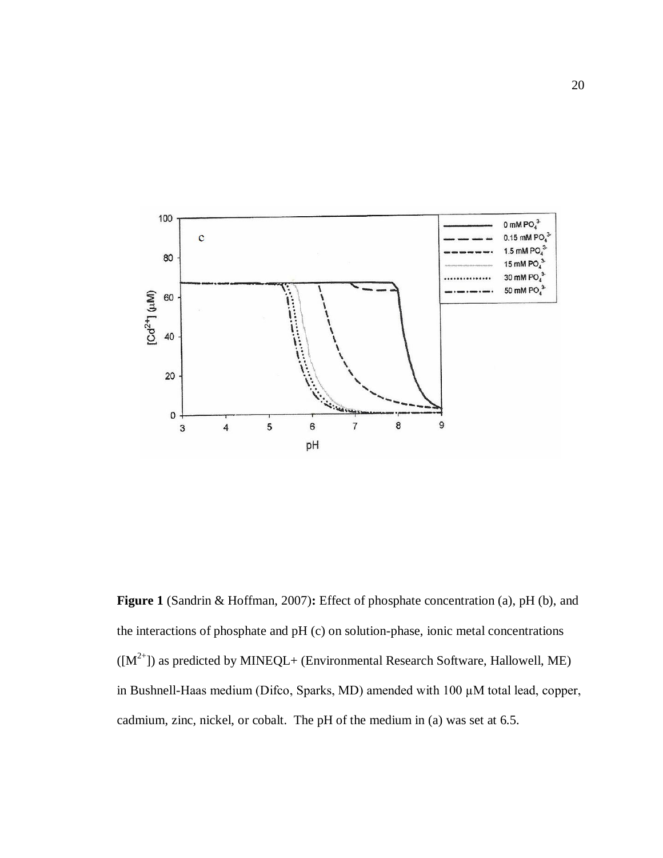

**Figure 1** (Sandrin & Hoffman, 2007)**:** Effect of phosphate concentration (a), pH (b), and the interactions of phosphate and pH (c) on solution-phase, ionic metal concentrations  $([M^{2+}])$  as predicted by MINEQL+ (Environmental Research Software, Hallowell, ME) in Bushnell-Haas medium (Difco, Sparks, MD) amended with 100 µM total lead, copper, cadmium, zinc, nickel, or cobalt. The pH of the medium in (a) was set at 6.5.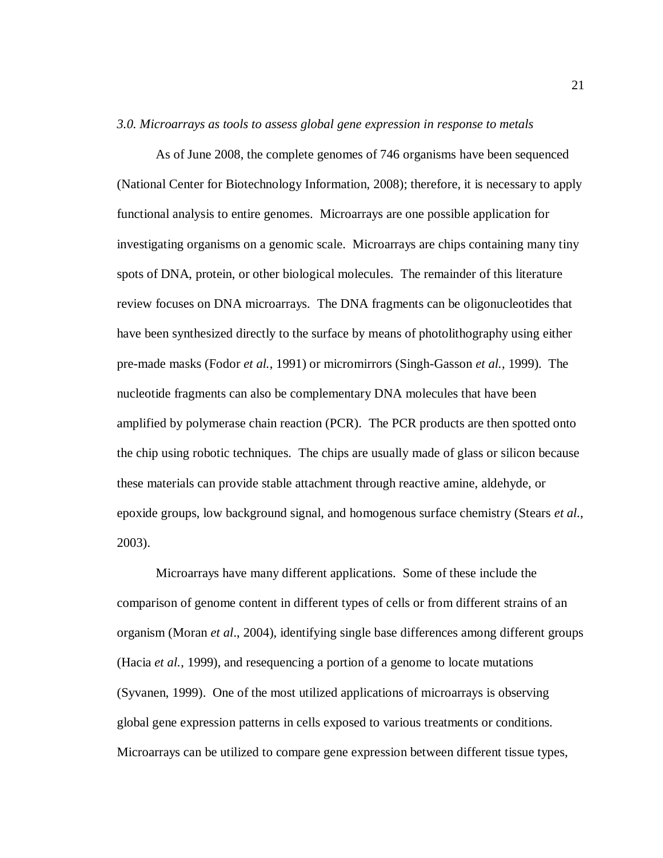#### *3.0. Microarrays as tools to assess global gene expression in response to metals*

As of June 2008, the complete genomes of 746 organisms have been sequenced (National Center for Biotechnology Information, 2008); therefore, it is necessary to apply functional analysis to entire genomes. Microarrays are one possible application for investigating organisms on a genomic scale. Microarrays are chips containing many tiny spots of DNA, protein, or other biological molecules. The remainder of this literature review focuses on DNA microarrays. The DNA fragments can be oligonucleotides that have been synthesized directly to the surface by means of photolithography using either pre-made masks (Fodor *et al.*, 1991) or micromirrors (Singh-Gasson *et al.*, 1999). The nucleotide fragments can also be complementary DNA molecules that have been amplified by polymerase chain reaction (PCR). The PCR products are then spotted onto the chip using robotic techniques. The chips are usually made of glass or silicon because these materials can provide stable attachment through reactive amine, aldehyde, or epoxide groups, low background signal, and homogenous surface chemistry (Stears *et al.*, 2003).

Microarrays have many different applications. Some of these include the comparison of genome content in different types of cells or from different strains of an organism (Moran *et al*., 2004), identifying single base differences among different groups (Hacia *et al.*, 1999), and resequencing a portion of a genome to locate mutations (Syvanen, 1999). One of the most utilized applications of microarrays is observing global gene expression patterns in cells exposed to various treatments or conditions. Microarrays can be utilized to compare gene expression between different tissue types,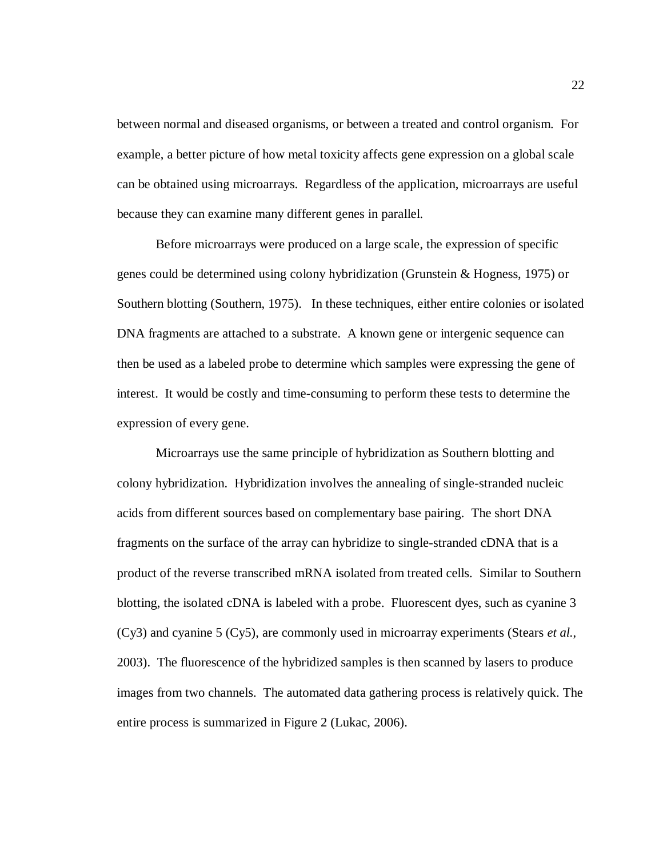between normal and diseased organisms, or between a treated and control organism. For example, a better picture of how metal toxicity affects gene expression on a global scale can be obtained using microarrays. Regardless of the application, microarrays are useful because they can examine many different genes in parallel.

Before microarrays were produced on a large scale, the expression of specific genes could be determined using colony hybridization (Grunstein & Hogness, 1975) or Southern blotting (Southern, 1975). In these techniques, either entire colonies or isolated DNA fragments are attached to a substrate. A known gene or intergenic sequence can then be used as a labeled probe to determine which samples were expressing the gene of interest. It would be costly and time-consuming to perform these tests to determine the expression of every gene.

Microarrays use the same principle of hybridization as Southern blotting and colony hybridization. Hybridization involves the annealing of single-stranded nucleic acids from different sources based on complementary base pairing. The short DNA fragments on the surface of the array can hybridize to single-stranded cDNA that is a product of the reverse transcribed mRNA isolated from treated cells. Similar to Southern blotting, the isolated cDNA is labeled with a probe. Fluorescent dyes, such as cyanine 3 (Cy3) and cyanine 5 (Cy5), are commonly used in microarray experiments (Stears *et al.*, 2003). The fluorescence of the hybridized samples is then scanned by lasers to produce images from two channels. The automated data gathering process is relatively quick. The entire process is summarized in Figure 2 (Lukac, 2006).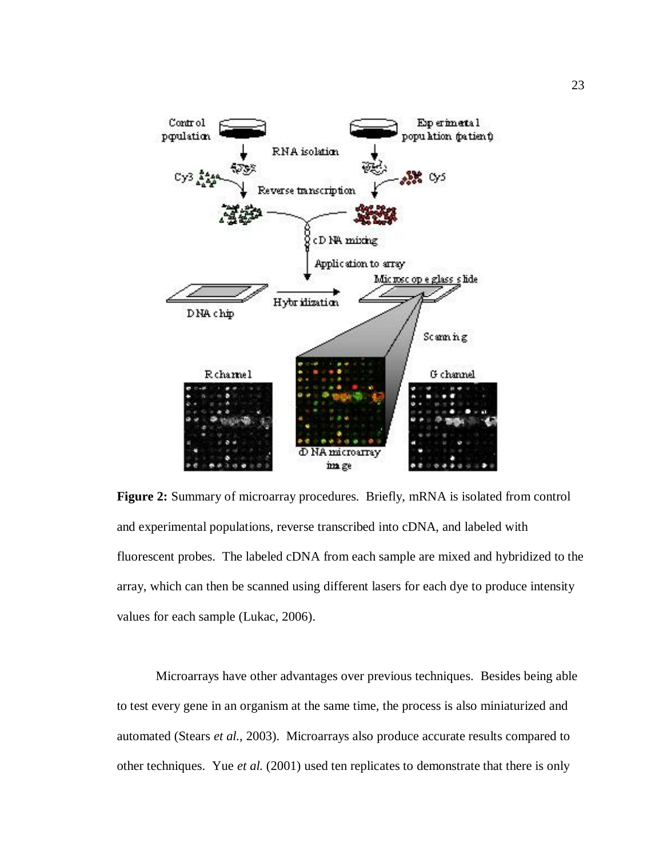

**Figure 2:** Summary of microarray procedures. Briefly, mRNA is isolated from control and experimental populations, reverse transcribed into cDNA, and labeled with fluorescent probes. The labeled cDNA from each sample are mixed and hybridized to the array, which can then be scanned using different lasers for each dye to produce intensity values for each sample (Lukac, 2006).

Microarrays have other advantages over previous techniques. Besides being able to test every gene in an organism at the same time, the process is also miniaturized and automated (Stears *et al.*, 2003). Microarrays also produce accurate results compared to other techniques. Yue *et al.* (2001) used ten replicates to demonstrate that there is only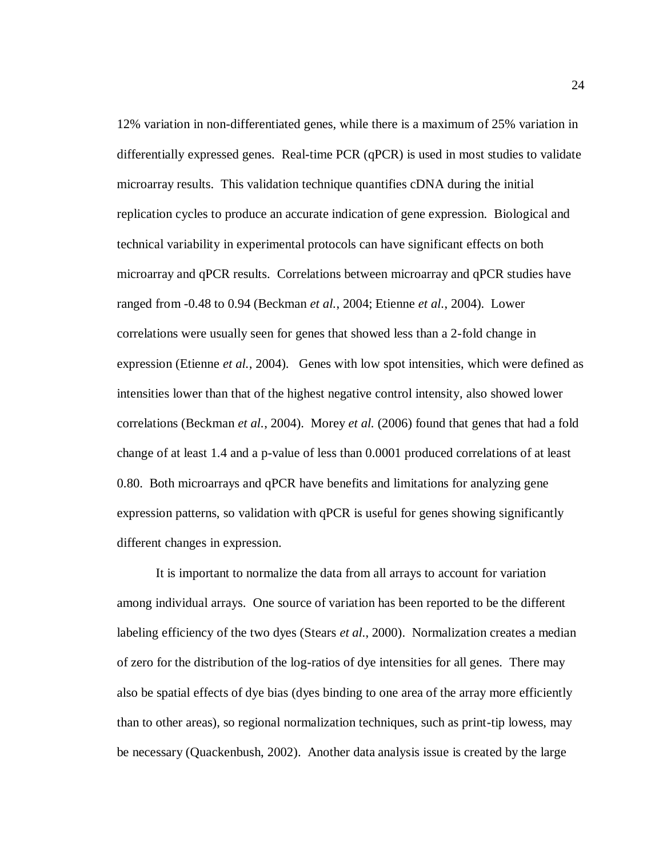12% variation in non-differentiated genes, while there is a maximum of 25% variation in differentially expressed genes. Real-time PCR (qPCR) is used in most studies to validate microarray results. This validation technique quantifies cDNA during the initial replication cycles to produce an accurate indication of gene expression. Biological and technical variability in experimental protocols can have significant effects on both microarray and qPCR results. Correlations between microarray and qPCR studies have ranged from -0.48 to 0.94 (Beckman *et al.*, 2004; Etienne *et al.*, 2004). Lower correlations were usually seen for genes that showed less than a 2-fold change in expression (Etienne *et al.*, 2004). Genes with low spot intensities, which were defined as intensities lower than that of the highest negative control intensity, also showed lower correlations (Beckman *et al.*, 2004). Morey *et al.* (2006) found that genes that had a fold change of at least 1.4 and a p-value of less than 0.0001 produced correlations of at least 0.80. Both microarrays and qPCR have benefits and limitations for analyzing gene expression patterns, so validation with qPCR is useful for genes showing significantly different changes in expression.

It is important to normalize the data from all arrays to account for variation among individual arrays. One source of variation has been reported to be the different labeling efficiency of the two dyes (Stears *et al*., 2000). Normalization creates a median of zero for the distribution of the log-ratios of dye intensities for all genes. There may also be spatial effects of dye bias (dyes binding to one area of the array more efficiently than to other areas), so regional normalization techniques, such as print-tip lowess, may be necessary (Quackenbush, 2002). Another data analysis issue is created by the large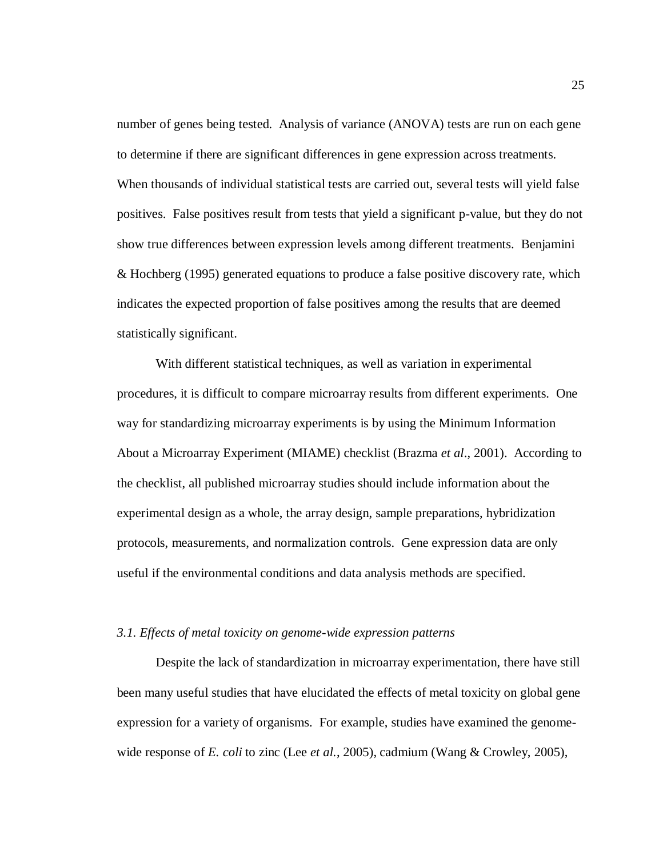number of genes being tested. Analysis of variance (ANOVA) tests are run on each gene to determine if there are significant differences in gene expression across treatments. When thousands of individual statistical tests are carried out, several tests will yield false positives. False positives result from tests that yield a significant p-value, but they do not show true differences between expression levels among different treatments. Benjamini & Hochberg (1995) generated equations to produce a false positive discovery rate, which indicates the expected proportion of false positives among the results that are deemed statistically significant.

With different statistical techniques, as well as variation in experimental procedures, it is difficult to compare microarray results from different experiments. One way for standardizing microarray experiments is by using the Minimum Information About a Microarray Experiment (MIAME) checklist (Brazma *et al*., 2001). According to the checklist, all published microarray studies should include information about the experimental design as a whole, the array design, sample preparations, hybridization protocols, measurements, and normalization controls. Gene expression data are only useful if the environmental conditions and data analysis methods are specified.

#### *3.1. Effects of metal toxicity on genome-wide expression patterns*

Despite the lack of standardization in microarray experimentation, there have still been many useful studies that have elucidated the effects of metal toxicity on global gene expression for a variety of organisms. For example, studies have examined the genomewide response of *E. coli* to zinc (Lee *et al.*, 2005), cadmium (Wang & Crowley, 2005),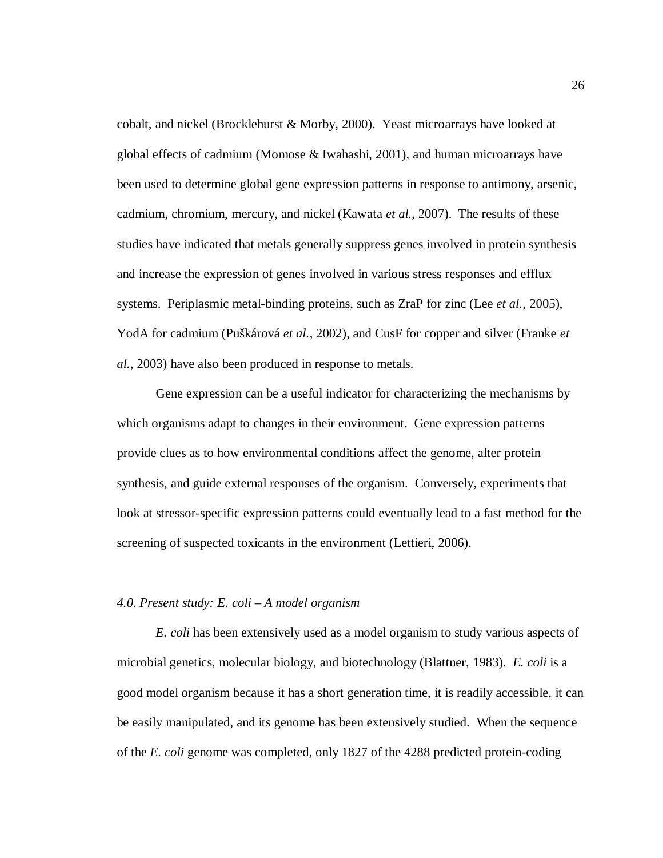cobalt, and nickel (Brocklehurst & Morby, 2000). Yeast microarrays have looked at global effects of cadmium (Momose & Iwahashi, 2001), and human microarrays have been used to determine global gene expression patterns in response to antimony, arsenic, cadmium, chromium, mercury, and nickel (Kawata *et al.*, 2007). The results of these studies have indicated that metals generally suppress genes involved in protein synthesis and increase the expression of genes involved in various stress responses and efflux systems. Periplasmic metal-binding proteins, such as ZraP for zinc (Lee *et al.*, 2005), YodA for cadmium (Puškárová *et al.*, 2002), and CusF for copper and silver (Franke *et al.*, 2003) have also been produced in response to metals.

Gene expression can be a useful indicator for characterizing the mechanisms by which organisms adapt to changes in their environment. Gene expression patterns provide clues as to how environmental conditions affect the genome, alter protein synthesis, and guide external responses of the organism. Conversely, experiments that look at stressor-specific expression patterns could eventually lead to a fast method for the screening of suspected toxicants in the environment (Lettieri, 2006).

#### *4.0. Present study: E. coli – A model organism*

*E. coli* has been extensively used as a model organism to study various aspects of microbial genetics, molecular biology, and biotechnology (Blattner, 1983). *E. coli* is a good model organism because it has a short generation time, it is readily accessible, it can be easily manipulated, and its genome has been extensively studied. When the sequence of the *E. coli* genome was completed, only 1827 of the 4288 predicted protein-coding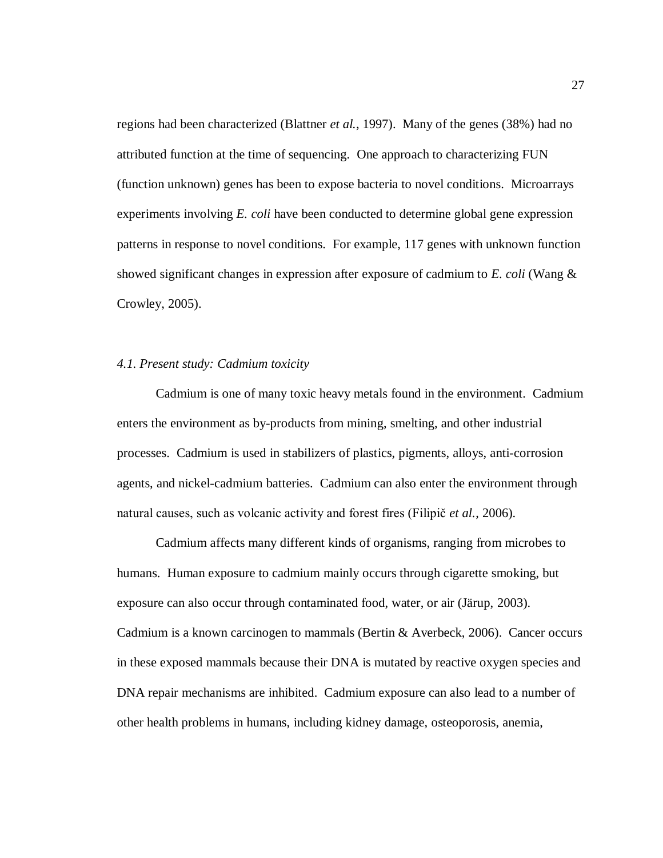regions had been characterized (Blattner *et al.*, 1997). Many of the genes (38%) had no attributed function at the time of sequencing. One approach to characterizing FUN (function unknown) genes has been to expose bacteria to novel conditions. Microarrays experiments involving *E. coli* have been conducted to determine global gene expression patterns in response to novel conditions. For example, 117 genes with unknown function showed significant changes in expression after exposure of cadmium to *E. coli* (Wang & Crowley, 2005).

#### *4.1. Present study: Cadmium toxicity*

Cadmium is one of many toxic heavy metals found in the environment. Cadmium enters the environment as by-products from mining, smelting, and other industrial processes. Cadmium is used in stabilizers of plastics, pigments, alloys, anti-corrosion agents, and nickel-cadmium batteries. Cadmium can also enter the environment through natural causes, such as volcanic activity and forest fires (Filipič *et al.*, 2006).

Cadmium affects many different kinds of organisms, ranging from microbes to humans. Human exposure to cadmium mainly occurs through cigarette smoking, but exposure can also occur through contaminated food, water, or air (Järup, 2003). Cadmium is a known carcinogen to mammals (Bertin & Averbeck, 2006). Cancer occurs in these exposed mammals because their DNA is mutated by reactive oxygen species and DNA repair mechanisms are inhibited. Cadmium exposure can also lead to a number of other health problems in humans, including kidney damage, osteoporosis, anemia,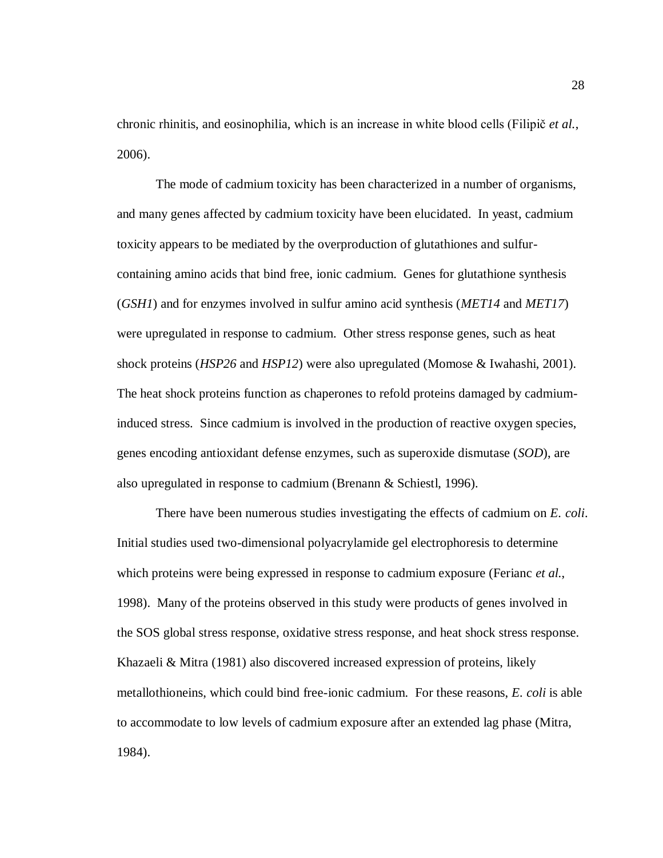chronic rhinitis, and eosinophilia, which is an increase in white blood cells (Filipič *et al.*, 2006).

The mode of cadmium toxicity has been characterized in a number of organisms, and many genes affected by cadmium toxicity have been elucidated. In yeast, cadmium toxicity appears to be mediated by the overproduction of glutathiones and sulfurcontaining amino acids that bind free, ionic cadmium. Genes for glutathione synthesis (*GSH1*) and for enzymes involved in sulfur amino acid synthesis (*MET14* and *MET17*) were upregulated in response to cadmium. Other stress response genes, such as heat shock proteins (*HSP26* and *HSP12*) were also upregulated (Momose & Iwahashi, 2001). The heat shock proteins function as chaperones to refold proteins damaged by cadmiuminduced stress. Since cadmium is involved in the production of reactive oxygen species, genes encoding antioxidant defense enzymes, such as superoxide dismutase (*SOD*), are also upregulated in response to cadmium (Brenann & Schiestl, 1996).

There have been numerous studies investigating the effects of cadmium on *E. coli*. Initial studies used two-dimensional polyacrylamide gel electrophoresis to determine which proteins were being expressed in response to cadmium exposure (Ferianc *et al.*, 1998). Many of the proteins observed in this study were products of genes involved in the SOS global stress response, oxidative stress response, and heat shock stress response. Khazaeli & Mitra (1981) also discovered increased expression of proteins, likely metallothioneins, which could bind free-ionic cadmium. For these reasons, *E. coli* is able to accommodate to low levels of cadmium exposure after an extended lag phase (Mitra, 1984).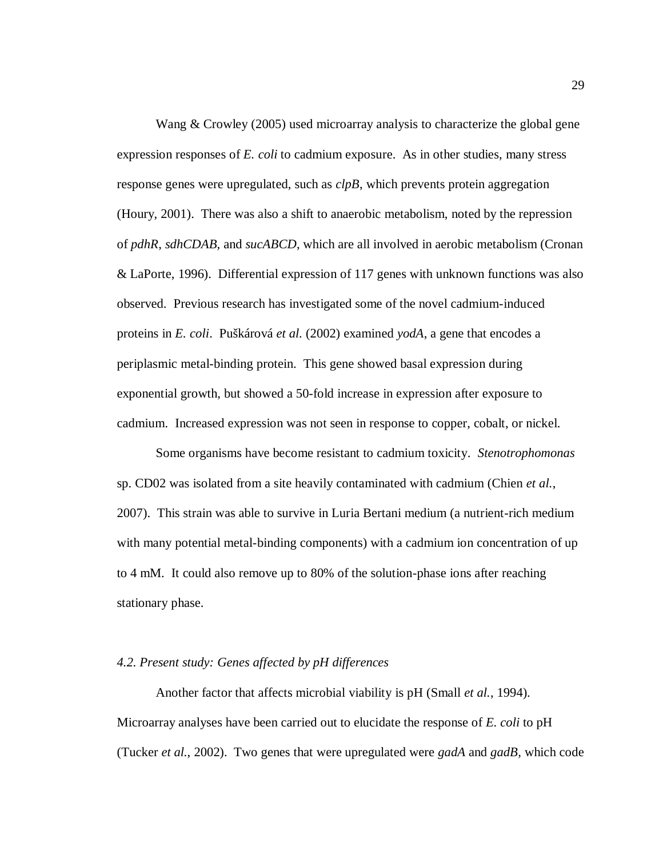Wang & Crowley (2005) used microarray analysis to characterize the global gene expression responses of *E. coli* to cadmium exposure. As in other studies, many stress response genes were upregulated, such as *clpB*, which prevents protein aggregation (Houry, 2001). There was also a shift to anaerobic metabolism, noted by the repression of *pdhR*, *sdhCDAB*, and *sucABCD*, which are all involved in aerobic metabolism (Cronan & LaPorte, 1996). Differential expression of 117 genes with unknown functions was also observed. Previous research has investigated some of the novel cadmium-induced proteins in *E. coli*. Puškárová *et al.* (2002) examined *yodA*, a gene that encodes a periplasmic metal-binding protein. This gene showed basal expression during exponential growth, but showed a 50-fold increase in expression after exposure to cadmium. Increased expression was not seen in response to copper, cobalt, or nickel.

Some organisms have become resistant to cadmium toxicity. *Stenotrophomonas* sp. CD02 was isolated from a site heavily contaminated with cadmium (Chien *et al.*, 2007). This strain was able to survive in Luria Bertani medium (a nutrient-rich medium with many potential metal-binding components) with a cadmium ion concentration of up to 4 mM. It could also remove up to 80% of the solution-phase ions after reaching stationary phase.

#### *4.2. Present study: Genes affected by pH differences*

Another factor that affects microbial viability is pH (Small *et al.*, 1994). Microarray analyses have been carried out to elucidate the response of *E. coli* to pH (Tucker *et al.*, 2002). Two genes that were upregulated were *gadA* and *gadB,* which code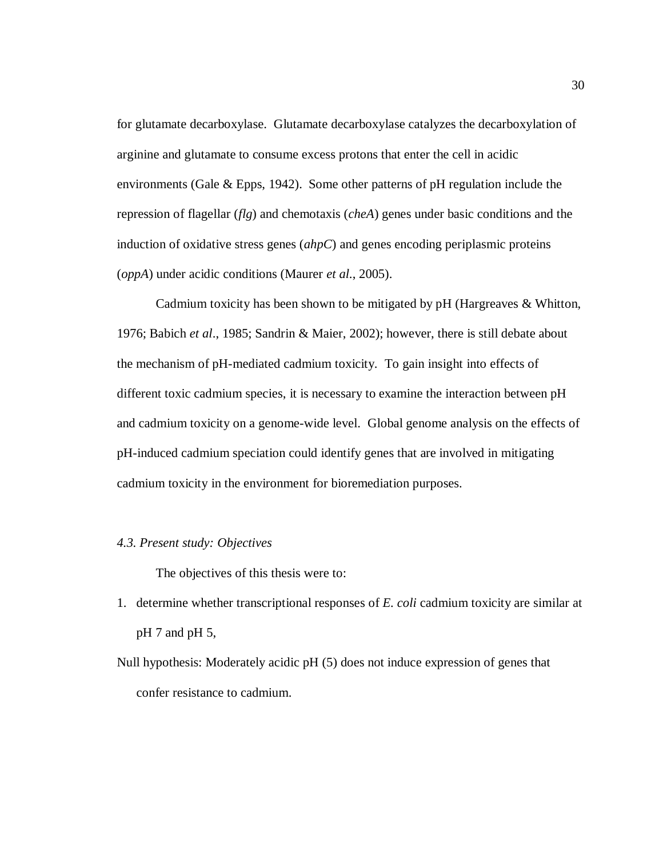for glutamate decarboxylase. Glutamate decarboxylase catalyzes the decarboxylation of arginine and glutamate to consume excess protons that enter the cell in acidic environments (Gale & Epps, 1942). Some other patterns of pH regulation include the repression of flagellar (*flg*) and chemotaxis (*cheA*) genes under basic conditions and the induction of oxidative stress genes (*ahpC*) and genes encoding periplasmic proteins (*oppA*) under acidic conditions (Maurer *et al*., 2005).

Cadmium toxicity has been shown to be mitigated by pH (Hargreaves & Whitton, 1976; Babich *et al*., 1985; Sandrin & Maier, 2002); however, there is still debate about the mechanism of pH-mediated cadmium toxicity. To gain insight into effects of different toxic cadmium species, it is necessary to examine the interaction between pH and cadmium toxicity on a genome-wide level. Global genome analysis on the effects of pH-induced cadmium speciation could identify genes that are involved in mitigating cadmium toxicity in the environment for bioremediation purposes.

#### *4.3. Present study: Objectives*

The objectives of this thesis were to:

- 1. determine whether transcriptional responses of *E. coli* cadmium toxicity are similar at pH 7 and pH 5,
- Null hypothesis: Moderately acidic pH (5) does not induce expression of genes that confer resistance to cadmium.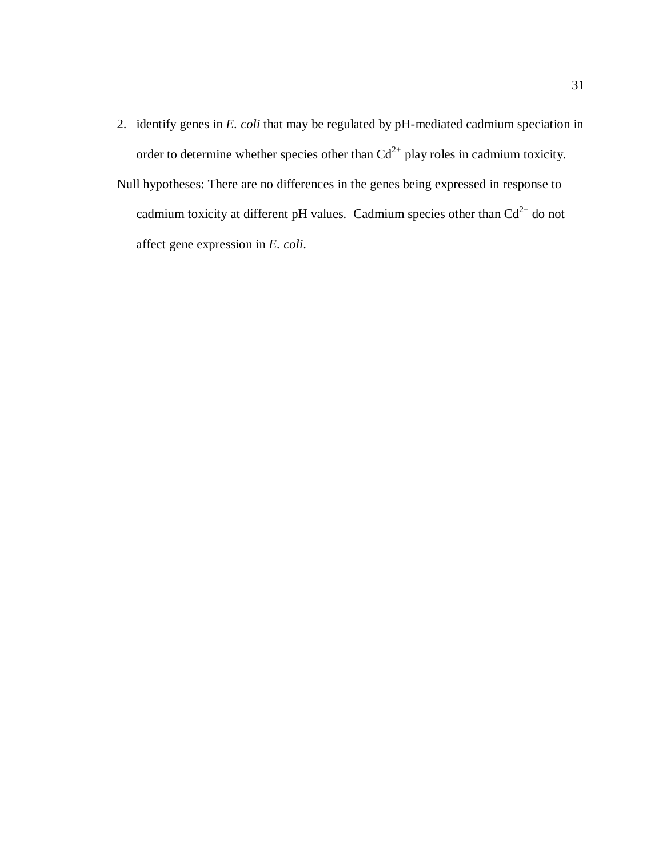2. identify genes in *E. coli* that may be regulated by pH-mediated cadmium speciation in order to determine whether species other than  $Cd^{2+}$  play roles in cadmium toxicity. Null hypotheses: There are no differences in the genes being expressed in response to cadmium toxicity at different pH values. Cadmium species other than  $Cd^{2+}$  do not affect gene expression in *E. coli*.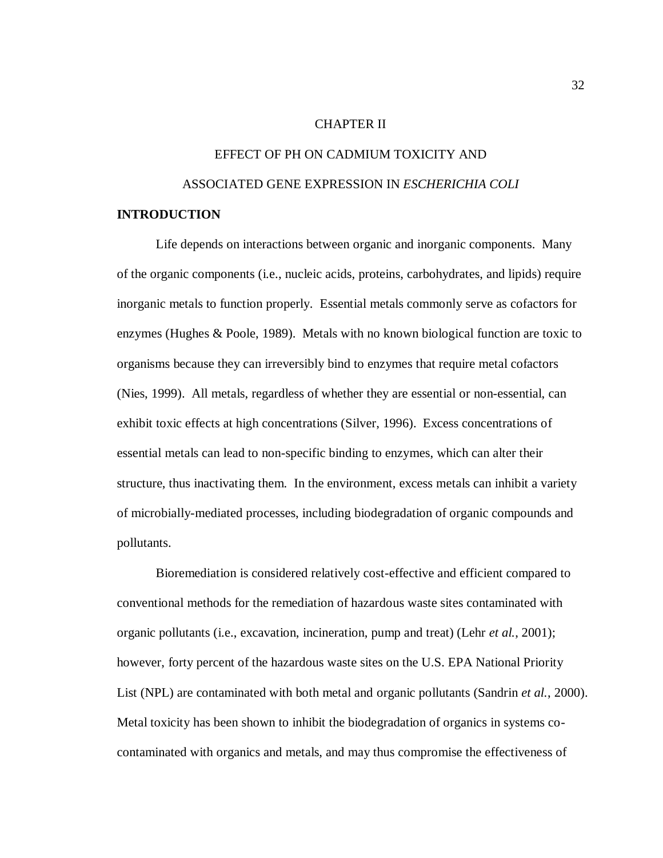#### CHAPTER II

# EFFECT OF PH ON CADMIUM TOXICITY AND ASSOCIATED GENE EXPRESSION IN *ESCHERICHIA COLI*

## **INTRODUCTION**

Life depends on interactions between organic and inorganic components. Many of the organic components (i.e., nucleic acids, proteins, carbohydrates, and lipids) require inorganic metals to function properly. Essential metals commonly serve as cofactors for enzymes (Hughes & Poole, 1989). Metals with no known biological function are toxic to organisms because they can irreversibly bind to enzymes that require metal cofactors (Nies, 1999). All metals, regardless of whether they are essential or non-essential, can exhibit toxic effects at high concentrations (Silver, 1996). Excess concentrations of essential metals can lead to non-specific binding to enzymes, which can alter their structure, thus inactivating them. In the environment, excess metals can inhibit a variety of microbially-mediated processes, including biodegradation of organic compounds and pollutants.

Bioremediation is considered relatively cost-effective and efficient compared to conventional methods for the remediation of hazardous waste sites contaminated with organic pollutants (i.e., excavation, incineration, pump and treat) (Lehr *et al.*, 2001); however, forty percent of the hazardous waste sites on the U.S. EPA National Priority List (NPL) are contaminated with both metal and organic pollutants (Sandrin *et al.*, 2000). Metal toxicity has been shown to inhibit the biodegradation of organics in systems cocontaminated with organics and metals, and may thus compromise the effectiveness of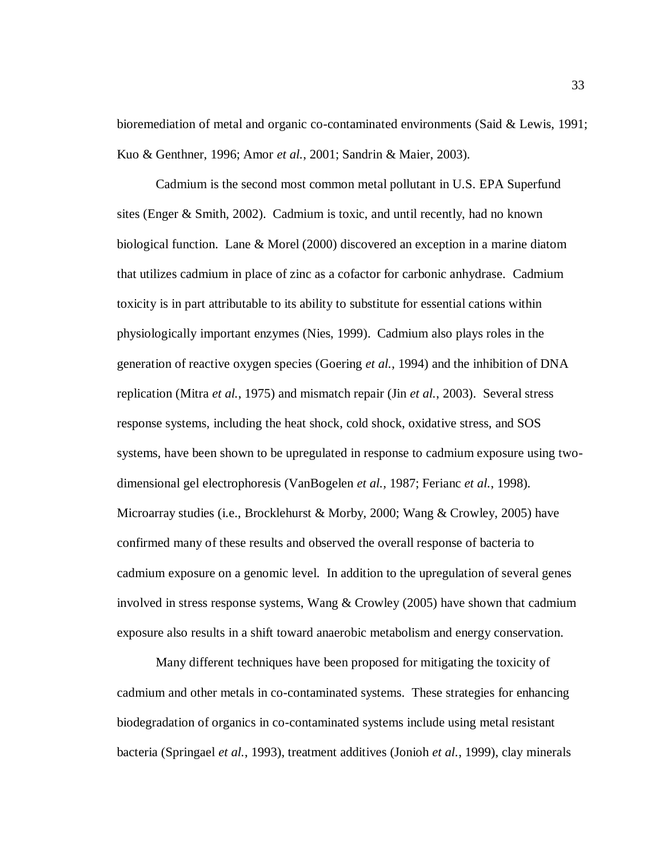bioremediation of metal and organic co-contaminated environments (Said & Lewis, 1991; Kuo & Genthner, 1996; Amor *et al.*, 2001; Sandrin & Maier, 2003).

Cadmium is the second most common metal pollutant in U.S. EPA Superfund sites (Enger & Smith, 2002). Cadmium is toxic, and until recently, had no known biological function. Lane & Morel (2000) discovered an exception in a marine diatom that utilizes cadmium in place of zinc as a cofactor for carbonic anhydrase. Cadmium toxicity is in part attributable to its ability to substitute for essential cations within physiologically important enzymes (Nies, 1999). Cadmium also plays roles in the generation of reactive oxygen species (Goering *et al.*, 1994) and the inhibition of DNA replication (Mitra *et al.*, 1975) and mismatch repair (Jin *et al.*, 2003). Several stress response systems, including the heat shock, cold shock, oxidative stress, and SOS systems, have been shown to be upregulated in response to cadmium exposure using twodimensional gel electrophoresis (VanBogelen *et al.,* 1987; Ferianc *et al.*, 1998). Microarray studies (i.e., Brocklehurst & Morby, 2000; Wang & Crowley, 2005) have confirmed many of these results and observed the overall response of bacteria to cadmium exposure on a genomic level. In addition to the upregulation of several genes involved in stress response systems, Wang & Crowley (2005) have shown that cadmium exposure also results in a shift toward anaerobic metabolism and energy conservation.

Many different techniques have been proposed for mitigating the toxicity of cadmium and other metals in co-contaminated systems. These strategies for enhancing biodegradation of organics in co-contaminated systems include using metal resistant bacteria (Springael *et al.*, 1993), treatment additives (Jonioh *et al.*, 1999), clay minerals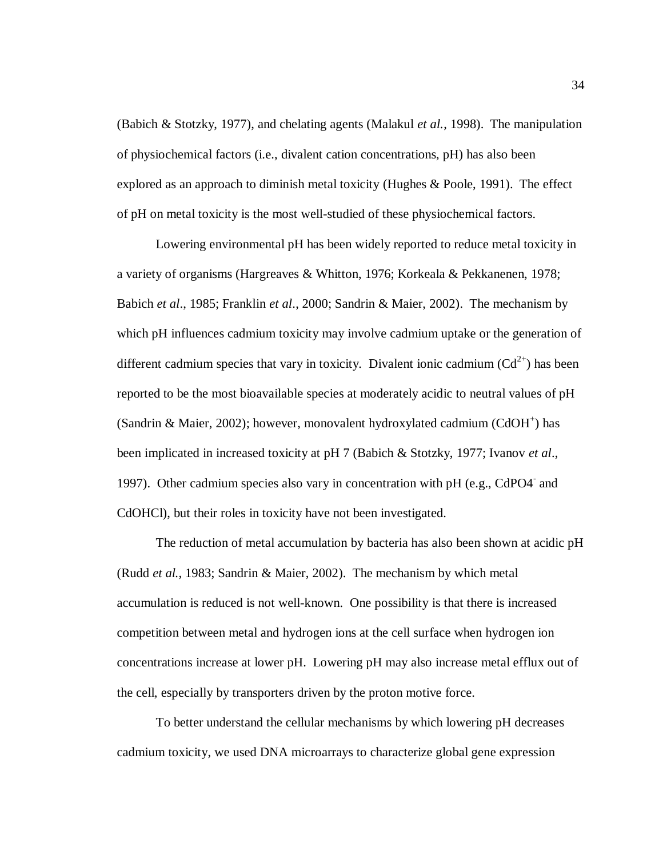(Babich & Stotzky, 1977), and chelating agents (Malakul *et al.*, 1998). The manipulation of physiochemical factors (i.e., divalent cation concentrations, pH) has also been explored as an approach to diminish metal toxicity (Hughes & Poole, 1991). The effect of pH on metal toxicity is the most well-studied of these physiochemical factors.

Lowering environmental pH has been widely reported to reduce metal toxicity in a variety of organisms (Hargreaves & Whitton, 1976; Korkeala & Pekkanenen, 1978; Babich *et al*., 1985; Franklin *et al*., 2000; Sandrin & Maier, 2002). The mechanism by which pH influences cadmium toxicity may involve cadmium uptake or the generation of different cadmium species that vary in toxicity. Divalent ionic cadmium  $(Cd^{2+})$  has been reported to be the most bioavailable species at moderately acidic to neutral values of pH (Sandrin & Maier, 2002); however, monovalent hydroxylated cadmium (CdOH<sup>+</sup>) has been implicated in increased toxicity at pH 7 (Babich & Stotzky, 1977; Ivanov *et al*., 1997). Other cadmium species also vary in concentration with pH (e.g., CdPO4<sup>-</sup> and CdOHCl), but their roles in toxicity have not been investigated.

The reduction of metal accumulation by bacteria has also been shown at acidic pH (Rudd *et al.*, 1983; Sandrin & Maier, 2002). The mechanism by which metal accumulation is reduced is not well-known. One possibility is that there is increased competition between metal and hydrogen ions at the cell surface when hydrogen ion concentrations increase at lower pH. Lowering pH may also increase metal efflux out of the cell, especially by transporters driven by the proton motive force.

To better understand the cellular mechanisms by which lowering pH decreases cadmium toxicity, we used DNA microarrays to characterize global gene expression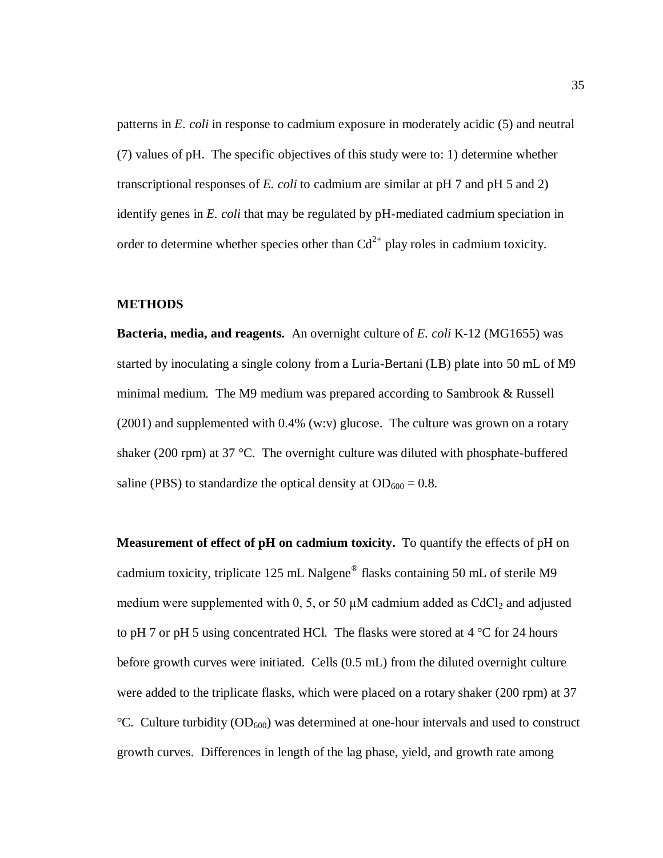patterns in *E. coli* in response to cadmium exposure in moderately acidic (5) and neutral (7) values of pH. The specific objectives of this study were to: 1) determine whether transcriptional responses of *E. coli* to cadmium are similar at pH 7 and pH 5 and 2) identify genes in *E. coli* that may be regulated by pH-mediated cadmium speciation in order to determine whether species other than  $Cd^{2+}$  play roles in cadmium toxicity.

## **METHODS**

**Bacteria, media, and reagents.** An overnight culture of *E. coli* K-12 (MG1655) was started by inoculating a single colony from a Luria-Bertani (LB) plate into 50 mL of M9 minimal medium. The M9 medium was prepared according to Sambrook & Russell (2001) and supplemented with 0.4% (w:v) glucose. The culture was grown on a rotary shaker (200 rpm) at 37 °C. The overnight culture was diluted with phosphate-buffered saline (PBS) to standardize the optical density at  $OD_{600} = 0.8$ .

**Measurement of effect of pH on cadmium toxicity.** To quantify the effects of pH on cadmium toxicity, triplicate 125 mL Nalgene® flasks containing 50 mL of sterile M9 medium were supplemented with 0, 5, or 50  $\mu$ M cadmium added as CdCl<sub>2</sub> and adjusted to pH 7 or pH 5 using concentrated HCl. The flasks were stored at  $4^{\circ}$ C for 24 hours before growth curves were initiated. Cells (0.5 mL) from the diluted overnight culture were added to the triplicate flasks, which were placed on a rotary shaker (200 rpm) at 37  $°C.$  Culture turbidity (OD<sub>600</sub>) was determined at one-hour intervals and used to construct growth curves. Differences in length of the lag phase, yield, and growth rate among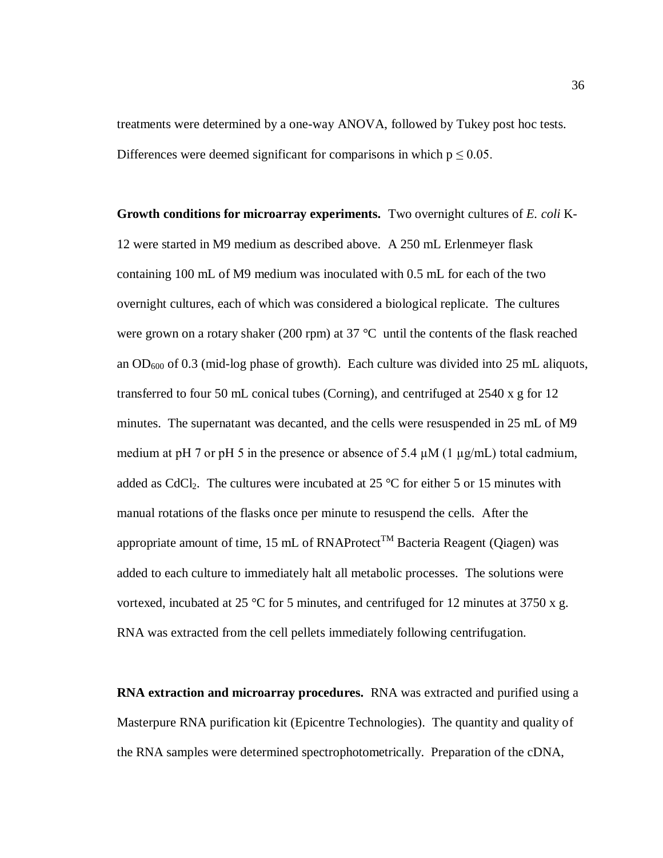treatments were determined by a one-way ANOVA, followed by Tukey post hoc tests. Differences were deemed significant for comparisons in which  $p \le 0.05$ .

**Growth conditions for microarray experiments.** Two overnight cultures of *E. coli* K-12 were started in M9 medium as described above. A 250 mL Erlenmeyer flask containing 100 mL of M9 medium was inoculated with 0.5 mL for each of the two overnight cultures, each of which was considered a biological replicate. The cultures were grown on a rotary shaker (200 rpm) at 37 °C until the contents of the flask reached an  $OD_{600}$  of 0.3 (mid-log phase of growth). Each culture was divided into 25 mL aliquots, transferred to four 50 mL conical tubes (Corning), and centrifuged at 2540 x g for 12 minutes. The supernatant was decanted, and the cells were resuspended in 25 mL of M9 medium at pH 7 or pH 5 in the presence or absence of 5.4  $\mu$ M (1  $\mu$ g/mL) total cadmium, added as CdCl<sub>2</sub>. The cultures were incubated at 25  $\degree$ C for either 5 or 15 minutes with manual rotations of the flasks once per minute to resuspend the cells. After the appropriate amount of time, 15 mL of RNAProtect<sup>TM</sup> Bacteria Reagent (Oiagen) was added to each culture to immediately halt all metabolic processes. The solutions were vortexed, incubated at 25 °C for 5 minutes, and centrifuged for 12 minutes at 3750 x g. RNA was extracted from the cell pellets immediately following centrifugation.

**RNA extraction and microarray procedures.** RNA was extracted and purified using a Masterpure RNA purification kit (Epicentre Technologies). The quantity and quality of the RNA samples were determined spectrophotometrically. Preparation of the cDNA,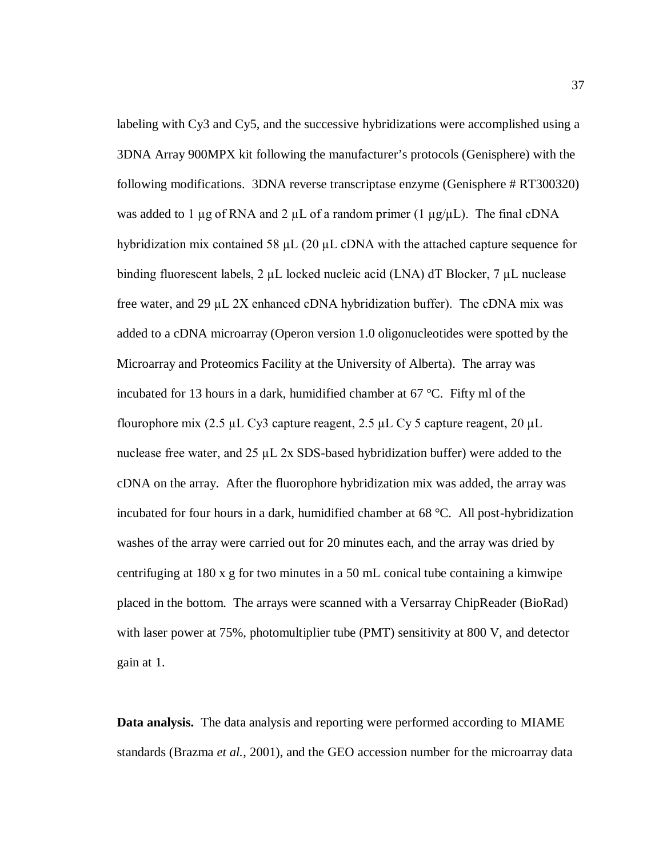labeling with Cy3 and Cy5, and the successive hybridizations were accomplished using a 3DNA Array 900MPX kit following the manufacturer's protocols (Genisphere) with the following modifications. 3DNA reverse transcriptase enzyme (Genisphere # RT300320) was added to 1  $\mu$ g of RNA and 2  $\mu$ L of a random primer (1  $\mu$ g/ $\mu$ L). The final cDNA hybridization mix contained 58  $\mu$ L (20  $\mu$ L cDNA with the attached capture sequence for binding fluorescent labels, 2 µL locked nucleic acid (LNA) dT Blocker, 7 µL nuclease free water, and 29 µL 2X enhanced cDNA hybridization buffer). The cDNA mix was added to a cDNA microarray (Operon version 1.0 oligonucleotides were spotted by the Microarray and Proteomics Facility at the University of Alberta). The array was incubated for 13 hours in a dark, humidified chamber at 67 °C. Fifty ml of the flourophore mix  $(2.5 \mu L Cy3$  capture reagent,  $2.5 \mu L Cy5$  capture reagent,  $20 \mu L$ nuclease free water, and  $25 \mu L 2x$  SDS-based hybridization buffer) were added to the cDNA on the array. After the fluorophore hybridization mix was added, the array was incubated for four hours in a dark, humidified chamber at 68 °C. All post-hybridization washes of the array were carried out for 20 minutes each, and the array was dried by centrifuging at 180 x g for two minutes in a 50 mL conical tube containing a kimwipe placed in the bottom. The arrays were scanned with a Versarray ChipReader (BioRad) with laser power at 75%, photomultiplier tube (PMT) sensitivity at 800 V, and detector gain at 1.

**Data analysis.** The data analysis and reporting were performed according to MIAME standards (Brazma *et al.*, 2001), and the GEO accession number for the microarray data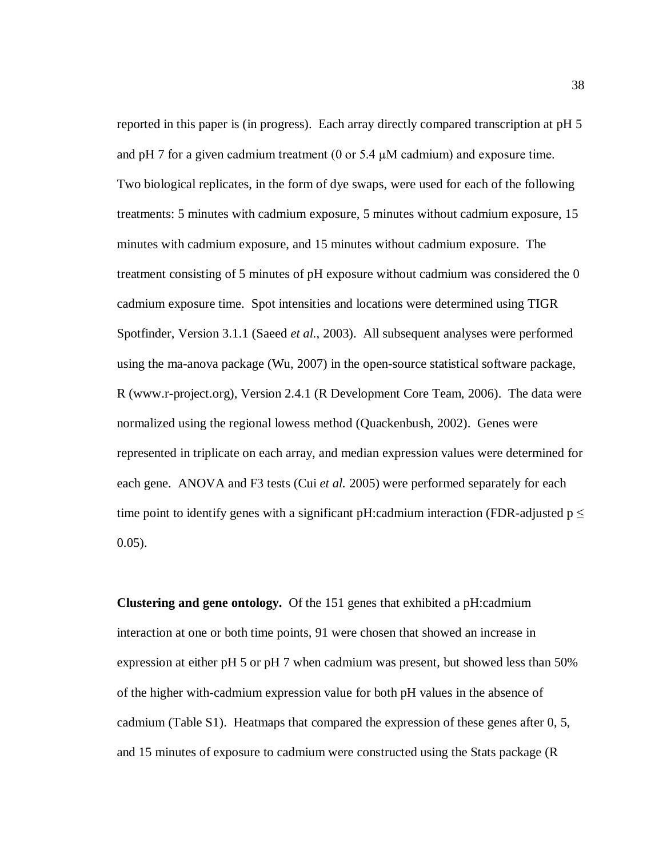reported in this paper is (in progress). Each array directly compared transcription at pH 5 and pH 7 for a given cadmium treatment (0 or 5.4  $\mu$ M cadmium) and exposure time. Two biological replicates, in the form of dye swaps, were used for each of the following treatments: 5 minutes with cadmium exposure, 5 minutes without cadmium exposure, 15 minutes with cadmium exposure, and 15 minutes without cadmium exposure. The treatment consisting of 5 minutes of pH exposure without cadmium was considered the 0 cadmium exposure time. Spot intensities and locations were determined using TIGR Spotfinder, Version 3.1.1 (Saeed *et al.*, 2003). All subsequent analyses were performed using the ma-anova package (Wu, 2007) in the open-source statistical software package, R (www.r-project.org), Version 2.4.1 (R Development Core Team, 2006). The data were normalized using the regional lowess method (Quackenbush, 2002). Genes were represented in triplicate on each array, and median expression values were determined for each gene. ANOVA and F3 tests (Cui *et al.* 2005) were performed separately for each time point to identify genes with a significant pH:cadmium interaction (FDR-adjusted  $p \leq$ 0.05).

**Clustering and gene ontology.** Of the 151 genes that exhibited a pH:cadmium interaction at one or both time points, 91 were chosen that showed an increase in expression at either pH 5 or pH 7 when cadmium was present, but showed less than 50% of the higher with-cadmium expression value for both pH values in the absence of cadmium (Table S1). Heatmaps that compared the expression of these genes after 0, 5, and 15 minutes of exposure to cadmium were constructed using the Stats package (R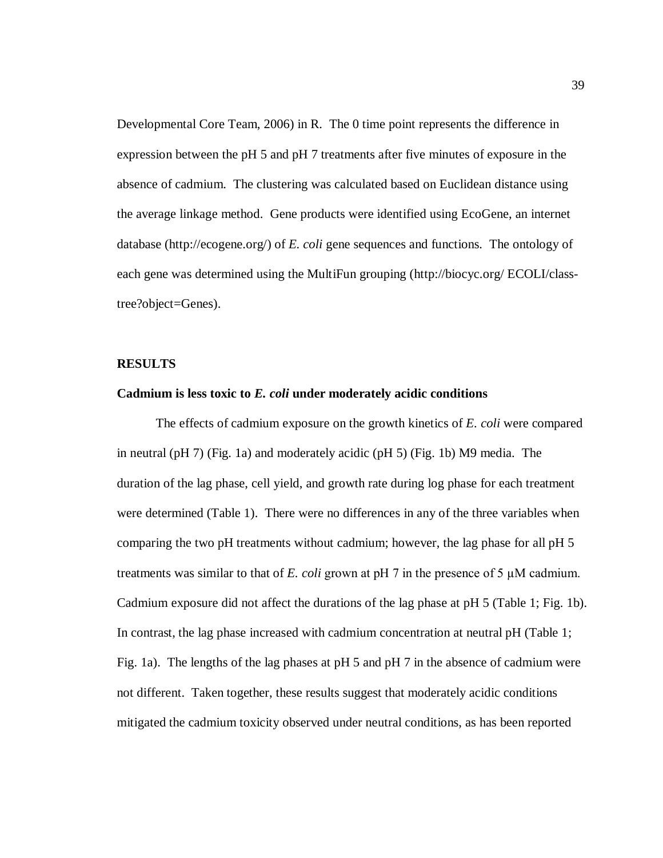Developmental Core Team, 2006) in R. The 0 time point represents the difference in expression between the pH 5 and pH 7 treatments after five minutes of exposure in the absence of cadmium. The clustering was calculated based on Euclidean distance using the average linkage method. Gene products were identified using EcoGene, an internet database (http://ecogene.org/) of *E. coli* gene sequences and functions. The ontology of each gene was determined using the MultiFun grouping (http://biocyc.org/ ECOLI/classtree?object=Genes).

#### **RESULTS**

## **Cadmium is less toxic to** *E. coli* **under moderately acidic conditions**

The effects of cadmium exposure on the growth kinetics of *E. coli* were compared in neutral (pH 7) (Fig. 1a) and moderately acidic (pH 5) (Fig. 1b) M9 media. The duration of the lag phase, cell yield, and growth rate during log phase for each treatment were determined (Table 1). There were no differences in any of the three variables when comparing the two pH treatments without cadmium; however, the lag phase for all pH 5 treatments was similar to that of  $E$ . *coli* grown at pH  $7$  in the presence of  $5 \mu$ M cadmium. Cadmium exposure did not affect the durations of the lag phase at pH 5 (Table 1; Fig. 1b). In contrast, the lag phase increased with cadmium concentration at neutral pH (Table 1; Fig. 1a). The lengths of the lag phases at pH 5 and pH 7 in the absence of cadmium were not different. Taken together, these results suggest that moderately acidic conditions mitigated the cadmium toxicity observed under neutral conditions, as has been reported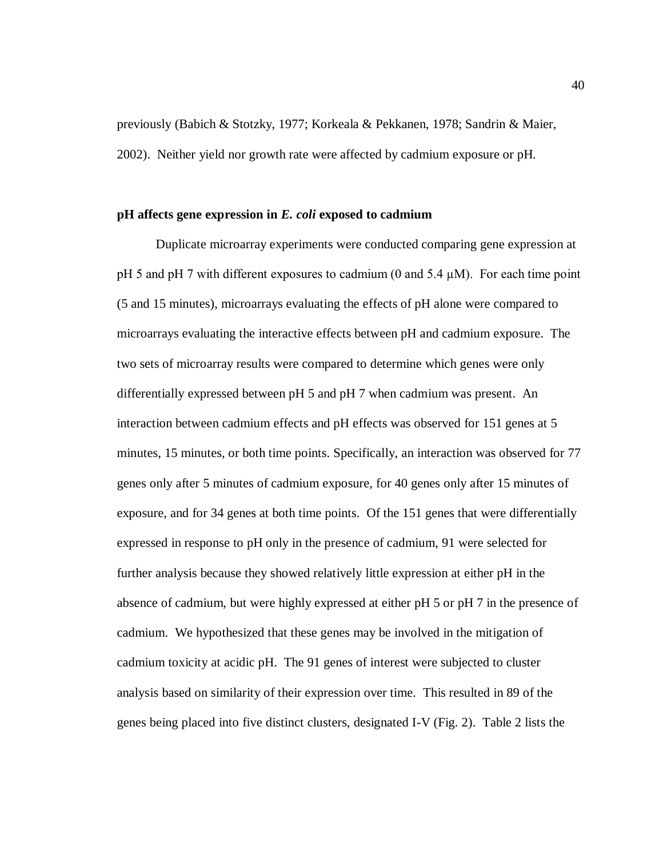previously (Babich & Stotzky, 1977; Korkeala & Pekkanen, 1978; Sandrin & Maier, 2002). Neither yield nor growth rate were affected by cadmium exposure or pH.

#### **pH affects gene expression in** *E. coli* **exposed to cadmium**

Duplicate microarray experiments were conducted comparing gene expression at pH 5 and pH 7 with different exposures to cadmium  $(0 \text{ and } 5.4 \mu M)$ . For each time point (5 and 15 minutes), microarrays evaluating the effects of pH alone were compared to microarrays evaluating the interactive effects between pH and cadmium exposure. The two sets of microarray results were compared to determine which genes were only differentially expressed between pH 5 and pH 7 when cadmium was present. An interaction between cadmium effects and pH effects was observed for 151 genes at 5 minutes, 15 minutes, or both time points. Specifically, an interaction was observed for 77 genes only after 5 minutes of cadmium exposure, for 40 genes only after 15 minutes of exposure, and for 34 genes at both time points. Of the 151 genes that were differentially expressed in response to pH only in the presence of cadmium, 91 were selected for further analysis because they showed relatively little expression at either pH in the absence of cadmium, but were highly expressed at either pH 5 or pH 7 in the presence of cadmium. We hypothesized that these genes may be involved in the mitigation of cadmium toxicity at acidic pH. The 91 genes of interest were subjected to cluster analysis based on similarity of their expression over time. This resulted in 89 of the genes being placed into five distinct clusters, designated I-V (Fig. 2). Table 2 lists the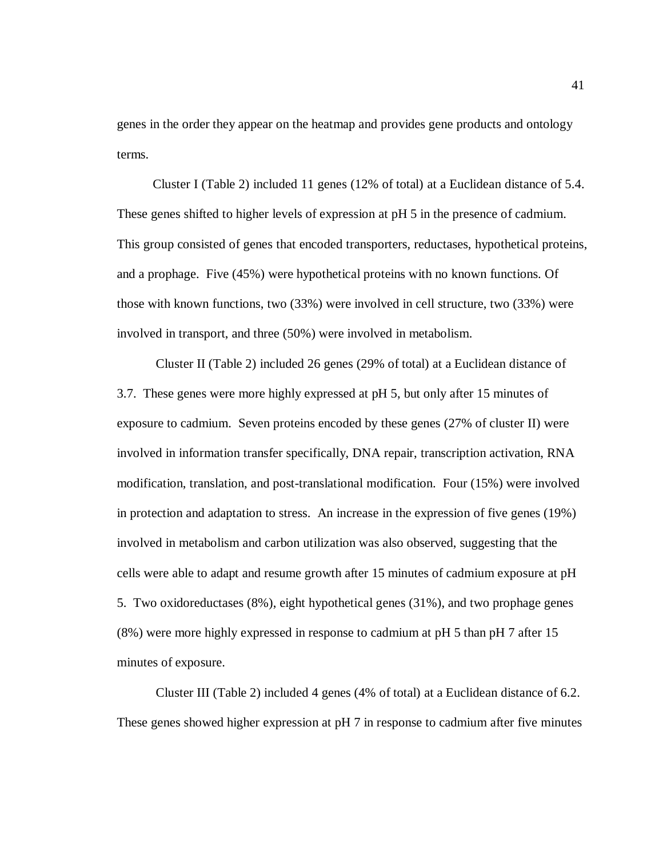genes in the order they appear on the heatmap and provides gene products and ontology terms.

Cluster I (Table 2) included 11 genes (12% of total) at a Euclidean distance of 5.4. These genes shifted to higher levels of expression at pH 5 in the presence of cadmium. This group consisted of genes that encoded transporters, reductases, hypothetical proteins, and a prophage. Five (45%) were hypothetical proteins with no known functions. Of those with known functions, two (33%) were involved in cell structure, two (33%) were involved in transport, and three (50%) were involved in metabolism.

Cluster II (Table 2) included 26 genes (29% of total) at a Euclidean distance of 3.7. These genes were more highly expressed at pH 5, but only after 15 minutes of exposure to cadmium. Seven proteins encoded by these genes (27% of cluster II) were involved in information transfer specifically, DNA repair, transcription activation, RNA modification, translation, and post-translational modification. Four (15%) were involved in protection and adaptation to stress. An increase in the expression of five genes (19%) involved in metabolism and carbon utilization was also observed, suggesting that the cells were able to adapt and resume growth after 15 minutes of cadmium exposure at pH 5. Two oxidoreductases (8%), eight hypothetical genes (31%), and two prophage genes (8%) were more highly expressed in response to cadmium at pH 5 than pH 7 after 15 minutes of exposure.

Cluster III (Table 2) included 4 genes (4% of total) at a Euclidean distance of 6.2. These genes showed higher expression at pH 7 in response to cadmium after five minutes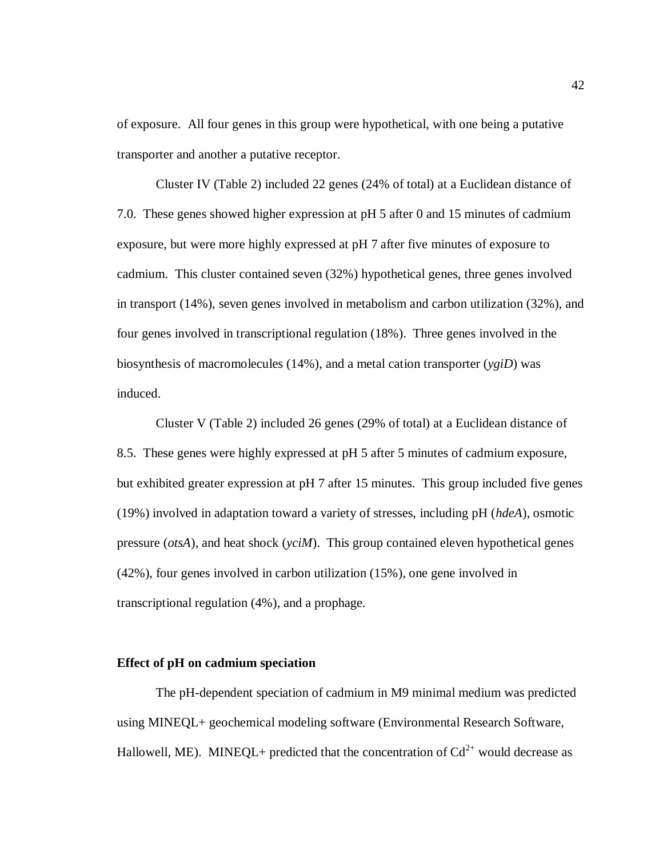of exposure. All four genes in this group were hypothetical, with one being a putative transporter and another a putative receptor.

Cluster IV (Table 2) included 22 genes (24% of total) at a Euclidean distance of 7.0. These genes showed higher expression at pH 5 after 0 and 15 minutes of cadmium exposure, but were more highly expressed at pH 7 after five minutes of exposure to cadmium. This cluster contained seven (32%) hypothetical genes, three genes involved in transport (14%), seven genes involved in metabolism and carbon utilization (32%), and four genes involved in transcriptional regulation (18%). Three genes involved in the biosynthesis of macromolecules (14%), and a metal cation transporter (*ygiD*) was induced.

Cluster V (Table 2) included 26 genes (29% of total) at a Euclidean distance of 8.5. These genes were highly expressed at pH 5 after 5 minutes of cadmium exposure, but exhibited greater expression at pH 7 after 15 minutes. This group included five genes (19%) involved in adaptation toward a variety of stresses, including pH (*hdeA*), osmotic pressure (*otsA*), and heat shock (*yciM*). This group contained eleven hypothetical genes (42%), four genes involved in carbon utilization (15%), one gene involved in transcriptional regulation (4%), and a prophage.

#### **Effect of pH on cadmium speciation**

The pH-dependent speciation of cadmium in M9 minimal medium was predicted using MINEQL+ geochemical modeling software (Environmental Research Software, Hallowell, ME). MINEQL+ predicted that the concentration of  $Cd^{2+}$  would decrease as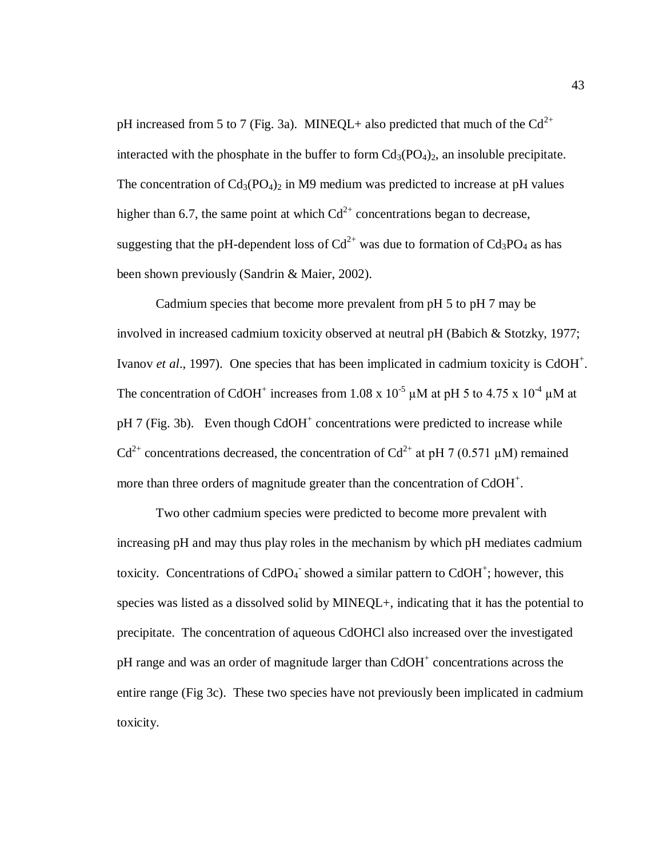pH increased from 5 to 7 (Fig. 3a). MINEQL+ also predicted that much of the  $Cd^{2+}$ interacted with the phosphate in the buffer to form  $Cd<sub>3</sub>(PO<sub>4</sub>)<sub>2</sub>$ , an insoluble precipitate. The concentration of  $Cd_3(PO_4)_2$  in M9 medium was predicted to increase at pH values higher than 6.7, the same point at which  $Cd^{2+}$  concentrations began to decrease, suggesting that the pH-dependent loss of  $Cd^{2+}$  was due to formation of  $Cd_3PO_4$  as has been shown previously (Sandrin & Maier, 2002).

Cadmium species that become more prevalent from pH 5 to pH 7 may be involved in increased cadmium toxicity observed at neutral pH (Babich & Stotzky, 1977; Ivanov *et al.*, 1997). One species that has been implicated in cadmium toxicity is CdOH<sup>+</sup>. The concentration of CdOH<sup>+</sup> increases from 1.08 x 10<sup>-5</sup>  $\mu$ M at pH 5 to 4.75 x 10<sup>-4</sup>  $\mu$ M at pH 7 (Fig. 3b). Even though  $CdOH<sup>+</sup>$  concentrations were predicted to increase while  $Cd^{2+}$  concentrations decreased, the concentration of  $Cd^{2+}$  at pH 7 (0.571 µM) remained more than three orders of magnitude greater than the concentration of  $CdOH<sup>+</sup>$ .

Two other cadmium species were predicted to become more prevalent with increasing pH and may thus play roles in the mechanism by which pH mediates cadmium toxicity. Concentrations of  $CdPO<sub>4</sub>$  showed a similar pattern to  $CdOH<sup>+</sup>$ ; however, this species was listed as a dissolved solid by MINEQL+, indicating that it has the potential to precipitate. The concentration of aqueous CdOHCl also increased over the investigated pH range and was an order of magnitude larger than CdOH<sup>+</sup> concentrations across the entire range (Fig 3c). These two species have not previously been implicated in cadmium toxicity.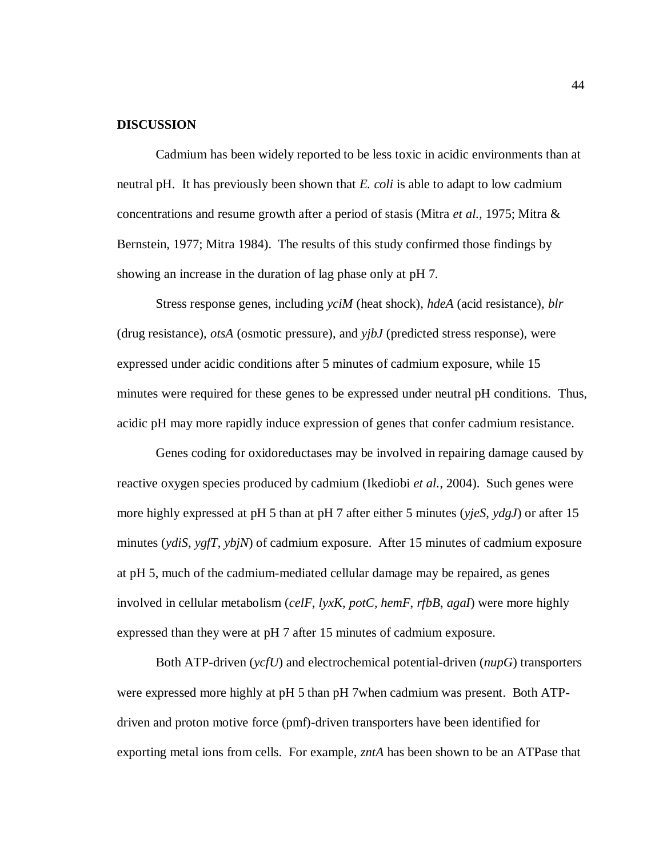## **DISCUSSION**

Cadmium has been widely reported to be less toxic in acidic environments than at neutral pH. It has previously been shown that *E. coli* is able to adapt to low cadmium concentrations and resume growth after a period of stasis (Mitra *et al.*, 1975; Mitra & Bernstein, 1977; Mitra 1984). The results of this study confirmed those findings by showing an increase in the duration of lag phase only at pH 7.

Stress response genes, including *yciM* (heat shock), *hdeA* (acid resistance), *blr* (drug resistance), *otsA* (osmotic pressure), and *yjbJ* (predicted stress response), were expressed under acidic conditions after 5 minutes of cadmium exposure, while 15 minutes were required for these genes to be expressed under neutral pH conditions. Thus, acidic pH may more rapidly induce expression of genes that confer cadmium resistance.

Genes coding for oxidoreductases may be involved in repairing damage caused by reactive oxygen species produced by cadmium (Ikediobi *et al.*, 2004). Such genes were more highly expressed at pH 5 than at pH 7 after either 5 minutes (*yjeS*, *ydgJ*) or after 15 minutes (*ydiS*, *ygfT*, *ybjN*) of cadmium exposure. After 15 minutes of cadmium exposure at pH 5, much of the cadmium-mediated cellular damage may be repaired, as genes involved in cellular metabolism (*celF*, *lyxK*, *potC*, *hemF*, *rfbB*, *agaI*) were more highly expressed than they were at pH 7 after 15 minutes of cadmium exposure.

Both ATP-driven (*ycfU*) and electrochemical potential-driven (*nupG*) transporters were expressed more highly at pH 5 than pH 7when cadmium was present. Both ATPdriven and proton motive force (pmf)-driven transporters have been identified for exporting metal ions from cells. For example, *zntA* has been shown to be an ATPase that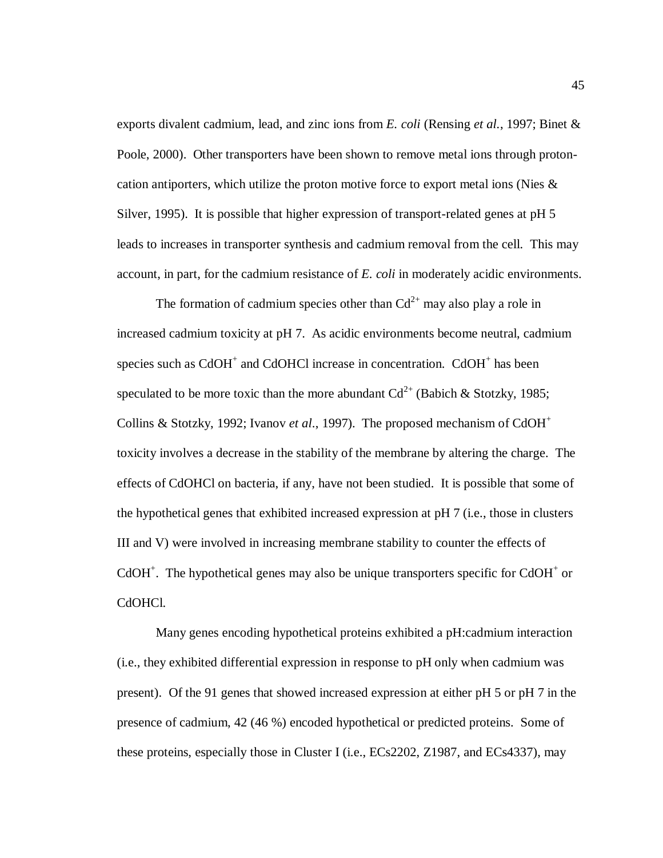exports divalent cadmium, lead, and zinc ions from *E. coli* (Rensing *et al.*, 1997; Binet & Poole, 2000). Other transporters have been shown to remove metal ions through protoncation antiporters, which utilize the proton motive force to export metal ions (Nies & Silver, 1995). It is possible that higher expression of transport-related genes at pH 5 leads to increases in transporter synthesis and cadmium removal from the cell. This may account, in part, for the cadmium resistance of *E. coli* in moderately acidic environments.

The formation of cadmium species other than  $Cd^{2+}$  may also play a role in increased cadmium toxicity at pH 7. As acidic environments become neutral, cadmium species such as  $CdOH<sup>+</sup>$  and CdOHCl increase in concentration.  $CdOH<sup>+</sup>$  has been speculated to be more toxic than the more abundant  $Cd^{2+}$  (Babich & Stotzky, 1985; Collins & Stotzky, 1992; Ivanov *et al.*, 1997). The proposed mechanism of CdOH<sup>+</sup> toxicity involves a decrease in the stability of the membrane by altering the charge. The effects of CdOHCl on bacteria, if any, have not been studied. It is possible that some of the hypothetical genes that exhibited increased expression at pH 7 (i.e., those in clusters III and V) were involved in increasing membrane stability to counter the effects of  $CdOH<sup>+</sup>$ . The hypothetical genes may also be unique transporters specific for  $CdOH<sup>+</sup>$  or CdOHCl.

Many genes encoding hypothetical proteins exhibited a pH:cadmium interaction (i.e., they exhibited differential expression in response to pH only when cadmium was present). Of the 91 genes that showed increased expression at either pH 5 or pH 7 in the presence of cadmium, 42 (46 %) encoded hypothetical or predicted proteins. Some of these proteins, especially those in Cluster I (i.e., ECs2202, Z1987, and ECs4337), may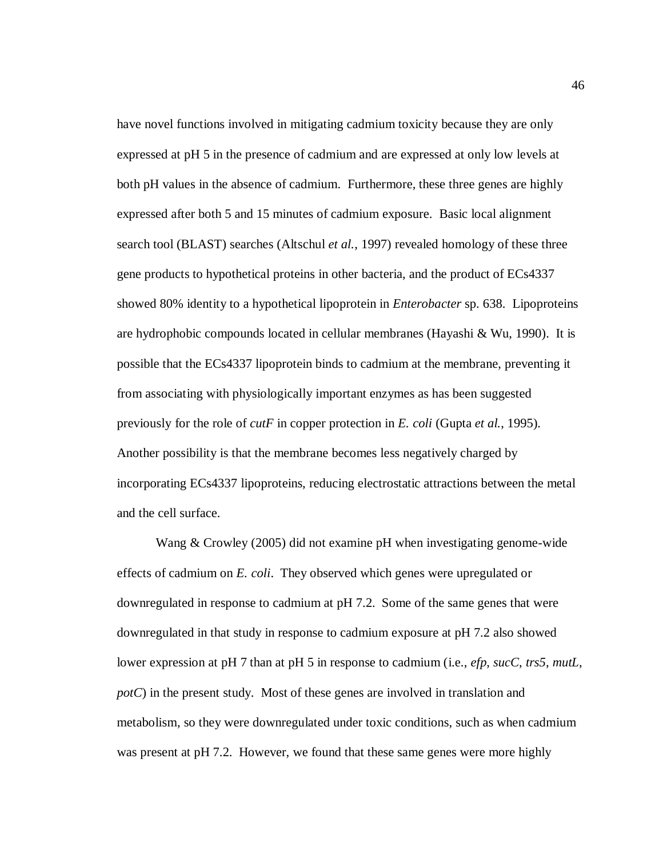have novel functions involved in mitigating cadmium toxicity because they are only expressed at pH 5 in the presence of cadmium and are expressed at only low levels at both pH values in the absence of cadmium. Furthermore, these three genes are highly expressed after both 5 and 15 minutes of cadmium exposure. Basic local alignment search tool (BLAST) searches (Altschul *et al.*, 1997) revealed homology of these three gene products to hypothetical proteins in other bacteria, and the product of ECs4337 showed 80% identity to a hypothetical lipoprotein in *Enterobacter* sp. 638. Lipoproteins are hydrophobic compounds located in cellular membranes (Hayashi & Wu, 1990). It is possible that the ECs4337 lipoprotein binds to cadmium at the membrane, preventing it from associating with physiologically important enzymes as has been suggested previously for the role of *cutF* in copper protection in *E. coli* (Gupta *et al.*, 1995). Another possibility is that the membrane becomes less negatively charged by incorporating ECs4337 lipoproteins, reducing electrostatic attractions between the metal and the cell surface.

Wang & Crowley (2005) did not examine pH when investigating genome-wide effects of cadmium on *E. coli*. They observed which genes were upregulated or downregulated in response to cadmium at pH 7.2. Some of the same genes that were downregulated in that study in response to cadmium exposure at pH 7.2 also showed lower expression at pH 7 than at pH 5 in response to cadmium (i.e., *efp*, *sucC*, *trs5*, *mutL*, *potC*) in the present study. Most of these genes are involved in translation and metabolism, so they were downregulated under toxic conditions, such as when cadmium was present at pH 7.2. However, we found that these same genes were more highly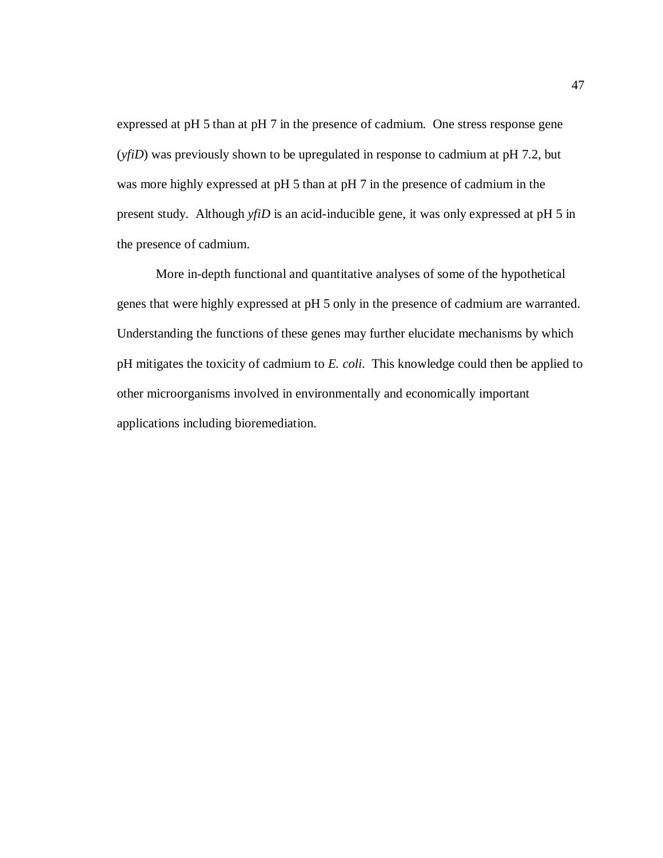expressed at pH 5 than at pH 7 in the presence of cadmium. One stress response gene (*yfiD*) was previously shown to be upregulated in response to cadmium at pH 7.2, but was more highly expressed at pH 5 than at pH 7 in the presence of cadmium in the present study. Although *yfiD* is an acid-inducible gene, it was only expressed at pH 5 in the presence of cadmium.

More in-depth functional and quantitative analyses of some of the hypothetical genes that were highly expressed at pH 5 only in the presence of cadmium are warranted. Understanding the functions of these genes may further elucidate mechanisms by which pH mitigates the toxicity of cadmium to *E. coli*. This knowledge could then be applied to other microorganisms involved in environmentally and economically important applications including bioremediation.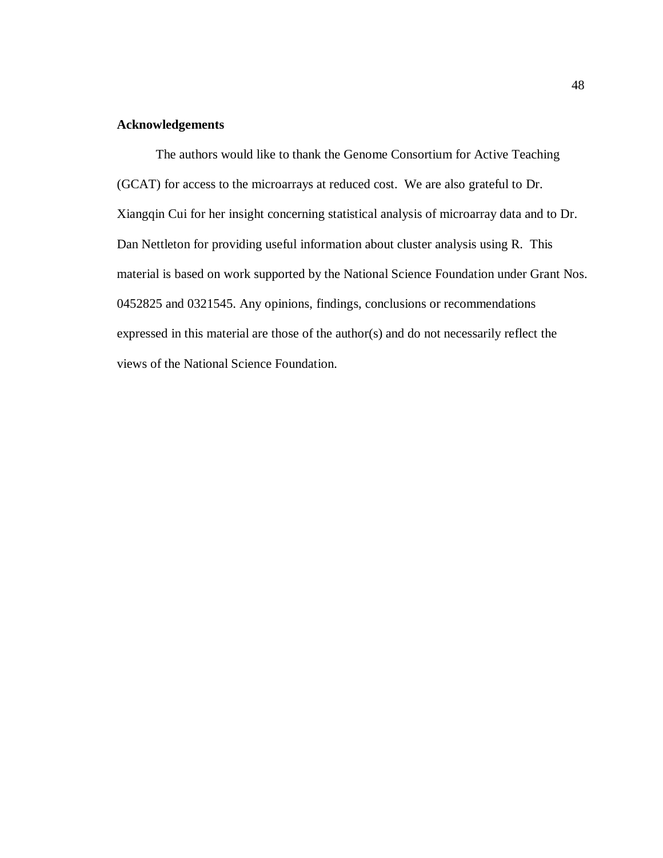# **Acknowledgements**

The authors would like to thank the Genome Consortium for Active Teaching (GCAT) for access to the microarrays at reduced cost. We are also grateful to Dr. Xiangqin Cui for her insight concerning statistical analysis of microarray data and to Dr. Dan Nettleton for providing useful information about cluster analysis using R. This material is based on work supported by the National Science Foundation under Grant Nos. 0452825 and 0321545. Any opinions, findings, conclusions or recommendations expressed in this material are those of the author(s) and do not necessarily reflect the views of the National Science Foundation.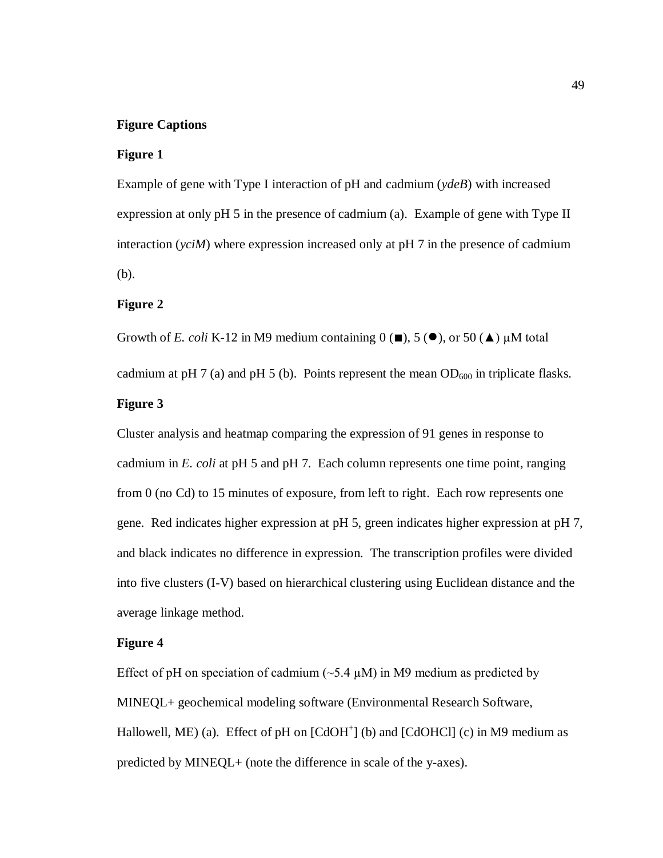## **Figure Captions**

### **Figure 1**

Example of gene with Type I interaction of pH and cadmium (*ydeB*) with increased expression at only pH 5 in the presence of cadmium (a). Example of gene with Type II interaction (*yciM*) where expression increased only at pH 7 in the presence of cadmium (b).

## **Figure 2**

Growth of *E. coli* K-12 in M9 medium containing  $0 \, (\blacksquare)$ , 5  $(\blacklozenge)$ , or 50  $(\blacktriangle)$  µM total

cadmium at pH 7 (a) and pH 5 (b). Points represent the mean  $OD_{600}$  in triplicate flasks.

### **Figure 3**

Cluster analysis and heatmap comparing the expression of 91 genes in response to cadmium in *E. coli* at pH 5 and pH 7. Each column represents one time point, ranging from 0 (no Cd) to 15 minutes of exposure, from left to right. Each row represents one gene. Red indicates higher expression at pH 5, green indicates higher expression at pH 7, and black indicates no difference in expression. The transcription profiles were divided into five clusters (I-V) based on hierarchical clustering using Euclidean distance and the average linkage method.

## **Figure 4**

Effect of pH on speciation of cadmium  $(\sim 5.4 \mu M)$  in M9 medium as predicted by MINEQL+ geochemical modeling software (Environmental Research Software, Hallowell, ME) (a). Effect of pH on  $[CdOH<sup>+</sup>]$  (b) and  $[CdOHCl]$  (c) in M9 medium as predicted by MINEQL+ (note the difference in scale of the y-axes).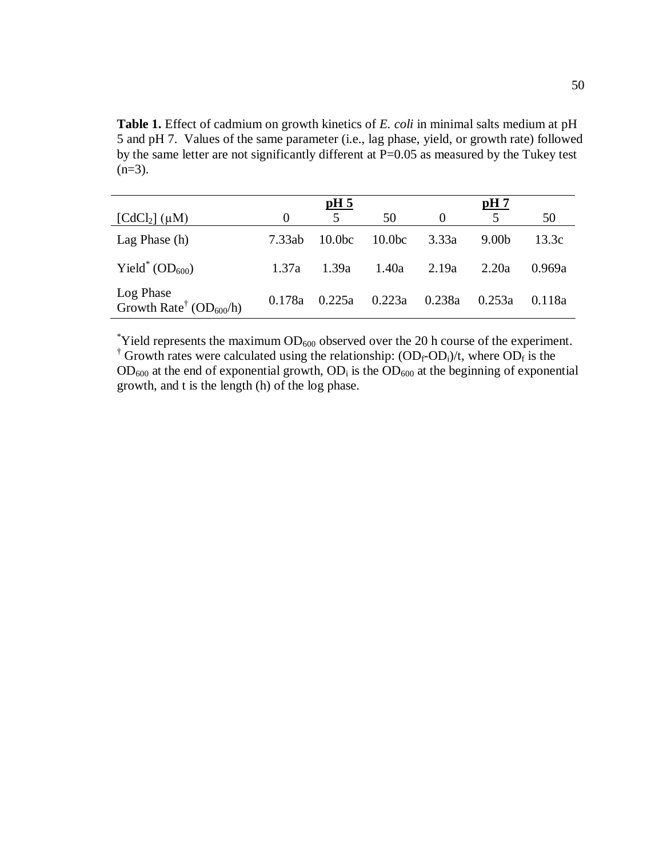**Table 1.** Effect of cadmium on growth kinetics of *E. coli* in minimal salts medium at pH 5 and pH 7. Values of the same parameter (i.e., lag phase, yield, or growth rate) followed by the same letter are not significantly different at P=0.05 as measured by the Tukey test  $(n=3)$ .

|                                                              |          | <u>pH 5</u>        |                    |        | pH7               |        |
|--------------------------------------------------------------|----------|--------------------|--------------------|--------|-------------------|--------|
| $[CdCl2] (\mu M)$                                            | $\theta$ | 5                  | 50                 |        | 5                 | 50     |
| Lag Phase (h)                                                | 7.33ab   | 10.0 <sub>bc</sub> | 10.0 <sub>bc</sub> | 3.33a  | 9.00 <sub>b</sub> | 13.3c  |
| Yield <sup>*</sup> (OD <sub>600</sub> )                      | 1.37a    | 1.39a              | 1.40a              | 2.19a  | 2.20a             | 0.969a |
| Log Phase<br>Growth Rate <sup>†</sup> (OD <sub>600</sub> /h) | 0.178a   | 0.225a             | 0.223a             | 0.238a | 0.253a            | 0.118a |

\*Yield represents the maximum  $OD_{600}$  observed over the 20 h course of the experiment.

<sup>†</sup> Growth rates were calculated using the relationship:  $(OD_f-OD_i)/t$ , where  $OD_f$  is the  $OD_{600}$  at the end of exponential growth,  $OD_i$  is the  $OD_{600}$  at the beginning of exponential growth, and t is the length (h) of the log phase.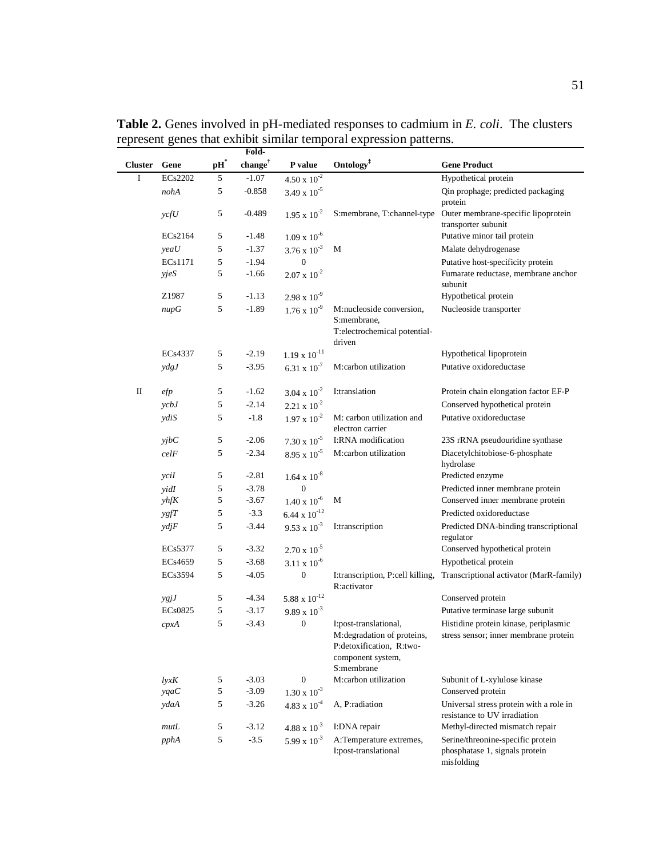|                |            |                 | Fold-               |                              |                                                                                                                     |                                                                                   |
|----------------|------------|-----------------|---------------------|------------------------------|---------------------------------------------------------------------------------------------------------------------|-----------------------------------------------------------------------------------|
| <b>Cluster</b> | Gene       | $\mathbf{pH}^*$ | change <sup>†</sup> | P value                      | Ontology <sup>‡</sup>                                                                                               | <b>Gene Product</b>                                                               |
| I              | ECs2202    | 5               | $-1.07$             | $4.50 \times 10^{-2}$        |                                                                                                                     | Hypothetical protein                                                              |
|                | nohA       | 5               | $-0.858$            | 3.49 x $10^{-5}$             |                                                                                                                     | Qin prophage; predicted packaging<br>protein                                      |
|                | vcfU       | 5               | $-0.489$            | $1.95 \times 10^{-2}$        | S:membrane, T:channel-type                                                                                          | Outer membrane-specific lipoprotein<br>transporter subunit                        |
|                | ECs2164    | 5               | $-1.48$             | $1.09 \times 10^{-6}$        |                                                                                                                     | Putative minor tail protein                                                       |
|                | yeaU       | 5               | $-1.37$             | $3.76 \times 10^{-3}$        | М                                                                                                                   | Malate dehydrogenase                                                              |
|                | ECs1171    | 5               | $-1.94$             | $\Omega$                     |                                                                                                                     | Putative host-specificity protein                                                 |
|                | yjeS       | 5               | $-1.66$             | $2.07 \times 10^{-2}$        |                                                                                                                     | Fumarate reductase, membrane anchor<br>subunit                                    |
|                | Z1987      | 5               | $-1.13$             | $2.98 \times 10^{-9}$        |                                                                                                                     | Hypothetical protein                                                              |
|                | nupG       | 5               | $-1.89$             | $1.76 \times 10^{-9}$        | M:nucleoside conversion,<br>S:membrane,<br>T:electrochemical potential-<br>driven                                   | Nucleoside transporter                                                            |
|                | ECs4337    | 5               | $-2.19$             | $1.19 \times 10^{-11}$       |                                                                                                                     | Hypothetical lipoprotein                                                          |
|                | $y$ dg $J$ | 5               | $-3.95$             | $6.31 \times 10^{-7}$        | M:carbon utilization                                                                                                | Putative oxidoreductase                                                           |
| П              | efp        | 5               | $-1.62$             | $3.04 \times 10^{-2}$        | I:translation                                                                                                       | Protein chain elongation factor EF-P                                              |
|                | ycbJ       | 5               | $-2.14$             | $2.21 \times 10^{-2}$        |                                                                                                                     | Conserved hypothetical protein                                                    |
|                | ydiS       | 5               | $-1.8$              | $1.97 \times 10^{-2}$        | M: carbon utilization and<br>electron carrier                                                                       | Putative oxidoreductase                                                           |
|                | yjbc       | 5               | $-2.06$             | $7.30 \times 10^{-5}$        | I:RNA modification                                                                                                  | 23S rRNA pseudouridine synthase                                                   |
|                | celF       | 5               | $-2.34$             | $8.95 \times 10^{-5}$        | M:carbon utilization                                                                                                | Diacetylchitobiose-6-phosphate<br>hydrolase                                       |
|                | yciI       | 5               | $-2.81$             | $1.64 \times 10^{-8}$        |                                                                                                                     | Predicted enzyme                                                                  |
|                | yidI       | 5               | $-3.78$             | $\overline{0}$               |                                                                                                                     | Predicted inner membrane protein                                                  |
|                | y h f K    | 5               | $-3.67$             | $1.40 \times 10^{-6}$        | М                                                                                                                   | Conserved inner membrane protein                                                  |
|                | ygfT       | 5               | $-3.3$              | 6.44 x $10^{-12}$            |                                                                                                                     | Predicted oxidoreductase                                                          |
|                | ydjF       | 5               | $-3.44$             | $9.53 \times 10^{-3}$        | I:transcription                                                                                                     | Predicted DNA-binding transcriptional<br>regulator                                |
|                | ECs5377    | 5               | $-3.32$             | $2.70 \times 10^{-5}$        |                                                                                                                     | Conserved hypothetical protein                                                    |
|                | ECs4659    | 5               | $-3.68$             | $3.11 \times 10^{-6}$        |                                                                                                                     | Hypothetical protein                                                              |
|                | ECs3594    | 5               | $-4.05$             | $\boldsymbol{0}$             | I:transcription, P:cell killing,<br>R:activator                                                                     | Transcriptional activator (MarR-family)                                           |
|                | ygjJ       | 5               | $-4.34$             | $5.88\ \mathrm{x}\ 10^{-12}$ |                                                                                                                     | Conserved protein                                                                 |
|                | ECs0825    | 5               | $-3.17$             | $9.89 \times 10^{-3}$        |                                                                                                                     | Putative terminase large subunit                                                  |
|                | cpxA       | 5               | $-3.43$             | $\boldsymbol{0}$             | I:post-translational,<br>M: degradation of proteins,<br>P:detoxification, R:two-<br>component system,<br>S:membrane | Histidine protein kinase, periplasmic<br>stress sensor; inner membrane protein    |
|                | lyxK       | 5               | $-3.03$             | 0                            | M:carbon utilization                                                                                                | Subunit of L-xylulose kinase                                                      |
|                | yqaC       | 5               | $-3.09$             | $1.30 \times 10^{-3}$        |                                                                                                                     | Conserved protein                                                                 |
|                | ydaA       | 5               | $-3.26$             | $4.83 \times 10^{-4}$        | A, P:radiation                                                                                                      | Universal stress protein with a role in<br>resistance to UV irradiation           |
|                | mutL       | 5               | $-3.12$             | $4.88 \times 10^{-3}$        | I:DNA repair                                                                                                        | Methyl-directed mismatch repair                                                   |
|                | pphA       | 5               | $-3.5$              | 5.99 x $10^{-3}$             | A:Temperature extremes,<br>I:post-translational                                                                     | Serine/threonine-specific protein<br>phosphatase 1, signals protein<br>misfolding |

**Table 2.** Genes involved in pH-mediated responses to cadmium in *E. coli*. The clusters represent genes that exhibit similar temporal expression patterns.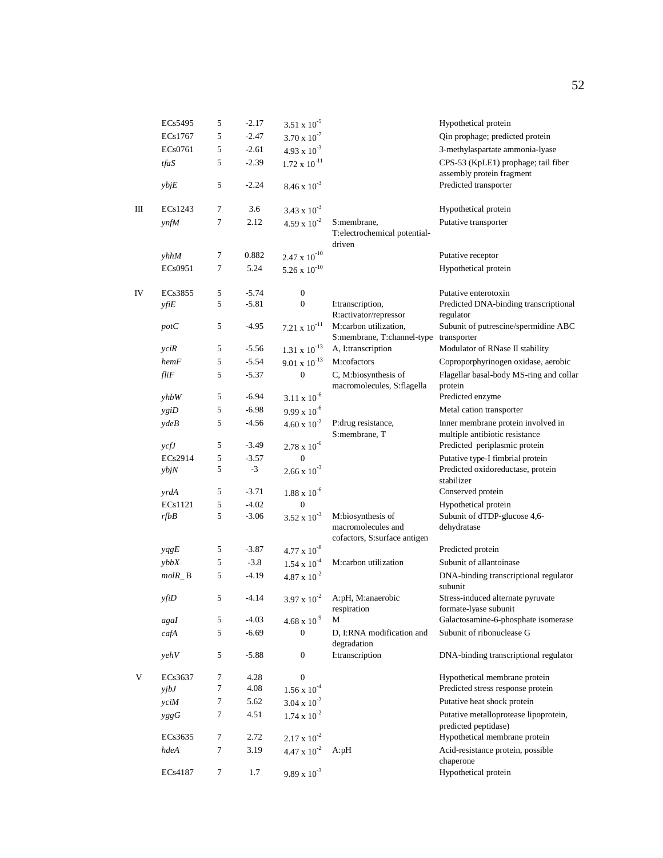|    | ECs5495              | 5                | $-2.17$            | $3.51 \times 10^{-5}$                   |                                                                 | Hypothetical protein                                                 |
|----|----------------------|------------------|--------------------|-----------------------------------------|-----------------------------------------------------------------|----------------------------------------------------------------------|
|    | ECs1767              | 5                | $-2.47$            | $3.70 \times 10^{-7}$                   |                                                                 | Qin prophage; predicted protein                                      |
|    | ECs0761              | 5                | $-2.61$            | $4.93 \times 10^{-3}$                   |                                                                 | 3-methylaspartate ammonia-lyase                                      |
|    | tfaS                 | 5                | $-2.39$            | $1.72 \times 10^{-11}$                  |                                                                 | CPS-53 (KpLE1) prophage; tail fiber                                  |
|    | ybjE                 | 5                | $-2.24$            | $8.46 \times 10^{-3}$                   |                                                                 | assembly protein fragment<br>Predicted transporter                   |
| Ш  | ECs1243              | 7                | 3.6                | $3.43 \times 10^{-3}$                   |                                                                 | Hypothetical protein                                                 |
|    | ynfM                 | $\tau$           | 2.12               | $4.59 \times 10^{-2}$                   | S:membrane,                                                     | Putative transporter                                                 |
|    |                      |                  |                    |                                         | T:electrochemical potential-<br>driven                          |                                                                      |
|    | yhhM                 | 7                | 0.882              | $2.47\ \text{x}\ 10^{-10}$              |                                                                 | Putative receptor                                                    |
|    | EC <sub>s</sub> 0951 | 7                | 5.24               | $5.26 \times 10^{-10}$                  |                                                                 | Hypothetical protein                                                 |
| IV | EC <sub>s</sub> 3855 | 5                | $-5.74$            | $\boldsymbol{0}$                        |                                                                 | Putative enterotoxin                                                 |
|    | $yf$ <i>i</i> $E$    | 5                | $-5.81$            | $\boldsymbol{0}$                        | I:transcription,<br>R:activator/repressor                       | Predicted DNA-binding transcriptional<br>regulator                   |
|    | potC                 | 5                | $-4.95$            | $7.21\ \text{x}\ 10^{-11}$              | M:carbon utilization,<br>S:membrane, T:channel-type transporter | Subunit of putrescine/spermidine ABC                                 |
|    | yciR                 | 5                | $-5.56$            | $1.31 \times 10^{-13}$                  | A, I:transcription                                              | Modulator of RNase II stability                                      |
|    | hemF                 | 5                | $-5.54$            | $9.01 \times 10^{-13}$                  | M:cofactors                                                     | Coproporphyrinogen oxidase, aerobic                                  |
|    | fliF                 | 5                | $-5.37$            | $\boldsymbol{0}$                        | C, M:biosynthesis of<br>macromolecules, S:flagella              | Flagellar basal-body MS-ring and collar<br>protein                   |
|    | yhbW                 | 5                | $-6.94$            | $3.11 \times 10^{-6}$                   |                                                                 | Predicted enzyme                                                     |
|    | ygiD                 | 5                | $-6.98$            | $9.99 \times 10^{-6}$                   |                                                                 | Metal cation transporter                                             |
|    | ydeB                 | 5                | $-4.56$            | $4.60 \times 10^{-2}$                   | P:drug resistance,<br>S:membrane, T                             | Inner membrane protein involved in<br>multiple antibiotic resistance |
|    | $\gamma$ $\gamma$    | 5                | $-3.49$            | $2.78 \times 10^{-6}$                   |                                                                 | Predicted periplasmic protein                                        |
|    | ECs2914              | 5                | $-3.57$            | $\overline{0}$                          |                                                                 | Putative type-I fimbrial protein                                     |
|    | ybjN                 | 5                | $-3$               | $2.66 \times 10^{-3}$                   |                                                                 | Predicted oxidoreductase, protein<br>stabilizer                      |
|    | yrdA                 | 5                | $-3.71$            | $1.88 \ge 10^{-6}$                      |                                                                 | Conserved protein                                                    |
|    | ECs1121<br>rfbB      | 5<br>5           | $-4.02$<br>$-3.06$ | $\overline{0}$<br>$3.52 \times 10^{-3}$ | M:biosynthesis of                                               | Hypothetical protein<br>Subunit of dTDP-glucose 4,6-                 |
|    |                      |                  |                    |                                         | macromolecules and<br>cofactors, S:surface antigen              | dehydratase                                                          |
|    | yqgE                 | 5                | $-3.87$            | $4.77 \times 10^{-8}$                   |                                                                 | Predicted protein                                                    |
|    | ybbX                 | 5                | $-3.8$             | $1.54 \times 10^{-4}$                   | M:carbon utilization                                            | Subunit of allantoinase                                              |
|    | $molR$ <sub>-B</sub> | 5                | $-4.19$            | $4.87 \times 10^{-2}$                   |                                                                 | DNA-binding transcriptional regulator<br>subunit                     |
|    | yfiD                 | $\sqrt{5}$       | $-4.14$            | $3.97 \times 10^{-2}$                   | A:pH, M:anaerobic<br>respiration                                | Stress-induced alternate pyruvate<br>formate-lyase subunit           |
|    | agaI                 | 5                | $-4.03$            | $4.68 \times 10^{-9}$                   | M                                                               | Galactosamine-6-phosphate isomerase                                  |
|    | cafA                 | 5                | $-6.69$            | $\boldsymbol{0}$                        | D, I:RNA modification and<br>degradation                        | Subunit of ribonuclease G                                            |
|    | yehV                 | 5                | $-5.88$            | $\boldsymbol{0}$                        | I:transcription                                                 | DNA-binding transcriptional regulator                                |
| V  | ECs3637              | 7                | 4.28               | $\boldsymbol{0}$                        |                                                                 | Hypothetical membrane protein                                        |
|    | yj bJ                | 7                | 4.08               | $1.56 \times 10^{-4}$                   |                                                                 | Predicted stress response protein                                    |
|    | yciM                 | $\boldsymbol{7}$ | 5.62               | $3.04 \times 10^{-2}$                   |                                                                 | Putative heat shock protein                                          |
|    | yggG                 | $\tau$           | 4.51               | $1.74 \times 10^{-2}$                   |                                                                 | Putative metalloprotease lipoprotein,<br>predicted peptidase)        |
|    | ECs3635              | 7                | 2.72               | $2.17 \times 10^{-2}$                   |                                                                 | Hypothetical membrane protein                                        |
|    | hdeA                 | $\tau$           | 3.19               | $4.47 \times 10^{-2}$                   | A: pH                                                           | Acid-resistance protein, possible<br>chaperone                       |
|    | ECs4187              | 7                | 1.7                | $9.89 \times 10^{-3}$                   |                                                                 | Hypothetical protein                                                 |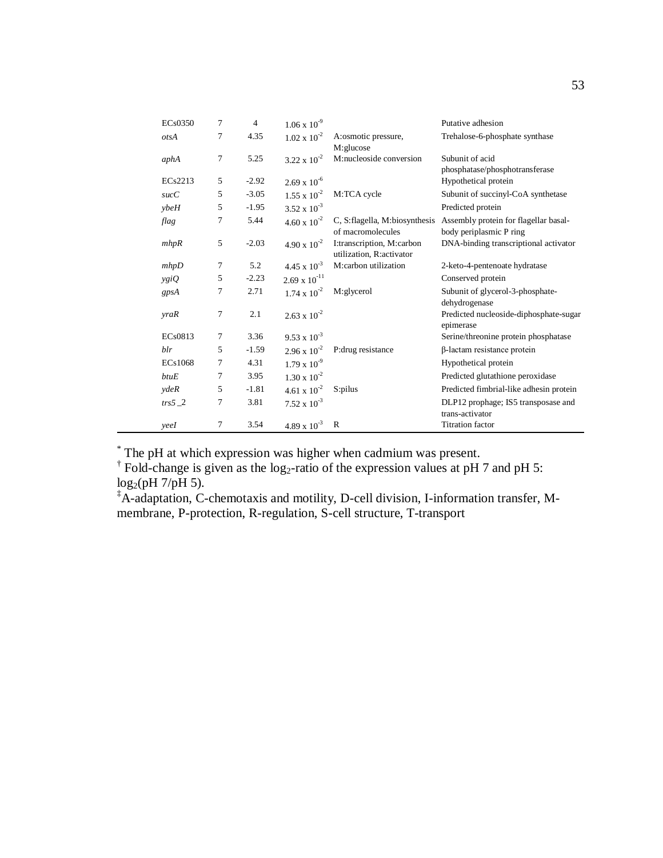| ECs0350     | 7              | $\overline{4}$ |                        |                                                       | Putative adhesion                                                    |
|-------------|----------------|----------------|------------------------|-------------------------------------------------------|----------------------------------------------------------------------|
|             |                |                | $1.06 \times 10^{-9}$  |                                                       |                                                                      |
| otsA        | 7              | 4.35           | $1.02 \times 10^{-2}$  | A:osmotic pressure,                                   | Trehalose-6-phosphate synthase                                       |
| aphA        | $\overline{7}$ | 5.25           | $3.22 \times 10^{-2}$  | M:glucose<br>M:nucleoside conversion                  | Subunit of acid<br>phosphatase/phosphotransferase                    |
| ECs2213     | 5              | $-2.92$        | $2.69 \times 10^{-6}$  |                                                       | Hypothetical protein                                                 |
| succC       | 5              | $-3.05$        | $1.55 \times 10^{-2}$  | M:TCA cycle                                           | Subunit of succinyl-CoA synthetase                                   |
| vbeH        | 5              | $-1.95$        | $3.52 \times 10^{-3}$  |                                                       | Predicted protein                                                    |
| flag        | $\overline{7}$ | 5.44           | $4.60 \times 10^{-2}$  | C, S:flagella, M:biosynthesis<br>of macromolecules    | Assembly protein for flagellar basal-<br>body periplasmic P ring     |
| mhpR        | 5              | $-2.03$        | $4.90 \times 10^{-2}$  | I:transcription, M:carbon<br>utilization, R:activator | DNA-binding transcriptional activator                                |
| mhpD        | 7              | 5.2            | $4.45 \times 10^{-3}$  | M:carbon utilization                                  | 2-keto-4-pentenoate hydratase                                        |
| ygiQ        | 5              | $-2.23$        | $2.69 \times 10^{-11}$ |                                                       | Conserved protein                                                    |
| gpsA        | 7              | 2.71           | $1.74 \times 10^{-2}$  | M:glycerol                                            | Subunit of glycerol-3-phosphate-                                     |
| <i>vraR</i> | $\overline{7}$ | 2.1            | $2.63 \times 10^{-2}$  |                                                       | dehydrogenase<br>Predicted nucleoside-diphosphate-sugar<br>epimerase |
| ECs0813     | 7              | 3.36           | $9.53 \times 10^{-3}$  |                                                       | Serine/threonine protein phosphatase                                 |
| blr         | 5              | $-1.59$        | $2.96 \times 10^{-2}$  | P: drug resistance                                    | β-lactam resistance protein                                          |
| ECs1068     | 7              | 4.31           | $1.79 \times 10^{-9}$  |                                                       | Hypothetical protein                                                 |
| butuE       | 7              | 3.95           | $1.30 \times 10^{-2}$  |                                                       | Predicted glutathione peroxidase                                     |
| ydeR        | 5              | $-1.81$        | $4.61 \times 10^{-2}$  | S:pilus                                               | Predicted fimbrial-like adhesin protein                              |
| $trs5$ 2    | 7              | 3.81           | $7.52 \times 10^{-3}$  |                                                       | DLP12 prophage; IS5 transposase and<br>trans-activator               |
| yeeI        | $\overline{7}$ | 3.54           | $4.89 \times 10^{-3}$  | $\mathbb{R}$                                          | <b>Titration factor</b>                                              |

<sup>\*</sup> The pH at which expression was higher when cadmium was present.<br><sup>†</sup> Fold-change is given as the log<sub>2</sub>-ratio of the expression values at pH 7 and pH 5:  $log_2(pH 7/pH 5)$ .

‡A-adaptation, C-chemotaxis and motility, D-cell division, I-information transfer, Mmembrane, P-protection, R-regulation, S-cell structure, T-transport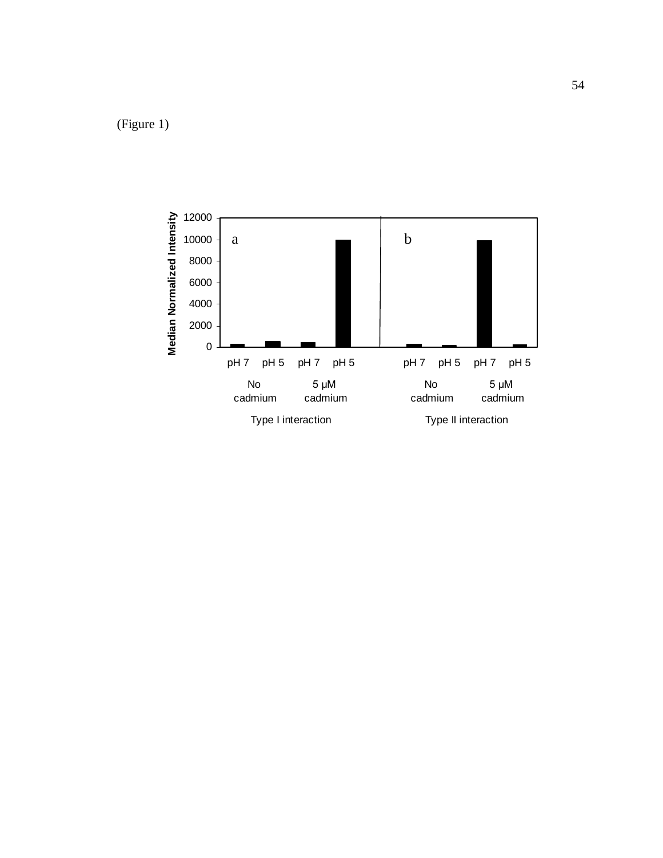(Figure 1)

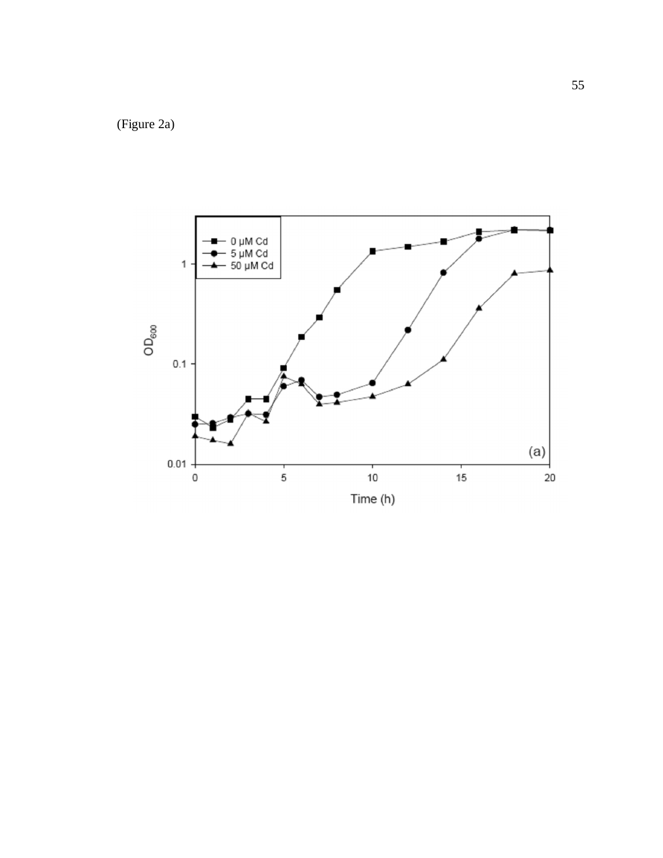(Figure 2a )

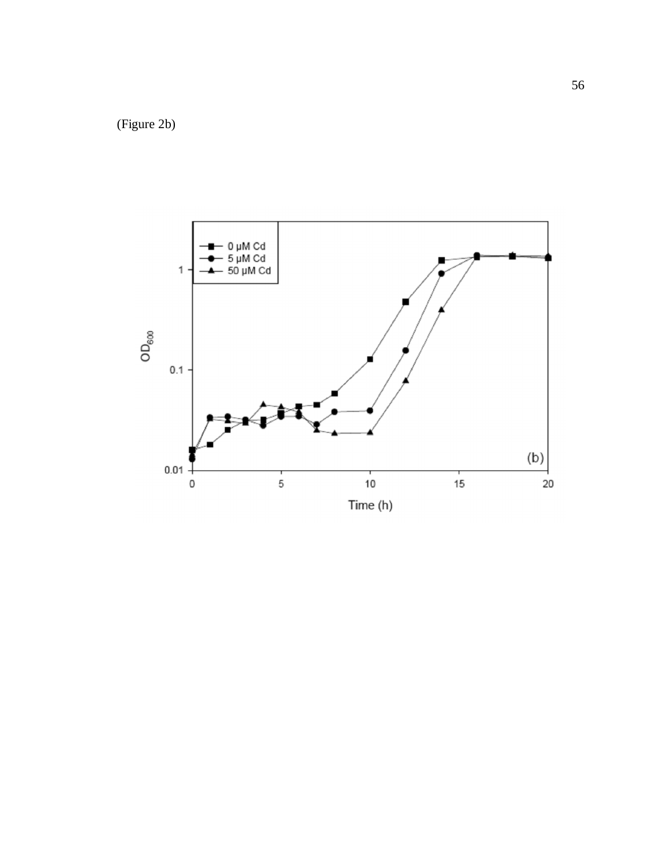(Figure 2b )

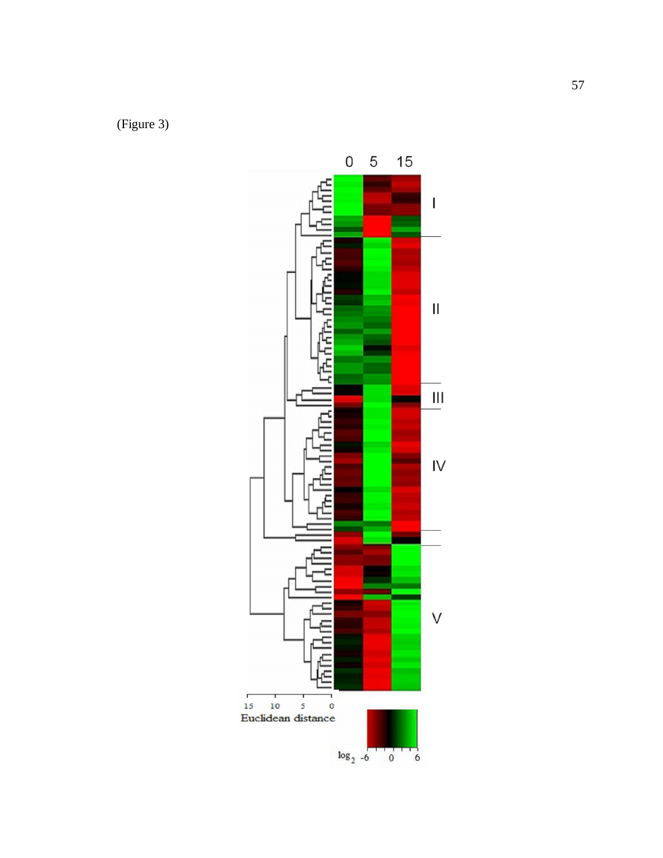(Figure 3 )

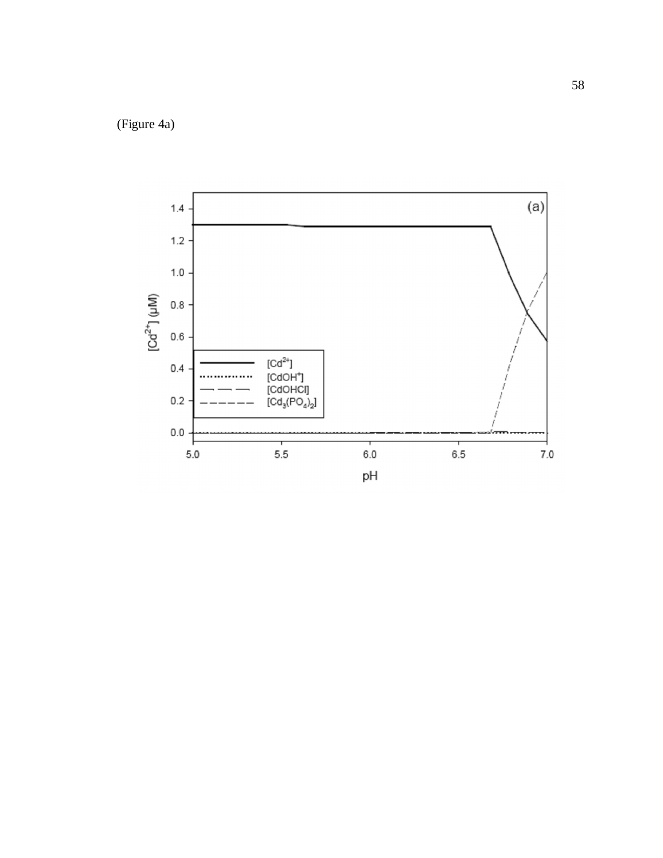(Figure 4a )

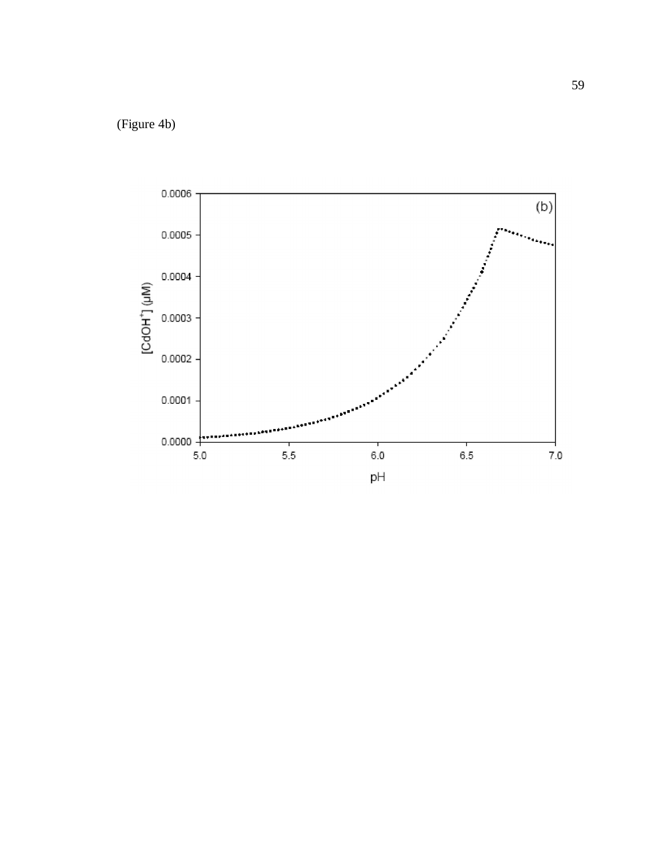(Figure 4b )

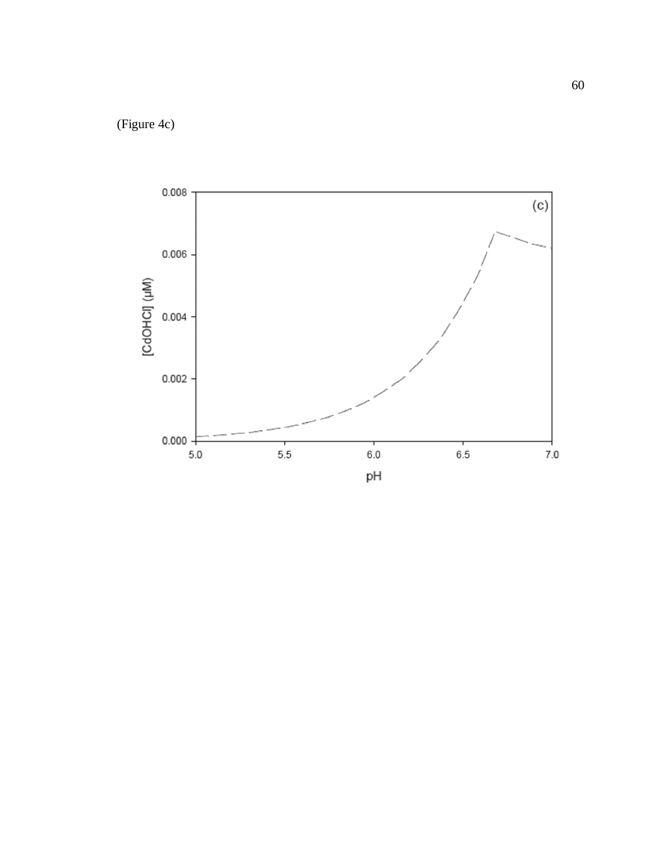(Figure 4c )

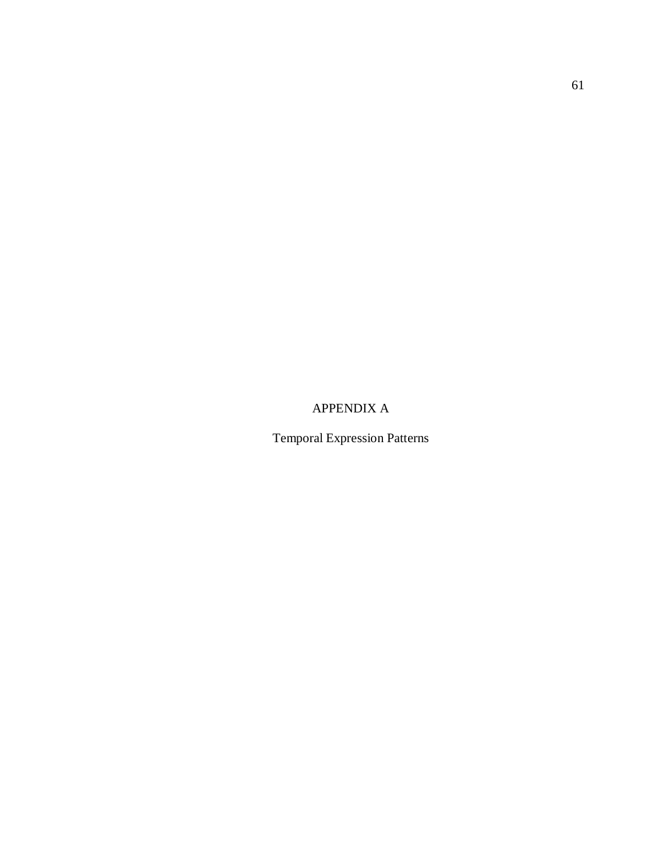APPENDIX A

Temporal Expression Patterns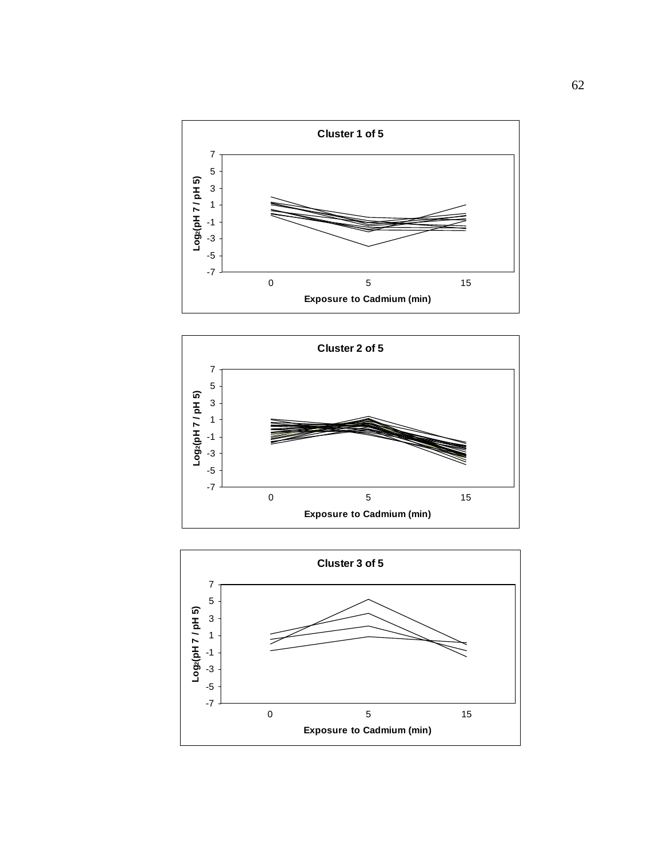



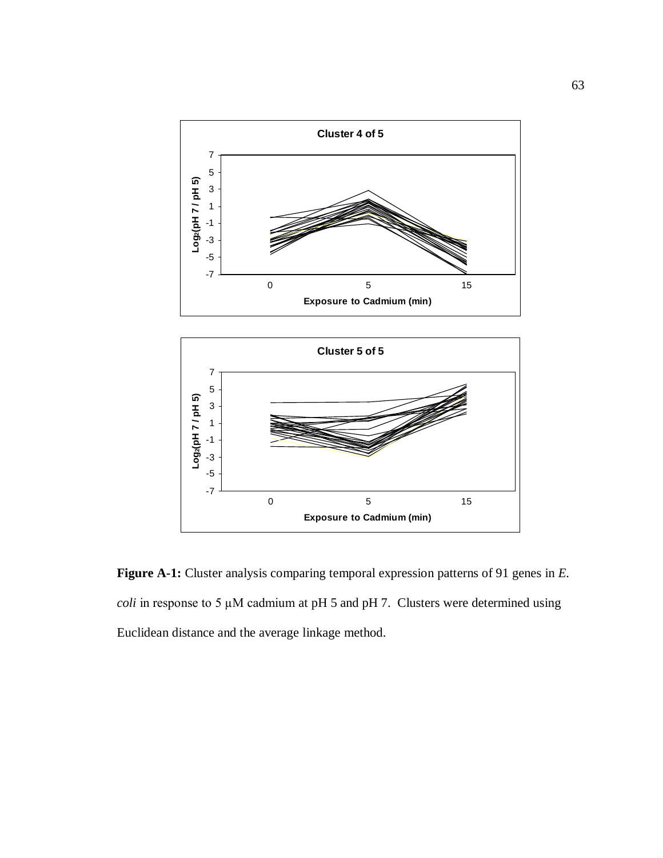



**Figure A-1:** Cluster analysis comparing temporal expression patterns of 91 genes in *E. coli* in response to 5  $\mu$ M cadmium at pH 5 and pH 7. Clusters were determined using Euclidean distance and the average linkage method.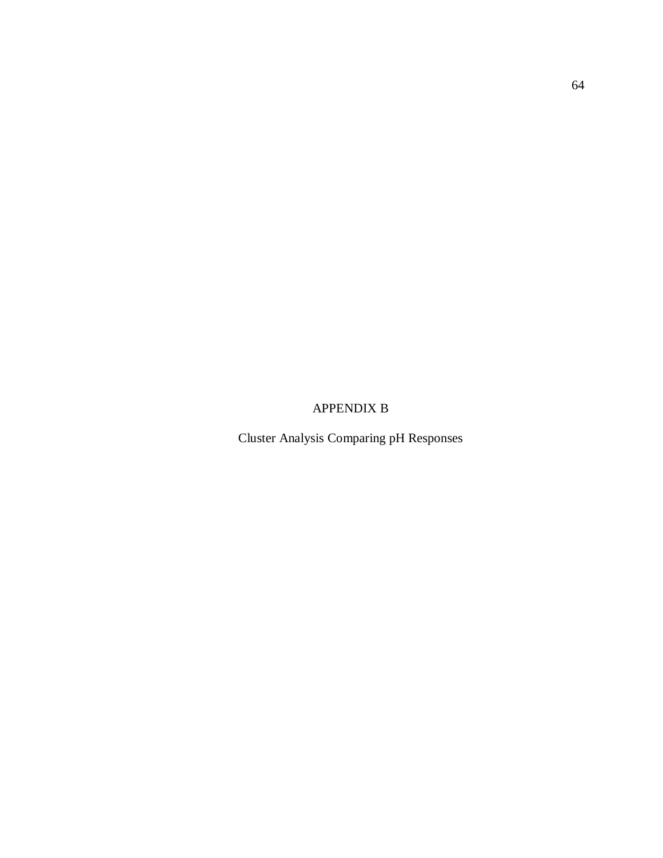APPENDIX B

Cluster Analysis Comparing pH Responses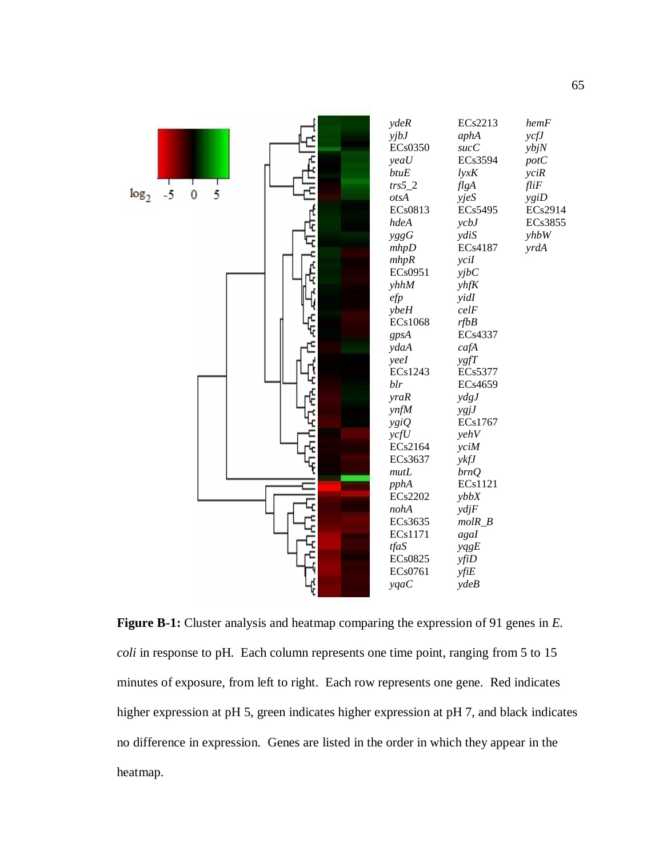

**Figure B-1:** Cluster analysis and heatmap comparing the expression of 91 genes in *E. coli* in response to pH. Each column represents one time point, ranging from 5 to 15 minutes of exposure, from left to right. Each row represents one gene. Red indicates higher expression at pH 5, green indicates higher expression at pH 7, and black indicates no difference in expression. Genes are listed in the order in which they appear in the heatmap.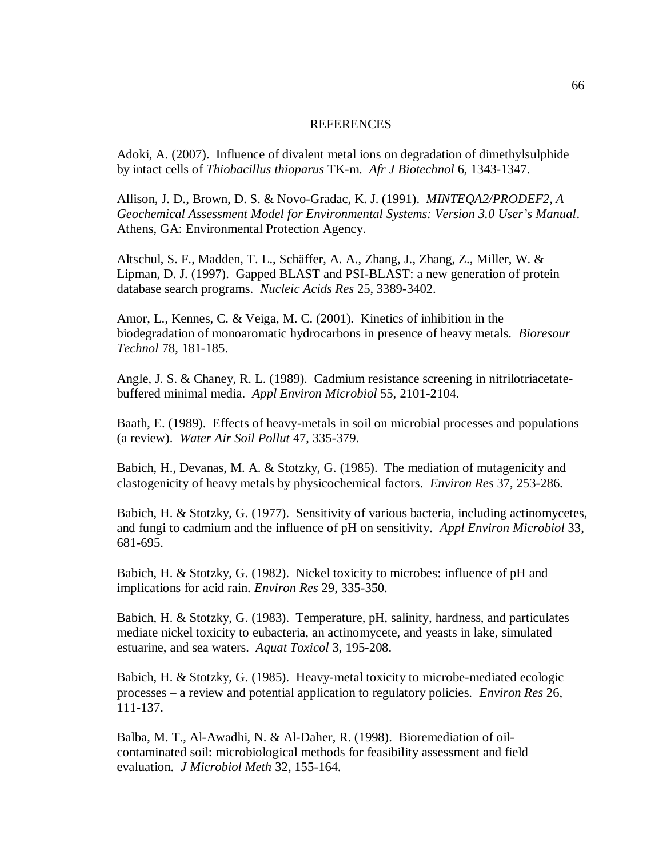#### **REFERENCES**

Adoki, A. (2007). Influence of divalent metal ions on degradation of dimethylsulphide by intact cells of *Thiobacillus thioparus* TK-m. *Afr J Biotechnol* 6, 1343-1347.

Allison, J. D., Brown, D. S. & Novo-Gradac, K. J. (1991). *MINTEQA2/PRODEF2, A Geochemical Assessment Model for Environmental Systems: Version 3.0 User's Manual*. Athens, GA: Environmental Protection Agency.

Altschul, S. F., Madden, T. L., Schäffer, A. A., Zhang, J., Zhang, Z., Miller, W. & Lipman, D. J. (1997). Gapped BLAST and PSI-BLAST: a new generation of protein database search programs. *Nucleic Acids Res* 25, 3389-3402.

Amor, L., Kennes, C. & Veiga, M. C. (2001). Kinetics of inhibition in the biodegradation of monoaromatic hydrocarbons in presence of heavy metals. *Bioresour Technol* 78, 181-185.

Angle, J. S. & Chaney, R. L. (1989). Cadmium resistance screening in nitrilotriacetatebuffered minimal media. *Appl Environ Microbiol* 55, 2101-2104.

Baath, E. (1989). Effects of heavy-metals in soil on microbial processes and populations (a review). *Water Air Soil Pollut* 47, 335-379.

Babich, H., Devanas, M. A. & Stotzky, G. (1985). The mediation of mutagenicity and clastogenicity of heavy metals by physicochemical factors. *Environ Res* 37, 253-286.

Babich, H. & Stotzky, G. (1977). Sensitivity of various bacteria, including actinomycetes, and fungi to cadmium and the influence of pH on sensitivity. *Appl Environ Microbiol* 33, 681-695.

Babich, H. & Stotzky, G. (1982). Nickel toxicity to microbes: influence of pH and implications for acid rain. *Environ Res* 29, 335-350.

Babich, H. & Stotzky, G. (1983). Temperature, pH, salinity, hardness, and particulates mediate nickel toxicity to eubacteria, an actinomycete, and yeasts in lake, simulated estuarine, and sea waters. *Aquat Toxicol* 3, 195-208.

Babich, H. & Stotzky, G. (1985). Heavy-metal toxicity to microbe-mediated ecologic processes – a review and potential application to regulatory policies. *Environ Res* 26, 111-137.

Balba, M. T., Al-Awadhi, N. & Al-Daher, R. (1998). Bioremediation of oilcontaminated soil: microbiological methods for feasibility assessment and field evaluation. *J Microbiol Meth* 32, 155-164.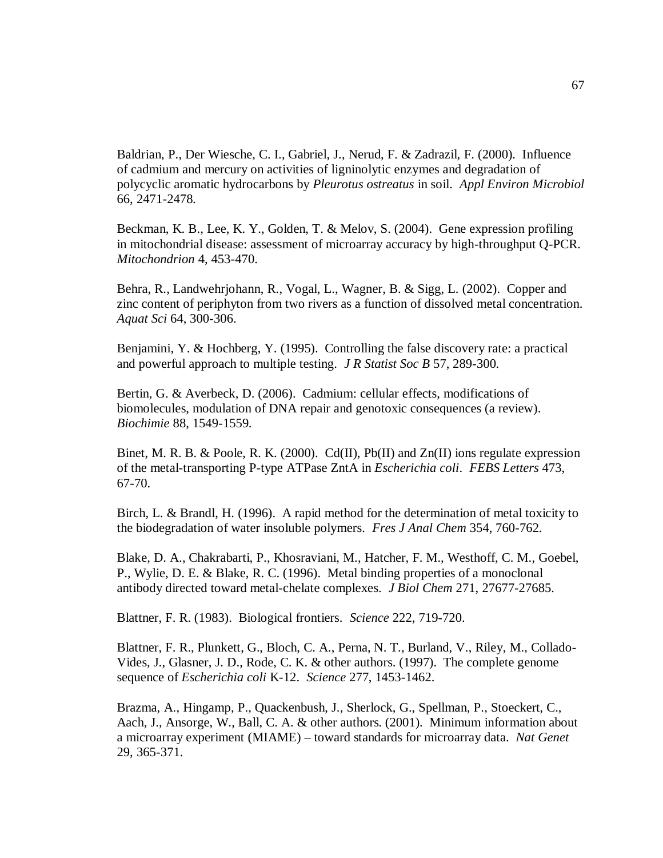Baldrian, P., Der Wiesche, C. I., Gabriel, J., Nerud, F. & Zadrazil, F. (2000). Influence of cadmium and mercury on activities of ligninolytic enzymes and degradation of polycyclic aromatic hydrocarbons by *Pleurotus ostreatus* in soil. *Appl Environ Microbiol*  66, 2471-2478.

Beckman, K. B., Lee, K. Y., Golden, T. & Melov, S. (2004). Gene expression profiling in mitochondrial disease: assessment of microarray accuracy by high-throughput Q-PCR. *Mitochondrion* 4, 453-470.

Behra, R., Landwehrjohann, R., Vogal, L., Wagner, B. & Sigg, L. (2002). Copper and zinc content of periphyton from two rivers as a function of dissolved metal concentration. *Aquat Sci* 64, 300-306.

Benjamini, Y. & Hochberg, Y. (1995). Controlling the false discovery rate: a practical and powerful approach to multiple testing. *J R Statist Soc B* 57, 289-300.

Bertin, G. & Averbeck, D. (2006). Cadmium: cellular effects, modifications of biomolecules, modulation of DNA repair and genotoxic consequences (a review). *Biochimie* 88, 1549-1559.

Binet, M. R. B. & Poole, R. K. (2000). Cd(II), Pb(II) and  $Zn(II)$  ions regulate expression of the metal-transporting P-type ATPase ZntA in *Escherichia coli*. *FEBS Letters* 473, 67-70.

Birch, L. & Brandl, H. (1996). A rapid method for the determination of metal toxicity to the biodegradation of water insoluble polymers. *Fres J Anal Chem* 354, 760-762.

Blake, D. A., Chakrabarti, P., Khosraviani, M., Hatcher, F. M., Westhoff, C. M., Goebel, P., Wylie, D. E. & Blake, R. C. (1996). Metal binding properties of a monoclonal antibody directed toward metal-chelate complexes. *J Biol Chem* 271, 27677-27685.

Blattner, F. R. (1983). Biological frontiers. *Science* 222, 719-720.

Blattner, F. R., Plunkett, G., Bloch, C. A., Perna, N. T., Burland, V., Riley, M., Collado-Vides, J., Glasner, J. D., Rode, C. K. & other authors. (1997). The complete genome sequence of *Escherichia coli* K-12. *Science* 277, 1453-1462.

Brazma, A., Hingamp, P., Quackenbush, J., Sherlock, G., Spellman, P., Stoeckert, C., Aach, J., Ansorge, W., Ball, C. A. & other authors. (2001). Minimum information about a microarray experiment (MIAME) – toward standards for microarray data. *Nat Genet*  29, 365-371.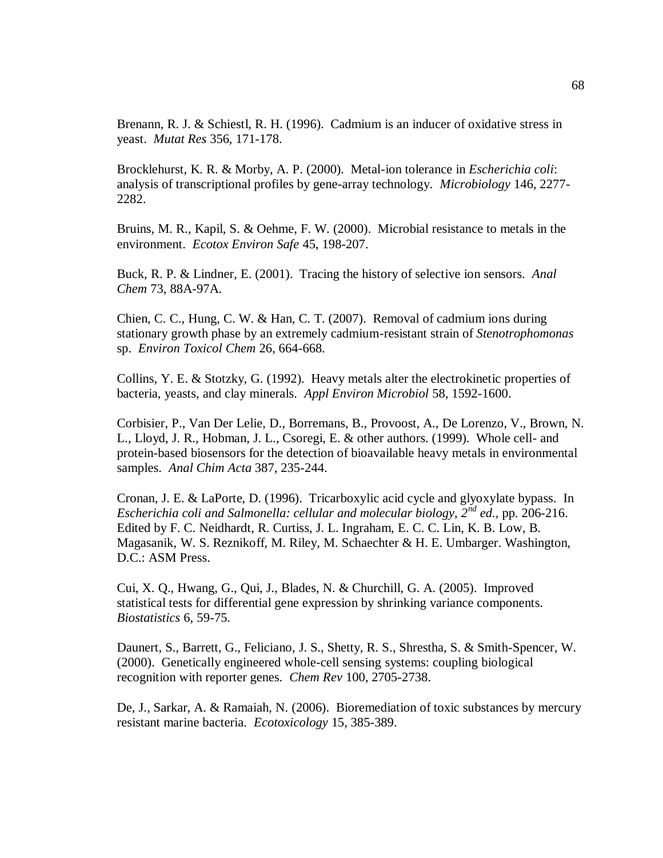Brenann, R. J. & Schiestl, R. H. (1996). Cadmium is an inducer of oxidative stress in yeast. *Mutat Res* 356, 171-178.

Brocklehurst, K. R. & Morby, A. P. (2000). Metal-ion tolerance in *Escherichia coli*: analysis of transcriptional profiles by gene-array technology. *Microbiology* 146, 2277- 2282.

Bruins, M. R., Kapil, S. & Oehme, F. W. (2000). Microbial resistance to metals in the environment. *Ecotox Environ Safe* 45, 198-207.

Buck, R. P. & Lindner, E. (2001). Tracing the history of selective ion sensors. *Anal Chem* 73, 88A-97A.

Chien, C. C., Hung, C. W. & Han, C. T. (2007). Removal of cadmium ions during stationary growth phase by an extremely cadmium-resistant strain of *Stenotrophomonas*  sp. *Environ Toxicol Chem* 26, 664-668.

Collins, Y. E. & Stotzky, G. (1992). Heavy metals alter the electrokinetic properties of bacteria, yeasts, and clay minerals. *Appl Environ Microbiol* 58, 1592-1600.

Corbisier, P., Van Der Lelie, D., Borremans, B., Provoost, A., De Lorenzo, V., Brown, N. L., Lloyd, J. R., Hobman, J. L., Csoregi, E. & other authors. (1999). Whole cell- and protein-based biosensors for the detection of bioavailable heavy metals in environmental samples. *Anal Chim Acta* 387, 235-244.

Cronan, J. E. & LaPorte, D. (1996). Tricarboxylic acid cycle and glyoxylate bypass. In *Escherichia coli and Salmonella: cellular and molecular biology, 2nd ed.,* pp. 206-216. Edited by F. C. Neidhardt, R. Curtiss, J. L. Ingraham, E. C. C. Lin, K. B. Low, B. Magasanik, W. S. Reznikoff, M. Riley, M. Schaechter & H. E. Umbarger. Washington, D.C.: ASM Press.

Cui, X. Q., Hwang, G., Qui, J., Blades, N. & Churchill, G. A. (2005). Improved statistical tests for differential gene expression by shrinking variance components. *Biostatistics* 6, 59-75.

Daunert, S., Barrett, G., Feliciano, J. S., Shetty, R. S., Shrestha, S. & Smith-Spencer, W. (2000). Genetically engineered whole-cell sensing systems: coupling biological recognition with reporter genes. *Chem Rev* 100, 2705-2738.

De, J., Sarkar, A. & Ramaiah, N. (2006). Bioremediation of toxic substances by mercury resistant marine bacteria. *Ecotoxicology* 15, 385-389.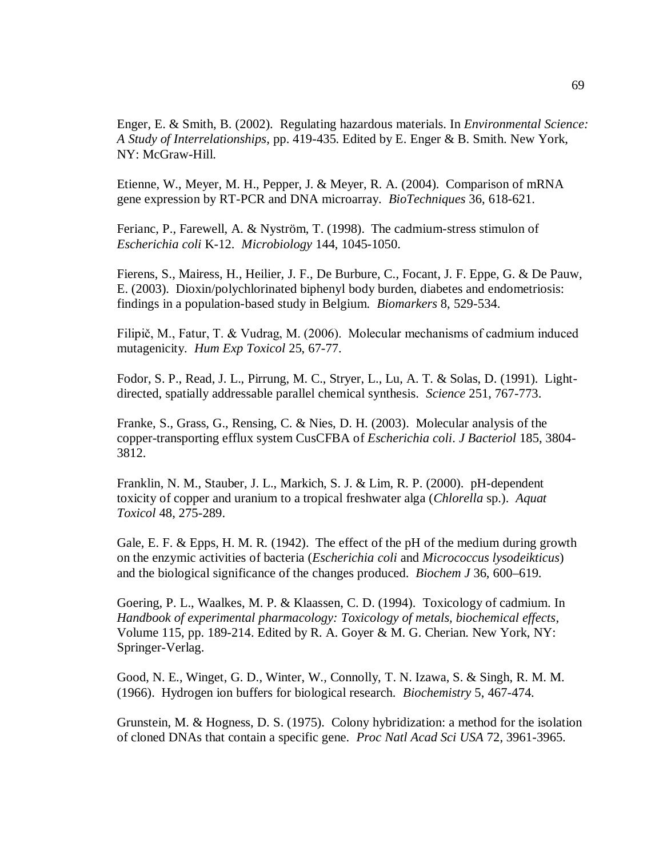Enger, E. & Smith, B. (2002). Regulating hazardous materials. In *Environmental Science: A Study of Interrelationships*, pp. 419-435. Edited by E. Enger & B. Smith. New York, NY: McGraw-Hill.

Etienne, W., Meyer, M. H., Pepper, J. & Meyer, R. A. (2004). Comparison of mRNA gene expression by RT-PCR and DNA microarray. *BioTechniques* 36, 618-621.

Ferianc, P., Farewell, A. & Nyström, T. (1998). The cadmium-stress stimulon of *Escherichia coli* K-12. *Microbiology* 144, 1045-1050.

Fierens, S., Mairess, H., Heilier, J. F., De Burbure, C., Focant, J. F. Eppe, G. & De Pauw, E. (2003). Dioxin/polychlorinated biphenyl body burden, diabetes and endometriosis: findings in a population-based study in Belgium. *Biomarkers* 8, 529-534.

Filipič, M., Fatur, T. & Vudrag, M. (2006). Molecular mechanisms of cadmium induced mutagenicity. *Hum Exp Toxicol* 25, 67-77.

Fodor, S. P., Read, J. L., Pirrung, M. C., Stryer, L., Lu, A. T. & Solas, D. (1991). Lightdirected, spatially addressable parallel chemical synthesis. *Science* 251, 767-773.

Franke, S., Grass, G., Rensing, C. & Nies, D. H. (2003). Molecular analysis of the copper-transporting efflux system CusCFBA of *Escherichia coli*. *J Bacteriol* 185, 3804- 3812.

Franklin, N. M., Stauber, J. L., Markich, S. J. & Lim, R. P. (2000). pH-dependent toxicity of copper and uranium to a tropical freshwater alga (*Chlorella* sp.). *Aquat Toxicol* 48, 275-289.

Gale, E. F. & Epps, H. M. R. (1942). The effect of the pH of the medium during growth on the enzymic activities of bacteria (*Escherichia coli* and *Micrococcus lysodeikticus*) and the biological significance of the changes produced. *Biochem J* 36, 600–619.

Goering, P. L., Waalkes, M. P. & Klaassen, C. D. (1994).Toxicology of cadmium. In *Handbook of experimental pharmacology: Toxicology of metals, biochemical effects*, Volume 115, pp. 189-214. Edited by R. A. Goyer & M. G. Cherian. New York, NY: Springer-Verlag.

Good, N. E., Winget, G. D., Winter, W., Connolly, T. N. Izawa, S. & Singh, R. M. M. (1966). Hydrogen ion buffers for biological research. *Biochemistry* 5, 467-474.

Grunstein, M. & Hogness, D. S. (1975). Colony hybridization: a method for the isolation of cloned DNAs that contain a specific gene. *Proc Natl Acad Sci USA* 72, 3961-3965.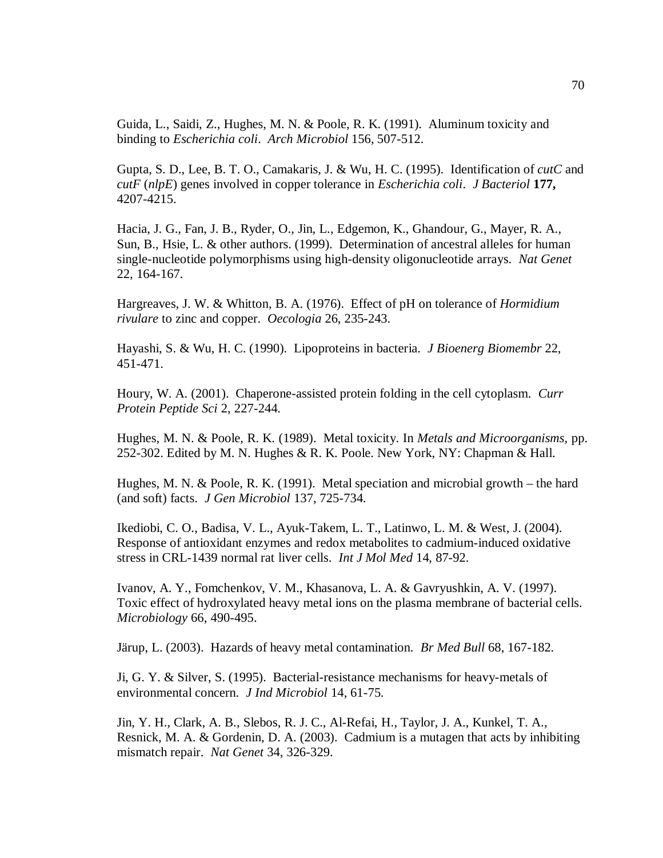Guida, L., Saidi, Z., Hughes, M. N. & Poole, R. K. (1991). Aluminum toxicity and binding to *Escherichia coli*. *Arch Microbiol* 156, 507-512.

Gupta, S. D., Lee, B. T. O., Camakaris, J. & Wu, H. C. (1995). Identification of *cutC* and *cutF* (*nlpE*) genes involved in copper tolerance in *Escherichia coli*. *J Bacteriol* **177,**  4207-4215.

Hacia, J. G., Fan, J. B., Ryder, O., Jin, L., Edgemon, K., Ghandour, G., Mayer, R. A., Sun, B., Hsie, L. & other authors. (1999). Determination of ancestral alleles for human single-nucleotide polymorphisms using high-density oligonucleotide arrays. *Nat Genet*  22, 164-167.

Hargreaves, J. W. & Whitton, B. A. (1976). Effect of pH on tolerance of *Hormidium rivulare* to zinc and copper. *Oecologia* 26, 235-243.

Hayashi, S. & Wu, H. C. (1990).Lipoproteins in bacteria. *J Bioenerg Biomembr* 22, 451-471.

Houry, W. A. (2001). Chaperone-assisted protein folding in the cell cytoplasm. *Curr Protein Peptide Sci* 2, 227-244.

Hughes, M. N. & Poole, R. K. (1989). Metal toxicity. In *Metals and Microorganisms*, pp. 252-302. Edited by M. N. Hughes & R. K. Poole. New York, NY: Chapman & Hall.

Hughes, M. N. & Poole, R. K. (1991). Metal speciation and microbial growth – the hard (and soft) facts. *J Gen Microbiol* 137, 725-734.

Ikediobi, C. O., Badisa, V. L., Ayuk-Takem, L. T., Latinwo, L. M. & West, J. (2004). Response of antioxidant enzymes and redox metabolites to cadmium-induced oxidative stress in CRL-1439 normal rat liver cells. *Int J Mol Med* 14, 87-92.

Ivanov, A. Y., Fomchenkov, V. M., Khasanova, L. A. & Gavryushkin, A. V. (1997). Toxic effect of hydroxylated heavy metal ions on the plasma membrane of bacterial cells. *Microbiology* 66, 490-495.

Järup, L. (2003). Hazards of heavy metal contamination. *Br Med Bull* 68, 167-182.

Ji, G. Y. & Silver, S. (1995). Bacterial-resistance mechanisms for heavy-metals of environmental concern. *J Ind Microbiol* 14, 61-75.

Jin, Y. H., Clark, A. B., Slebos, R. J. C., Al-Refai, H., Taylor, J. A., Kunkel, T. A., Resnick, M. A. & Gordenin, D. A. (2003). Cadmium is a mutagen that acts by inhibiting mismatch repair. *Nat Genet* 34, 326-329.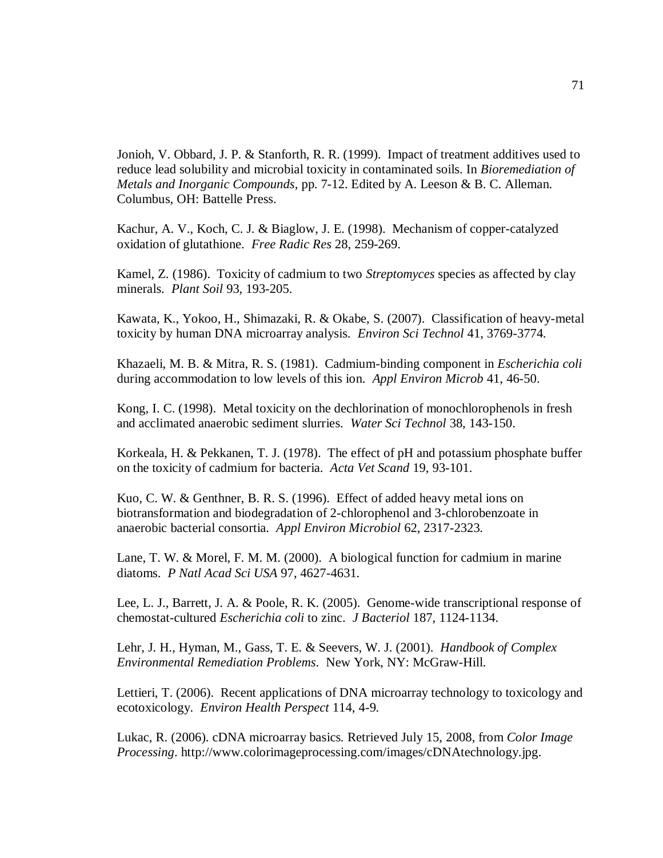Jonioh, V. Obbard, J. P. & Stanforth, R. R. (1999). Impact of treatment additives used to reduce lead solubility and microbial toxicity in contaminated soils. In *Bioremediation of Metals and Inorganic Compounds*, pp. 7-12. Edited by A. Leeson & B. C. Alleman. Columbus, OH: Battelle Press.

Kachur, A. V., Koch, C. J. & Biaglow, J. E. (1998). Mechanism of copper-catalyzed oxidation of glutathione. *Free Radic Res* 28, 259-269.

Kamel, Z. (1986). Toxicity of cadmium to two *Streptomyces* species as affected by clay minerals. *Plant Soil* 93, 193-205.

Kawata, K., Yokoo, H., Shimazaki, R. & Okabe, S. (2007). Classification of heavy-metal toxicity by human DNA microarray analysis. *Environ Sci Technol* 41, 3769-3774.

Khazaeli, M. B. & Mitra, R. S. (1981). Cadmium-binding component in *Escherichia coli* during accommodation to low levels of this ion. *Appl Environ Microb* 41, 46-50.

Kong, I. C. (1998). Metal toxicity on the dechlorination of monochlorophenols in fresh and acclimated anaerobic sediment slurries. *Water Sci Technol* 38, 143-150.

Korkeala, H. & Pekkanen, T. J. (1978). The effect of pH and potassium phosphate buffer on the toxicity of cadmium for bacteria. *Acta Vet Scand* 19, 93-101.

Kuo, C. W. & Genthner, B. R. S. (1996). Effect of added heavy metal ions on biotransformation and biodegradation of 2-chlorophenol and 3-chlorobenzoate in anaerobic bacterial consortia. *Appl Environ Microbiol* 62, 2317-2323.

Lane, T. W. & Morel, F. M. M. (2000). A biological function for cadmium in marine diatoms. *P Natl Acad Sci USA* 97, 4627-4631.

Lee, L. J., Barrett, J. A. & Poole, R. K. (2005). Genome-wide transcriptional response of chemostat-cultured *Escherichia coli* to zinc. *J Bacteriol* 187, 1124-1134.

Lehr, J. H., Hyman, M., Gass, T. E. & Seevers, W. J. (2001). *Handbook of Complex Environmental Remediation Problems*. New York, NY: McGraw-Hill.

Lettieri, T. (2006). Recent applications of DNA microarray technology to toxicology and ecotoxicology. *Environ Health Perspect* 114, 4-9.

Lukac, R. (2006). cDNA microarray basics*.* Retrieved July 15, 2008, from *Color Image Processing*. http://www.colorimageprocessing.com/images/cDNAtechnology.jpg.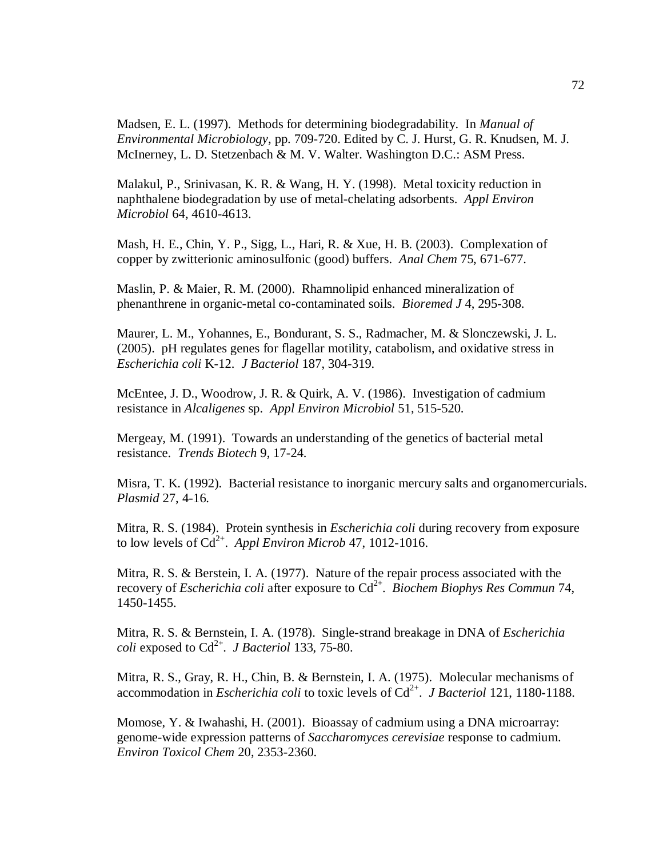Madsen, E. L. (1997). Methods for determining biodegradability. In *Manual of Environmental Microbiology*, pp. 709-720. Edited by C. J. Hurst, G. R. Knudsen, M. J. McInerney, L. D. Stetzenbach & M. V. Walter. Washington D.C.: ASM Press.

Malakul, P., Srinivasan, K. R. & Wang, H. Y. (1998). Metal toxicity reduction in naphthalene biodegradation by use of metal-chelating adsorbents. *Appl Environ Microbiol* 64, 4610-4613.

Mash, H. E., Chin, Y. P., Sigg, L., Hari, R. & Xue, H. B. (2003). Complexation of copper by zwitterionic aminosulfonic (good) buffers. *Anal Chem* 75, 671-677.

Maslin, P. & Maier, R. M. (2000). Rhamnolipid enhanced mineralization of phenanthrene in organic-metal co-contaminated soils. *Bioremed J* 4, 295-308.

Maurer, L. M., Yohannes, E., Bondurant, S. S., Radmacher, M. & Slonczewski, J. L. (2005). pH regulates genes for flagellar motility, catabolism, and oxidative stress in *Escherichia coli* K-12. *J Bacteriol* 187, 304-319.

McEntee, J. D., Woodrow, J. R. & Quirk, A. V. (1986). Investigation of cadmium resistance in *Alcaligenes* sp. *Appl Environ Microbiol* 51, 515-520.

Mergeay, M. (1991). Towards an understanding of the genetics of bacterial metal resistance. *Trends Biotech* 9, 17-24.

Misra, T. K. (1992). Bacterial resistance to inorganic mercury salts and organomercurials. *Plasmid* 27, 4-16.

Mitra, R. S. (1984). Protein synthesis in *Escherichia coli* during recovery from exposure to low levels of  $Cd^{2+}$ . *Appl Environ Microb* 47, 1012-1016.

Mitra, R. S. & Berstein, I. A. (1977). Nature of the repair process associated with the recovery of *Escherichia coli* after exposure to Cd<sup>2+</sup>. *Biochem Biophys Res Commun* 74, 1450-1455.

Mitra, R. S. & Bernstein, I. A. (1978). Single-strand breakage in DNA of *Escherichia coli* exposed to Cd2+ . *J Bacteriol* 133, 75-80.

Mitra, R. S., Gray, R. H., Chin, B. & Bernstein, I. A. (1975).Molecular mechanisms of accommodation in *Escherichia coli* to toxic levels of Cd<sup>2+</sup>. *J Bacteriol* 121, 1180-1188.

Momose, Y. & Iwahashi, H. (2001). Bioassay of cadmium using a DNA microarray: genome-wide expression patterns of *Saccharomyces cerevisiae* response to cadmium. *Environ Toxicol Chem* 20, 2353-2360.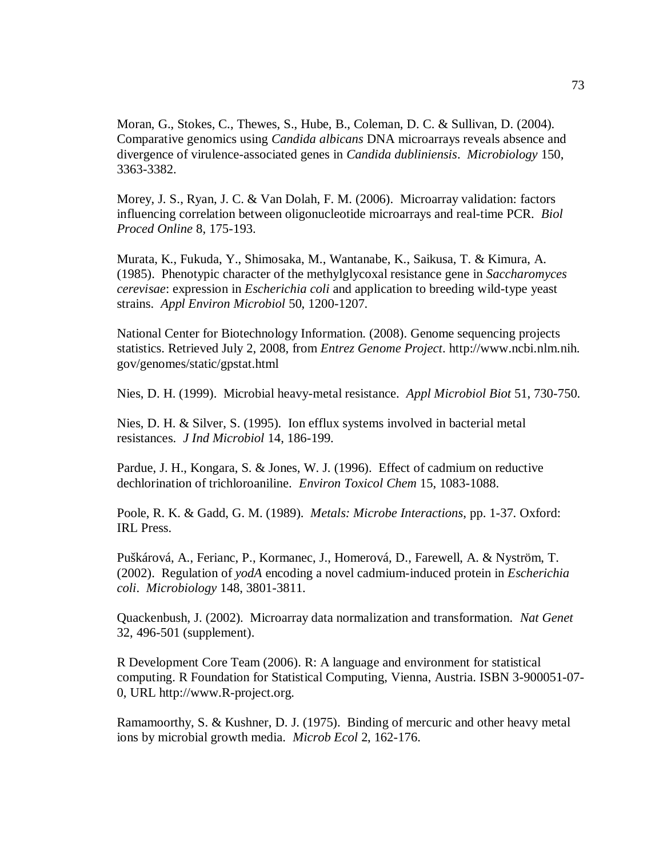Moran, G., Stokes, C., Thewes, S., Hube, B., Coleman, D. C. & Sullivan, D. (2004). Comparative genomics using *Candida albicans* DNA microarrays reveals absence and divergence of virulence-associated genes in *Candida dubliniensis*. *Microbiology* 150, 3363-3382.

Morey, J. S., Ryan, J. C. & Van Dolah, F. M. (2006). Microarray validation: factors influencing correlation between oligonucleotide microarrays and real-time PCR. *Biol Proced Online* 8, 175-193.

Murata, K., Fukuda, Y., Shimosaka, M., Wantanabe, K., Saikusa, T. & Kimura, A. (1985). Phenotypic character of the methylglycoxal resistance gene in *Saccharomyces cerevisae*: expression in *Escherichia coli* and application to breeding wild-type yeast strains. *Appl Environ Microbiol* 50, 1200-1207.

National Center for Biotechnology Information. (2008). Genome sequencing projects statistics. Retrieved July 2, 2008, from *Entrez Genome Project*. http://www.ncbi.nlm.nih. gov/genomes/static/gpstat.html

Nies, D. H. (1999). Microbial heavy-metal resistance. *Appl Microbiol Biot* 51, 730-750.

Nies, D. H. & Silver, S. (1995).Ion efflux systems involved in bacterial metal resistances. *J Ind Microbiol* 14, 186-199.

Pardue, J. H., Kongara, S. & Jones, W. J. (1996). Effect of cadmium on reductive dechlorination of trichloroaniline. *Environ Toxicol Chem* 15, 1083-1088.

Poole, R. K. & Gadd, G. M. (1989). *Metals: Microbe Interactions*, pp. 1-37. Oxford: IRL Press.

Puškárová, A., Ferianc, P., Kormanec, J., Homerová, D., Farewell, A. & Nyström, T. (2002). Regulation of *yodA* encoding a novel cadmium-induced protein in *Escherichia coli*. *Microbiology* 148, 3801-3811.

Quackenbush, J. (2002). Microarray data normalization and transformation. *Nat Genet*  32, 496-501 (supplement).

R Development Core Team (2006). R: A language and environment for statistical computing. R Foundation for Statistical Computing, Vienna, Austria. ISBN 3-900051-07- 0, URL http://www.R-project.org.

Ramamoorthy, S. & Kushner, D. J. (1975). Binding of mercuric and other heavy metal ions by microbial growth media. *Microb Ecol* 2, 162-176.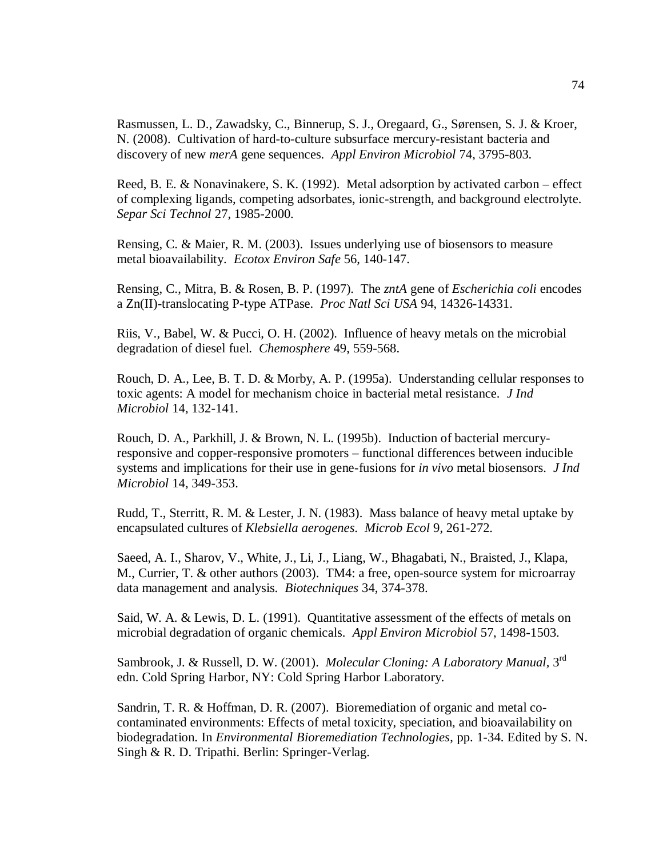Rasmussen, L. D., Zawadsky, C., Binnerup, S. J., Oregaard, G., Sørensen, S. J. & Kroer, N. (2008). Cultivation of hard-to-culture subsurface mercury-resistant bacteria and discovery of new *merA* gene sequences. *Appl Environ Microbiol* 74, 3795-803.

Reed, B. E. & Nonavinakere, S. K. (1992). Metal adsorption by activated carbon – effect of complexing ligands, competing adsorbates, ionic-strength, and background electrolyte. *Separ Sci Technol* 27, 1985-2000.

Rensing, C. & Maier, R. M. (2003). Issues underlying use of biosensors to measure metal bioavailability. *Ecotox Environ Safe* 56, 140-147.

Rensing, C., Mitra, B. & Rosen, B. P. (1997). The *zntA* gene of *Escherichia coli* encodes a Zn(II)-translocating P-type ATPase. *Proc Natl Sci USA* 94, 14326-14331.

Riis, V., Babel, W. & Pucci, O. H. (2002). Influence of heavy metals on the microbial degradation of diesel fuel. *Chemosphere* 49, 559-568.

Rouch, D. A., Lee, B. T. D. & Morby, A. P. (1995a). Understanding cellular responses to toxic agents: A model for mechanism choice in bacterial metal resistance. *J Ind Microbiol* 14, 132-141.

Rouch, D. A., Parkhill, J. & Brown, N. L. (1995b). Induction of bacterial mercuryresponsive and copper-responsive promoters – functional differences between inducible systems and implications for their use in gene-fusions for *in vivo* metal biosensors. *J Ind Microbiol* 14, 349-353.

Rudd, T., Sterritt, R. M. & Lester, J. N. (1983). Mass balance of heavy metal uptake by encapsulated cultures of *Klebsiella aerogenes*. *Microb Ecol* 9, 261-272.

Saeed, A. I., Sharov, V., White, J., Li, J., Liang, W., Bhagabati, N., Braisted, J., Klapa, M., Currier, T. & other authors (2003).TM4: a free, open-source system for microarray data management and analysis. *Biotechniques* 34, 374-378.

Said, W. A. & Lewis, D. L. (1991). Quantitative assessment of the effects of metals on microbial degradation of organic chemicals. *Appl Environ Microbiol* 57, 1498-1503.

Sambrook, J. & Russell, D. W. (2001). *Molecular Cloning: A Laboratory Manual*, 3<sup>rd</sup> edn. Cold Spring Harbor, NY: Cold Spring Harbor Laboratory.

Sandrin, T. R. & Hoffman, D. R. (2007). Bioremediation of organic and metal cocontaminated environments: Effects of metal toxicity, speciation, and bioavailability on biodegradation. In *Environmental Bioremediation Technologies*, pp. 1-34. Edited by S. N. Singh & R. D. Tripathi. Berlin: Springer-Verlag.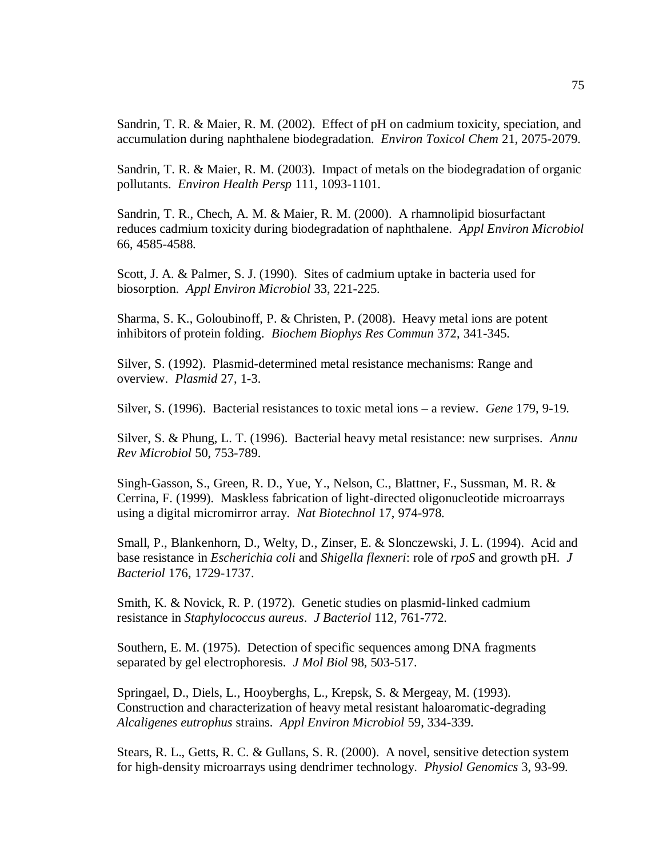Sandrin, T. R. & Maier, R. M. (2002). Effect of pH on cadmium toxicity, speciation, and accumulation during naphthalene biodegradation. *Environ Toxicol Chem* 21, 2075-2079.

Sandrin, T. R. & Maier, R. M. (2003). Impact of metals on the biodegradation of organic pollutants. *Environ Health Persp* 111, 1093-1101.

Sandrin, T. R., Chech, A. M. & Maier, R. M. (2000). A rhamnolipid biosurfactant reduces cadmium toxicity during biodegradation of naphthalene. *Appl Environ Microbiol*  66, 4585-4588.

Scott, J. A. & Palmer, S. J. (1990). Sites of cadmium uptake in bacteria used for biosorption. *Appl Environ Microbiol* 33, 221-225.

Sharma, S. K., Goloubinoff, P. & Christen, P. (2008). Heavy metal ions are potent inhibitors of protein folding. *Biochem Biophys Res Commun* 372, 341-345.

Silver, S. (1992). Plasmid-determined metal resistance mechanisms: Range and overview. *Plasmid* 27, 1-3.

Silver, S. (1996). Bacterial resistances to toxic metal ions – a review. *Gene* 179, 9-19.

Silver, S. & Phung, L. T. (1996). Bacterial heavy metal resistance: new surprises. *Annu Rev Microbiol* 50, 753-789.

Singh-Gasson, S., Green, R. D., Yue, Y., Nelson, C., Blattner, F., Sussman, M. R. & Cerrina, F. (1999). Maskless fabrication of light-directed oligonucleotide microarrays using a digital micromirror array. *Nat Biotechnol* 17, 974-978.

Small, P., Blankenhorn, D., Welty, D., Zinser, E. & Slonczewski, J. L. (1994). Acid and base resistance in *Escherichia coli* and *Shigella flexneri*: role of *rpoS* and growth pH. *J Bacteriol* 176, 1729-1737.

Smith, K. & Novick, R. P. (1972). Genetic studies on plasmid-linked cadmium resistance in *Staphylococcus aureus*. *J Bacteriol* 112, 761-772.

Southern, E. M. (1975). Detection of specific sequences among DNA fragments separated by gel electrophoresis. *J Mol Biol* 98, 503-517.

Springael, D., Diels, L., Hooyberghs, L., Krepsk, S. & Mergeay, M. (1993). Construction and characterization of heavy metal resistant haloaromatic-degrading *Alcaligenes eutrophus* strains. *Appl Environ Microbiol* 59, 334-339.

Stears, R. L., Getts, R. C. & Gullans, S. R. (2000). A novel, sensitive detection system for high-density microarrays using dendrimer technology. *Physiol Genomics* 3, 93-99.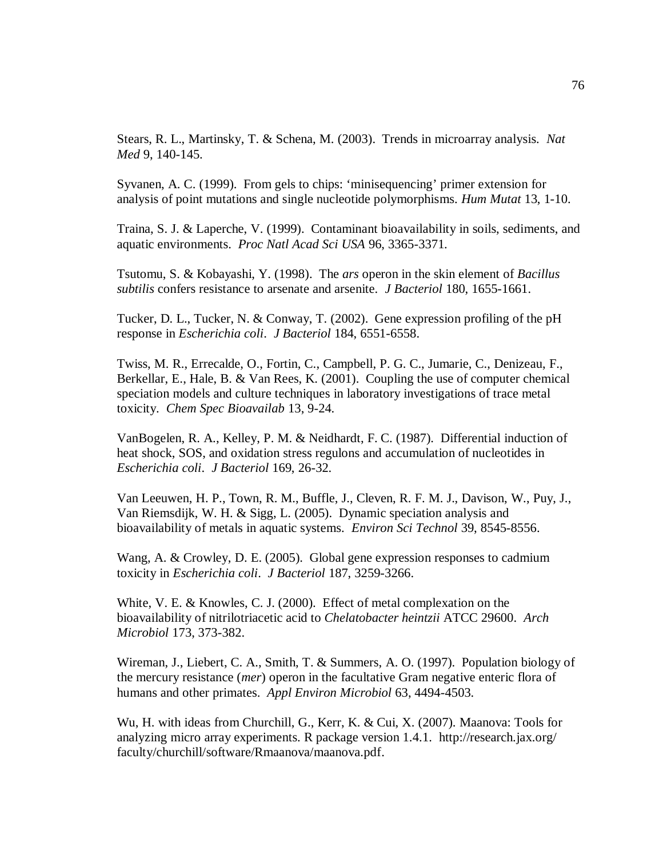Stears, R. L., Martinsky, T. & Schena, M. (2003). Trends in microarray analysis. *Nat Med* 9, 140-145.

Syvanen, A. C. (1999). From gels to chips: 'minisequencing' primer extension for analysis of point mutations and single nucleotide polymorphisms. *Hum Mutat* 13, 1-10.

Traina, S. J. & Laperche, V. (1999). Contaminant bioavailability in soils, sediments, and aquatic environments. *Proc Natl Acad Sci USA* 96, 3365-3371.

Tsutomu, S. & Kobayashi, Y. (1998). The *ars* operon in the skin element of *Bacillus subtilis* confers resistance to arsenate and arsenite. *J Bacteriol* 180, 1655-1661.

Tucker, D. L., Tucker, N. & Conway, T. (2002). Gene expression profiling of the pH response in *Escherichia coli*. *J Bacteriol* 184, 6551-6558.

Twiss, M. R., Errecalde, O., Fortin, C., Campbell, P. G. C., Jumarie, C., Denizeau, F., Berkellar, E., Hale, B. & Van Rees, K. (2001). Coupling the use of computer chemical speciation models and culture techniques in laboratory investigations of trace metal toxicity. *Chem Spec Bioavailab* 13, 9-24.

VanBogelen, R. A., Kelley, P. M. & Neidhardt, F. C. (1987).Differential induction of heat shock, SOS, and oxidation stress regulons and accumulation of nucleotides in *Escherichia coli*. *J Bacteriol* 169, 26-32.

Van Leeuwen, H. P., Town, R. M., Buffle, J., Cleven, R. F. M. J., Davison, W., Puy, J., Van Riemsdijk, W. H. & Sigg, L. (2005). Dynamic speciation analysis and bioavailability of metals in aquatic systems. *Environ Sci Technol* 39, 8545-8556.

Wang, A. & Crowley, D. E. (2005). Global gene expression responses to cadmium toxicity in *Escherichia coli*. *J Bacteriol* 187, 3259-3266.

White, V. E. & Knowles, C. J. (2000). Effect of metal complexation on the bioavailability of nitrilotriacetic acid to *Chelatobacter heintzii* ATCC 29600. *Arch Microbiol* 173, 373-382.

Wireman, J., Liebert, C. A., Smith, T. & Summers, A. O. (1997). Population biology of the mercury resistance (*mer*) operon in the facultative Gram negative enteric flora of humans and other primates. *Appl Environ Microbiol* 63, 4494-4503.

Wu, H. with ideas from Churchill, G., Kerr, K. & Cui, X. (2007). Maanova: Tools for analyzing micro array experiments. R package version 1.4.1. http://research.jax.org/ faculty/churchill/software/Rmaanova/maanova.pdf.